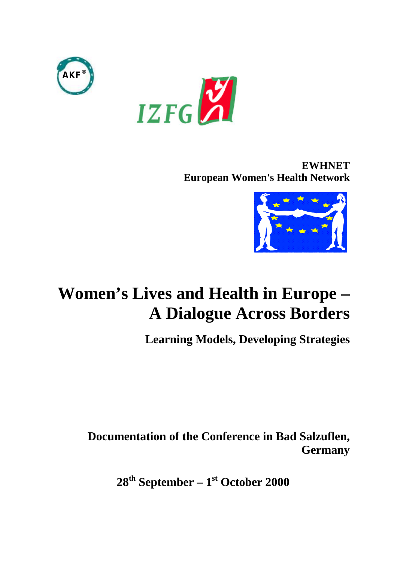



**EWHNET European Women's Health Network**



# **Women's Lives and Health in Europe – A Dialogue Across Borders**

**Learning Models, Developing Strategies**

**Documentation of the Conference in Bad Salzuflen, Germany**

**28th September – 1st October 2000**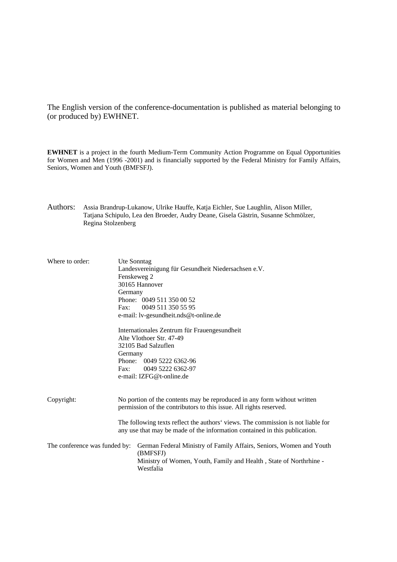The English version of the conference-documentation is published as material belonging to (or produced by) EWHNET.

**EWHNET** is a project in the fourth Medium-Term Community Action Programme on Equal Opportunities for Women and Men (1996 -2001) and is financially supported by the Federal Ministry for Family Affairs, Seniors, Women and Youth (BMFSFJ).

Authors: Assia Brandrup-Lukanow, Ulrike Hauffe, Katja Eichler, Sue Laughlin, Alison Miller, Tatjana Schipulo, Lea den Broeder, Audry Deane, Gisela Gästrin, Susanne Schmölzer, Regina Stolzenberg

| Where to order:               | Germany<br>Germany<br>$\mathbf{Fax}:$                                                                                                          | Ute Sonntag<br>Landesvereinigung für Gesundheit Niedersachsen e.V.<br>Fenskeweg 2<br>30165 Hannover<br>Phone: 0049 511 350 00 52<br>Fax: 0049 511 350 55 95<br>e-mail: lv-gesundheit.nds@t-online.de<br>Internationales Zentrum für Frauengesundheit<br>Alte Vlothoer Str. 47-49<br>32105 Bad Salzuflen<br>Phone: 0049 5222 6362-96<br>0049 5222 6362-97<br>e-mail: IZFG@t-online.de |
|-------------------------------|------------------------------------------------------------------------------------------------------------------------------------------------|--------------------------------------------------------------------------------------------------------------------------------------------------------------------------------------------------------------------------------------------------------------------------------------------------------------------------------------------------------------------------------------|
| Copyright:                    | No portion of the contents may be reproduced in any form without written<br>permission of the contributors to this issue. All rights reserved. |                                                                                                                                                                                                                                                                                                                                                                                      |
|                               |                                                                                                                                                | The following texts reflect the authors' views. The commission is not liable for<br>any use that may be made of the information contained in this publication.                                                                                                                                                                                                                       |
| The conference was funded by: |                                                                                                                                                | German Federal Ministry of Family Affairs, Seniors, Women and Youth<br>(BMFSFJ)<br>Ministry of Women, Youth, Family and Health, State of Northrhine -<br>Westfalia                                                                                                                                                                                                                   |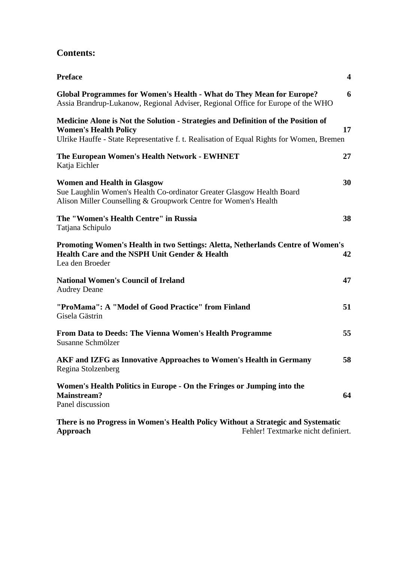## **Contents:**

| <b>Preface</b>                                                                                                                                                                                                | $\overline{\mathbf{4}}$ |
|---------------------------------------------------------------------------------------------------------------------------------------------------------------------------------------------------------------|-------------------------|
| Global Programmes for Women's Health - What do They Mean for Europe?<br>Assia Brandrup-Lukanow, Regional Adviser, Regional Office for Europe of the WHO                                                       | 6                       |
| Medicine Alone is Not the Solution - Strategies and Definition of the Position of<br><b>Women's Health Policy</b><br>Ulrike Hauffe - State Representative f. t. Realisation of Equal Rights for Women, Bremen | 17                      |
| The European Women's Health Network - EWHNET<br>Katja Eichler                                                                                                                                                 | 27                      |
| <b>Women and Health in Glasgow</b><br>Sue Laughlin Women's Health Co-ordinator Greater Glasgow Health Board<br>Alison Miller Counselling & Groupwork Centre for Women's Health                                | 30                      |
| The "Women's Health Centre" in Russia<br>Tatjana Schipulo                                                                                                                                                     | 38                      |
| Promoting Women's Health in two Settings: Aletta, Netherlands Centre of Women's<br>Health Care and the NSPH Unit Gender & Health<br>Lea den Broeder                                                           | 42                      |
| <b>National Women's Council of Ireland</b><br><b>Audrey Deane</b>                                                                                                                                             | 47                      |
| "ProMama": A "Model of Good Practice" from Finland<br>Gisela Gästrin                                                                                                                                          | 51                      |
| From Data to Deeds: The Vienna Women's Health Programme<br>Susanne Schmölzer                                                                                                                                  | 55                      |
| AKF and IZFG as Innovative Approaches to Women's Health in Germany<br>Regina Stolzenberg                                                                                                                      | 58                      |
| Women's Health Politics in Europe - On the Fringes or Jumping into the<br><b>Mainstream?</b><br>Panel discussion                                                                                              | 64                      |
| There is no Progress in Women's Health Policy Without a Strategic and Systematic                                                                                                                              |                         |

**Approach** Fehler! Textmarke nicht definiert.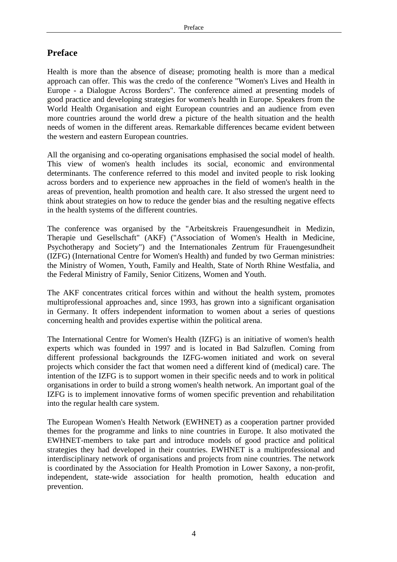## **Preface**

Health is more than the absence of disease; promoting health is more than a medical approach can offer. This was the credo of the conference "Women's Lives and Health in Europe - a Dialogue Across Borders". The conference aimed at presenting models of good practice and developing strategies for women's health in Europe. Speakers from the World Health Organisation and eight European countries and an audience from even more countries around the world drew a picture of the health situation and the health needs of women in the different areas. Remarkable differences became evident between the western and eastern European countries.

All the organising and co-operating organisations emphasised the social model of health. This view of women's health includes its social, economic and environmental determinants. The conference referred to this model and invited people to risk looking across borders and to experience new approaches in the field of women's health in the areas of prevention, health promotion and health care. It also stressed the urgent need to think about strategies on how to reduce the gender bias and the resulting negative effects in the health systems of the different countries.

The conference was organised by the "Arbeitskreis Frauengesundheit in Medizin, Therapie und Gesellschaft" (AKF) ("Association of Women's Health in Medicine, Psychotherapy and Society") and the Internationales Zentrum für Frauengesundheit (IZFG) (International Centre for Women's Health) and funded by two German ministries: the Ministry of Women, Youth, Family and Health, State of North Rhine Westfalia, and the Federal Ministry of Family, Senior Citizens, Women and Youth.

The AKF concentrates critical forces within and without the health system, promotes multiprofessional approaches and, since 1993, has grown into a significant organisation in Germany. It offers independent information to women about a series of questions concerning health and provides expertise within the political arena.

The International Centre for Women's Health (IZFG) is an initiative of women's health experts which was founded in 1997 and is located in Bad Salzuflen. Coming from different professional backgrounds the IZFG-women initiated and work on several projects which consider the fact that women need a different kind of (medical) care. The intention of the IZFG is to support women in their specific needs and to work in political organisations in order to build a strong women's health network. An important goal of the IZFG is to implement innovative forms of women specific prevention and rehabilitation into the regular health care system.

The European Women's Health Network (EWHNET) as a cooperation partner provided themes for the programme and links to nine countries in Europe. It also motivated the EWHNET-members to take part and introduce models of good practice and political strategies they had developed in their countries. EWHNET is a multiprofessional and interdisciplinary network of organisations and projects from nine countries. The network is coordinated by the Association for Health Promotion in Lower Saxony, a non-profit, independent, state-wide association for health promotion, health education and prevention.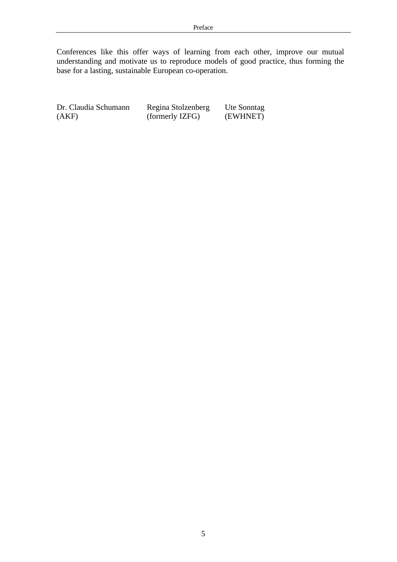Conferences like this offer ways of learning from each other, improve our mutual understanding and motivate us to reproduce models of good practice, thus forming the base for a lasting, sustainable European co-operation.

Dr. Claudia Schumann Regina Stolzenberg Ute Sonntag (AKF) (formerly IZFG) (EWHNET)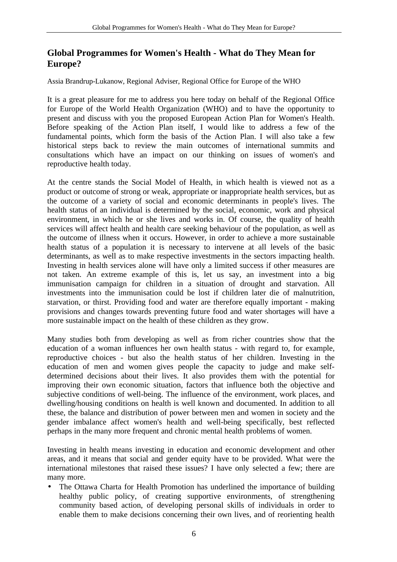## **Global Programmes for Women's Health - What do They Mean for Europe?**

Assia Brandrup-Lukanow, Regional Adviser, Regional Office for Europe of the WHO

It is a great pleasure for me to address you here today on behalf of the Regional Office for Europe of the World Health Organization (WHO) and to have the opportunity to present and discuss with you the proposed European Action Plan for Women's Health. Before speaking of the Action Plan itself, I would like to address a few of the fundamental points, which form the basis of the Action Plan. I will also take a few historical steps back to review the main outcomes of international summits and consultations which have an impact on our thinking on issues of women's and reproductive health today.

At the centre stands the Social Model of Health, in which health is viewed not as a product or outcome of strong or weak, appropriate or inappropriate health services, but as the outcome of a variety of social and economic determinants in people's lives. The health status of an individual is determined by the social, economic, work and physical environment, in which he or she lives and works in. Of course, the quality of health services will affect health and health care seeking behaviour of the population, as well as the outcome of illness when it occurs. However, in order to achieve a more sustainable health status of a population it is necessary to intervene at all levels of the basic determinants, as well as to make respective investments in the sectors impacting health. Investing in health services alone will have only a limited success if other measures are not taken. An extreme example of this is, let us say, an investment into a big immunisation campaign for children in a situation of drought and starvation. All investments into the immunisation could be lost if children later die of malnutrition, starvation, or thirst. Providing food and water are therefore equally important - making provisions and changes towards preventing future food and water shortages will have a more sustainable impact on the health of these children as they grow.

Many studies both from developing as well as from richer countries show that the education of a woman influences her own health status - with regard to, for example, reproductive choices - but also the health status of her children. Investing in the education of men and women gives people the capacity to judge and make selfdetermined decisions about their lives. It also provides them with the potential for improving their own economic situation, factors that influence both the objective and subjective conditions of well-being. The influence of the environment, work places, and dwelling/housing conditions on health is well known and documented. In addition to all these, the balance and distribution of power between men and women in society and the gender imbalance affect women's health and well-being specifically, best reflected perhaps in the many more frequent and chronic mental health problems of women.

Investing in health means investing in education and economic development and other areas, and it means that social and gender equity have to be provided. What were the international milestones that raised these issues? I have only selected a few; there are many more.

• The Ottawa Charta for Health Promotion has underlined the importance of building healthy public policy, of creating supportive environments, of strengthening community based action, of developing personal skills of individuals in order to enable them to make decisions concerning their own lives, and of reorienting health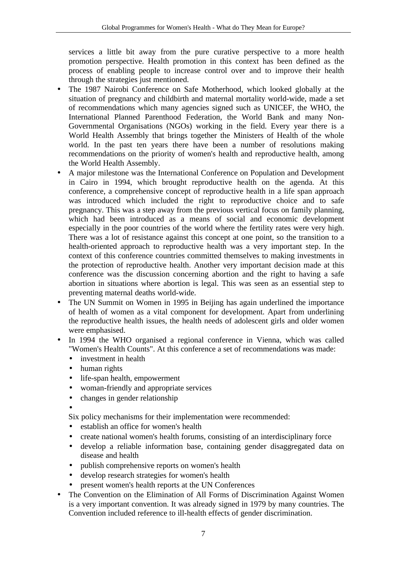services a little bit away from the pure curative perspective to a more health promotion perspective. Health promotion in this context has been defined as the process of enabling people to increase control over and to improve their health through the strategies just mentioned.

- The 1987 Nairobi Conference on Safe Motherhood, which looked globally at the situation of pregnancy and childbirth and maternal mortality world-wide, made a set of recommendations which many agencies signed such as UNICEF, the WHO, the International Planned Parenthood Federation, the World Bank and many Non-Governmental Organisations (NGOs) working in the field. Every year there is a World Health Assembly that brings together the Ministers of Health of the whole world. In the past ten years there have been a number of resolutions making recommendations on the priority of women's health and reproductive health, among the World Health Assembly.
- A major milestone was the International Conference on Population and Development in Cairo in 1994, which brought reproductive health on the agenda. At this conference, a comprehensive concept of reproductive health in a life span approach was introduced which included the right to reproductive choice and to safe pregnancy. This was a step away from the previous vertical focus on family planning, which had been introduced as a means of social and economic development especially in the poor countries of the world where the fertility rates were very high. There was a lot of resistance against this concept at one point, so the transition to a health-oriented approach to reproductive health was a very important step. In the context of this conference countries committed themselves to making investments in the protection of reproductive health. Another very important decision made at this conference was the discussion concerning abortion and the right to having a safe abortion in situations where abortion is legal. This was seen as an essential step to preventing maternal deaths world-wide.
- The UN Summit on Women in 1995 in Beijing has again underlined the importance of health of women as a vital component for development. Apart from underlining the reproductive health issues, the health needs of adolescent girls and older women were emphasised.
- In 1994 the WHO organised a regional conference in Vienna, which was called "Women's Health Counts". At this conference a set of recommendations was made:
	- investment in health
	- human rights
	- life-span health, empowerment
	- woman-friendly and appropriate services
	- changes in gender relationship
	- •

Six policy mechanisms for their implementation were recommended:

- establish an office for women's health
- create national women's health forums, consisting of an interdisciplinary force
- develop a reliable information base, containing gender disaggregated data on disease and health
- publish comprehensive reports on women's health
- develop research strategies for women's health
- present women's health reports at the UN Conferences
- The Convention on the Elimination of All Forms of Discrimination Against Women is a very important convention. It was already signed in 1979 by many countries. The Convention included reference to ill-health effects of gender discrimination.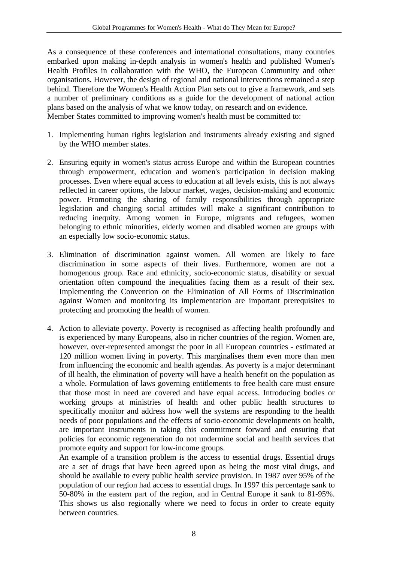As a consequence of these conferences and international consultations, many countries embarked upon making in-depth analysis in women's health and published Women's Health Profiles in collaboration with the WHO, the European Community and other organisations. However, the design of regional and national interventions remained a step behind. Therefore the Women's Health Action Plan sets out to give a framework, and sets a number of preliminary conditions as a guide for the development of national action plans based on the analysis of what we know today, on research and on evidence. Member States committed to improving women's health must be committed to:

- 1. Implementing human rights legislation and instruments already existing and signed by the WHO member states.
- 2. Ensuring equity in women's status across Europe and within the European countries through empowerment, education and women's participation in decision making processes. Even where equal access to education at all levels exists, this is not always reflected in career options, the labour market, wages, decision-making and economic power. Promoting the sharing of family responsibilities through appropriate legislation and changing social attitudes will make a significant contribution to reducing inequity. Among women in Europe, migrants and refugees, women belonging to ethnic minorities, elderly women and disabled women are groups with an especially low socio-economic status.
- 3. Elimination of discrimination against women. All women are likely to face discrimination in some aspects of their lives. Furthermore, women are not a homogenous group. Race and ethnicity, socio-economic status, disability or sexual orientation often compound the inequalities facing them as a result of their sex. Implementing the Convention on the Elimination of All Forms of Discrimination against Women and monitoring its implementation are important prerequisites to protecting and promoting the health of women.
- 4. Action to alleviate poverty. Poverty is recognised as affecting health profoundly and is experienced by many Europeans, also in richer countries of the region. Women are, however, over-represented amongst the poor in all European countries - estimated at 120 million women living in poverty. This marginalises them even more than men from influencing the economic and health agendas. As poverty is a major determinant of ill health, the elimination of poverty will have a health benefit on the population as a whole. Formulation of laws governing entitlements to free health care must ensure that those most in need are covered and have equal access. Introducing bodies or working groups at ministries of health and other public health structures to specifically monitor and address how well the systems are responding to the health needs of poor populations and the effects of socio-economic developments on health, are important instruments in taking this commitment forward and ensuring that policies for economic regeneration do not undermine social and health services that promote equity and support for low-income groups.

An example of a transition problem is the access to essential drugs. Essential drugs are a set of drugs that have been agreed upon as being the most vital drugs, and should be available to every public health service provision. In 1987 over 95% of the population of our region had access to essential drugs. In 1997 this percentage sank to 50-80% in the eastern part of the region, and in Central Europe it sank to 81-95%. This shows us also regionally where we need to focus in order to create equity between countries.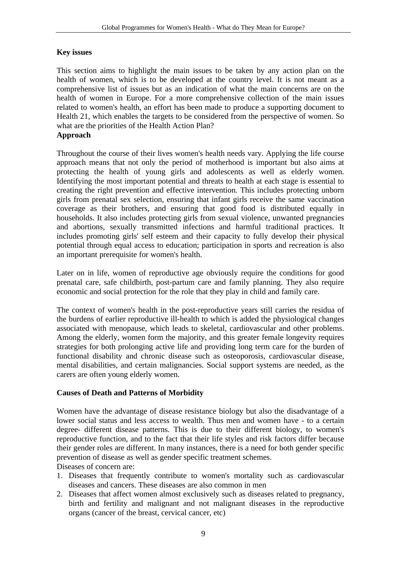#### **Key issues**

This section aims to highlight the main issues to be taken by any action plan on the health of women, which is to be developed at the country level. It is not meant as a comprehensive list of issues but as an indication of what the main concerns are on the health of women in Europe. For a more comprehensive collection of the main issues related to women's health, an effort has been made to produce a supporting document to Health 21, which enables the targets to be considered from the perspective of women. So what are the priorities of the Health Action Plan? **Approach**

Throughout the course of their lives women's health needs vary. Applying the life course approach means that not only the period of motherhood is important but also aims at protecting the health of young girls and adolescents as well as elderly women. Identifying the most important potential and threats to health at each stage is essential to creating the right prevention and effective intervention. This includes protecting unborn girls from prenatal sex selection, ensuring that infant girls receive the same vaccination coverage as their brothers, and ensuring that good food is distributed equally in households. It also includes protecting girls from sexual violence, unwanted pregnancies and abortions, sexually transmitted infections and harmful traditional practices. It includes promoting girls' self esteem and their capacity to fully develop their physical potential through equal access to education; participation in sports and recreation is also an important prerequisite for women's health.

Later on in life, women of reproductive age obviously require the conditions for good prenatal care, safe childbirth, post-partum care and family planning. They also require economic and social protection for the role that they play in child and family care.

The context of women's health in the post-reproductive years still carries the residua of the burdens of earlier reproductive ill-health to which is added the physiological changes associated with menopause, which leads to skeletal, cardiovascular and other problems. Among the elderly, women form the majority, and this greater female longevity requires strategies for both prolonging active life and providing long term care for the burden of functional disability and chronic disease such as osteoporosis, cardiovascular disease, mental disabilities, and certain malignancies. Social support systems are needed, as the carers are often young elderly women.

#### **Causes of Death and Patterns of Morbidity**

Women have the advantage of disease resistance biology but also the disadvantage of a lower social status and less access to wealth. Thus men and women have - to a certain degree- different disease patterns. This is due to their different biology, to women's reproductive function, and to the fact that their life styles and risk factors differ because their gender roles are different. In many instances, there is a need for both gender specific prevention of disease as well as gender specific treatment schemes.

Diseases of concern are:

- 1. Diseases that frequently contribute to women's mortality such as cardiovascular diseases and cancers. These diseases are also common in men
- 2. Diseases that affect women almost exclusively such as diseases related to pregnancy, birth and fertility and malignant and not malignant diseases in the reproductive organs (cancer of the breast, cervical cancer, etc)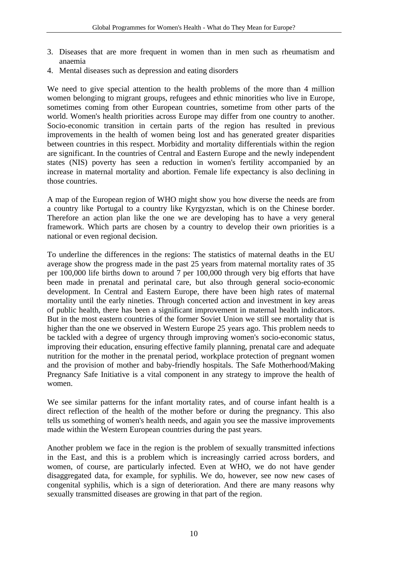- 3. Diseases that are more frequent in women than in men such as rheumatism and anaemia
- 4. Mental diseases such as depression and eating disorders

We need to give special attention to the health problems of the more than 4 million women belonging to migrant groups, refugees and ethnic minorities who live in Europe, sometimes coming from other European countries, sometime from other parts of the world. Women's health priorities across Europe may differ from one country to another. Socio-economic transition in certain parts of the region has resulted in previous improvements in the health of women being lost and has generated greater disparities between countries in this respect. Morbidity and mortality differentials within the region are significant. In the countries of Central and Eastern Europe and the newly independent states (NIS) poverty has seen a reduction in women's fertility accompanied by an increase in maternal mortality and abortion. Female life expectancy is also declining in those countries.

A map of the European region of WHO might show you how diverse the needs are from a country like Portugal to a country like Kyrgyzstan, which is on the Chinese border. Therefore an action plan like the one we are developing has to have a very general framework. Which parts are chosen by a country to develop their own priorities is a national or even regional decision.

To underline the differences in the regions: The statistics of maternal deaths in the EU average show the progress made in the past 25 years from maternal mortality rates of 35 per 100,000 life births down to around 7 per 100,000 through very big efforts that have been made in prenatal and perinatal care, but also through general socio-economic development. In Central and Eastern Europe, there have been high rates of maternal mortality until the early nineties. Through concerted action and investment in key areas of public health, there has been a significant improvement in maternal health indicators. But in the most eastern countries of the former Soviet Union we still see mortality that is higher than the one we observed in Western Europe 25 years ago. This problem needs to be tackled with a degree of urgency through improving women's socio-economic status, improving their education, ensuring effective family planning, prenatal care and adequate nutrition for the mother in the prenatal period, workplace protection of pregnant women and the provision of mother and baby-friendly hospitals. The Safe Motherhood/Making Pregnancy Safe Initiative is a vital component in any strategy to improve the health of women.

We see similar patterns for the infant mortality rates, and of course infant health is a direct reflection of the health of the mother before or during the pregnancy. This also tells us something of women's health needs, and again you see the massive improvements made within the Western European countries during the past years.

Another problem we face in the region is the problem of sexually transmitted infections in the East, and this is a problem which is increasingly carried across borders, and women, of course, are particularly infected. Even at WHO, we do not have gender disaggregated data, for example, for syphilis. We do, however, see now new cases of congenital syphilis, which is a sign of deterioration. And there are many reasons why sexually transmitted diseases are growing in that part of the region.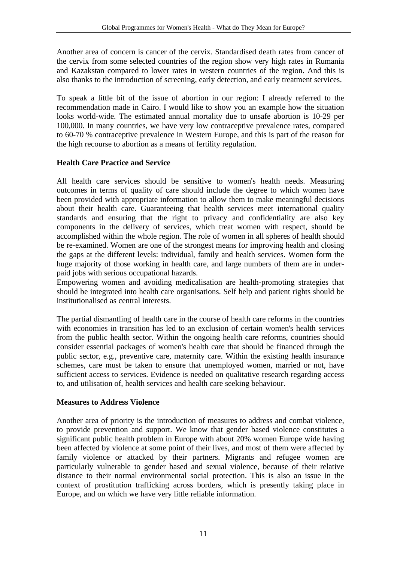Another area of concern is cancer of the cervix. Standardised death rates from cancer of the cervix from some selected countries of the region show very high rates in Rumania and Kazakstan compared to lower rates in western countries of the region. And this is also thanks to the introduction of screening, early detection, and early treatment services.

To speak a little bit of the issue of abortion in our region: I already referred to the recommendation made in Cairo. I would like to show you an example how the situation looks world-wide. The estimated annual mortality due to unsafe abortion is 10-29 per 100,000. In many countries, we have very low contraceptive prevalence rates, compared to 60-70 % contraceptive prevalence in Western Europe, and this is part of the reason for the high recourse to abortion as a means of fertility regulation.

## **Health Care Practice and Service**

All health care services should be sensitive to women's health needs. Measuring outcomes in terms of quality of care should include the degree to which women have been provided with appropriate information to allow them to make meaningful decisions about their health care. Guaranteeing that health services meet international quality standards and ensuring that the right to privacy and confidentiality are also key components in the delivery of services, which treat women with respect, should be accomplished within the whole region. The role of women in all spheres of health should be re-examined. Women are one of the strongest means for improving health and closing the gaps at the different levels: individual, family and health services. Women form the huge majority of those working in health care, and large numbers of them are in underpaid jobs with serious occupational hazards.

Empowering women and avoiding medicalisation are health-promoting strategies that should be integrated into health care organisations. Self help and patient rights should be institutionalised as central interests.

The partial dismantling of health care in the course of health care reforms in the countries with economies in transition has led to an exclusion of certain women's health services from the public health sector. Within the ongoing health care reforms, countries should consider essential packages of women's health care that should be financed through the public sector, e.g., preventive care, maternity care. Within the existing health insurance schemes, care must be taken to ensure that unemployed women, married or not, have sufficient access to services. Evidence is needed on qualitative research regarding access to, and utilisation of, health services and health care seeking behaviour.

#### **Measures to Address Violence**

Another area of priority is the introduction of measures to address and combat violence, to provide prevention and support. We know that gender based violence constitutes a significant public health problem in Europe with about 20% women Europe wide having been affected by violence at some point of their lives, and most of them were affected by family violence or attacked by their partners. Migrants and refugee women are particularly vulnerable to gender based and sexual violence, because of their relative distance to their normal environmental social protection. This is also an issue in the context of prostitution trafficking across borders, which is presently taking place in Europe, and on which we have very little reliable information.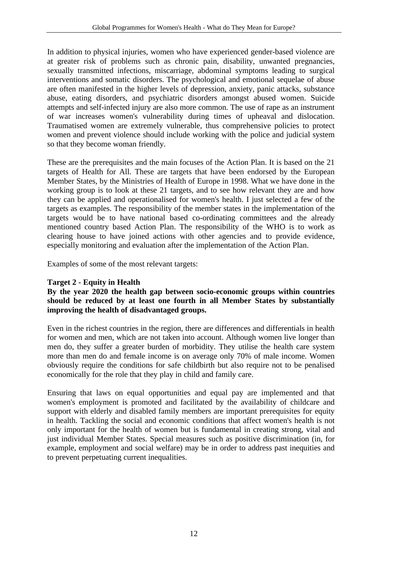In addition to physical injuries, women who have experienced gender-based violence are at greater risk of problems such as chronic pain, disability, unwanted pregnancies, sexually transmitted infections, miscarriage, abdominal symptoms leading to surgical interventions and somatic disorders. The psychological and emotional sequelae of abuse are often manifested in the higher levels of depression, anxiety, panic attacks, substance abuse, eating disorders, and psychiatric disorders amongst abused women. Suicide attempts and self-infected injury are also more common. The use of rape as an instrument of war increases women's vulnerability during times of upheaval and dislocation. Traumatised women are extremely vulnerable, thus comprehensive policies to protect women and prevent violence should include working with the police and judicial system so that they become woman friendly.

These are the prerequisites and the main focuses of the Action Plan. It is based on the 21 targets of Health for All. These are targets that have been endorsed by the European Member States, by the Ministries of Health of Europe in 1998. What we have done in the working group is to look at these 21 targets, and to see how relevant they are and how they can be applied and operationalised for women's health. I just selected a few of the targets as examples. The responsibility of the member states in the implementation of the targets would be to have national based co-ordinating committees and the already mentioned country based Action Plan. The responsibility of the WHO is to work as clearing house to have joined actions with other agencies and to provide evidence, especially monitoring and evaluation after the implementation of the Action Plan.

Examples of some of the most relevant targets:

### **Target 2 - Equity in Health**

#### **By the year 2020 the health gap between socio-economic groups within countries should be reduced by at least one fourth in all Member States by substantially improving the health of disadvantaged groups.**

Even in the richest countries in the region, there are differences and differentials in health for women and men, which are not taken into account. Although women live longer than men do, they suffer a greater burden of morbidity. They utilise the health care system more than men do and female income is on average only 70% of male income. Women obviously require the conditions for safe childbirth but also require not to be penalised economically for the role that they play in child and family care.

Ensuring that laws on equal opportunities and equal pay are implemented and that women's employment is promoted and facilitated by the availability of childcare and support with elderly and disabled family members are important prerequisites for equity in health. Tackling the social and economic conditions that affect women's health is not only important for the health of women but is fundamental in creating strong, vital and just individual Member States. Special measures such as positive discrimination (in, for example, employment and social welfare) may be in order to address past inequities and to prevent perpetuating current inequalities.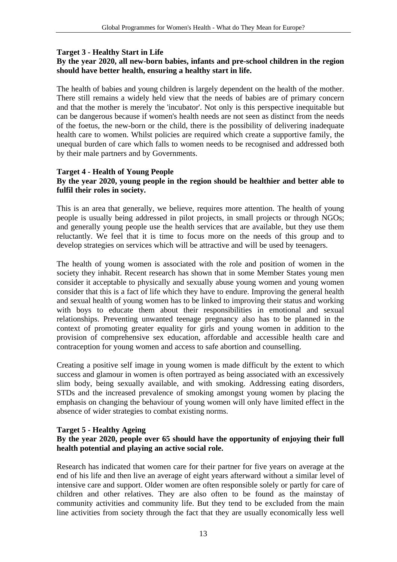#### **Target 3 - Healthy Start in Life**

#### **By the year 2020, all new-born babies, infants and pre-school children in the region should have better health, ensuring a healthy start in life.**

The health of babies and young children is largely dependent on the health of the mother. There still remains a widely held view that the needs of babies are of primary concern and that the mother is merely the 'incubator'. Not only is this perspective inequitable but can be dangerous because if women's health needs are not seen as distinct from the needs of the foetus, the new-born or the child, there is the possibility of delivering inadequate health care to women. Whilst policies are required which create a supportive family, the unequal burden of care which falls to women needs to be recognised and addressed both by their male partners and by Governments.

#### **Target 4 - Health of Young People**

#### **By the year 2020, young people in the region should be healthier and better able to fulfil their roles in society.**

This is an area that generally, we believe, requires more attention. The health of young people is usually being addressed in pilot projects, in small projects or through NGOs; and generally young people use the health services that are available, but they use them reluctantly. We feel that it is time to focus more on the needs of this group and to develop strategies on services which will be attractive and will be used by teenagers.

The health of young women is associated with the role and position of women in the society they inhabit. Recent research has shown that in some Member States young men consider it acceptable to physically and sexually abuse young women and young women consider that this is a fact of life which they have to endure. Improving the general health and sexual health of young women has to be linked to improving their status and working with boys to educate them about their responsibilities in emotional and sexual relationships. Preventing unwanted teenage pregnancy also has to be planned in the context of promoting greater equality for girls and young women in addition to the provision of comprehensive sex education, affordable and accessible health care and contraception for young women and access to safe abortion and counselling.

Creating a positive self image in young women is made difficult by the extent to which success and glamour in women is often portrayed as being associated with an excessively slim body, being sexually available, and with smoking. Addressing eating disorders, STDs and the increased prevalence of smoking amongst young women by placing the emphasis on changing the behaviour of young women will only have limited effect in the absence of wider strategies to combat existing norms.

#### **Target 5 - Healthy Ageing**

#### **By the year 2020, people over 65 should have the opportunity of enjoying their full health potential and playing an active social role.**

Research has indicated that women care for their partner for five years on average at the end of his life and then live an average of eight years afterward without a similar level of intensive care and support. Older women are often responsible solely or partly for care of children and other relatives. They are also often to be found as the mainstay of community activities and community life. But they tend to be excluded from the main line activities from society through the fact that they are usually economically less well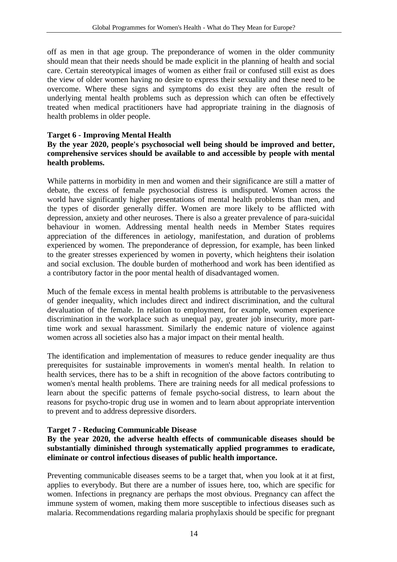off as men in that age group. The preponderance of women in the older community should mean that their needs should be made explicit in the planning of health and social care. Certain stereotypical images of women as either frail or confused still exist as does the view of older women having no desire to express their sexuality and these need to be overcome. Where these signs and symptoms do exist they are often the result of underlying mental health problems such as depression which can often be effectively treated when medical practitioners have had appropriate training in the diagnosis of health problems in older people.

#### **Target 6 - Improving Mental Health**

#### **By the year 2020, people's psychosocial well being should be improved and better, comprehensive services should be available to and accessible by people with mental health problems.**

While patterns in morbidity in men and women and their significance are still a matter of debate, the excess of female psychosocial distress is undisputed. Women across the world have significantly higher presentations of mental health problems than men, and the types of disorder generally differ. Women are more likely to be afflicted with depression, anxiety and other neuroses. There is also a greater prevalence of para-suicidal behaviour in women. Addressing mental health needs in Member States requires appreciation of the differences in aetiology, manifestation, and duration of problems experienced by women. The preponderance of depression, for example, has been linked to the greater stresses experienced by women in poverty, which heightens their isolation and social exclusion. The double burden of motherhood and work has been identified as a contributory factor in the poor mental health of disadvantaged women.

Much of the female excess in mental health problems is attributable to the pervasiveness of gender inequality, which includes direct and indirect discrimination, and the cultural devaluation of the female. In relation to employment, for example, women experience discrimination in the workplace such as unequal pay, greater job insecurity, more parttime work and sexual harassment. Similarly the endemic nature of violence against women across all societies also has a major impact on their mental health.

The identification and implementation of measures to reduce gender inequality are thus prerequisites for sustainable improvements in women's mental health. In relation to health services, there has to be a shift in recognition of the above factors contributing to women's mental health problems. There are training needs for all medical professions to learn about the specific patterns of female psycho-social distress, to learn about the reasons for psycho-tropic drug use in women and to learn about appropriate intervention to prevent and to address depressive disorders.

#### **Target 7 - Reducing Communicable Disease**

#### **By the year 2020, the adverse health effects of communicable diseases should be substantially diminished through systematically applied programmes to eradicate, eliminate or control infectious diseases of public health importance.**

Preventing communicable diseases seems to be a target that, when you look at it at first, applies to everybody. But there are a number of issues here, too, which are specific for women. Infections in pregnancy are perhaps the most obvious. Pregnancy can affect the immune system of women, making them more susceptible to infectious diseases such as malaria. Recommendations regarding malaria prophylaxis should be specific for pregnant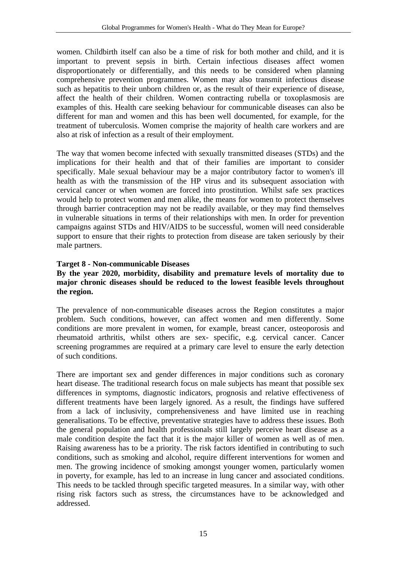women. Childbirth itself can also be a time of risk for both mother and child, and it is important to prevent sepsis in birth. Certain infectious diseases affect women disproportionately or differentially, and this needs to be considered when planning comprehensive prevention programmes. Women may also transmit infectious disease such as hepatitis to their unborn children or, as the result of their experience of disease, affect the health of their children. Women contracting rubella or toxoplasmosis are examples of this. Health care seeking behaviour for communicable diseases can also be different for man and women and this has been well documented, for example, for the treatment of tuberculosis. Women comprise the majority of health care workers and are also at risk of infection as a result of their employment.

The way that women become infected with sexually transmitted diseases (STDs) and the implications for their health and that of their families are important to consider specifically. Male sexual behaviour may be a major contributory factor to women's ill health as with the transmission of the HP virus and its subsequent association with cervical cancer or when women are forced into prostitution. Whilst safe sex practices would help to protect women and men alike, the means for women to protect themselves through barrier contraception may not be readily available, or they may find themselves in vulnerable situations in terms of their relationships with men. In order for prevention campaigns against STDs and HIV/AIDS to be successful, women will need considerable support to ensure that their rights to protection from disease are taken seriously by their male partners.

#### **Target 8 - Non-communicable Diseases**

#### **By the year 2020, morbidity, disability and premature levels of mortality due to major chronic diseases should be reduced to the lowest feasible levels throughout the region.**

The prevalence of non-communicable diseases across the Region constitutes a major problem. Such conditions, however, can affect women and men differently. Some conditions are more prevalent in women, for example, breast cancer, osteoporosis and rheumatoid arthritis, whilst others are sex- specific, e.g. cervical cancer. Cancer screening programmes are required at a primary care level to ensure the early detection of such conditions.

There are important sex and gender differences in major conditions such as coronary heart disease. The traditional research focus on male subjects has meant that possible sex differences in symptoms, diagnostic indicators, prognosis and relative effectiveness of different treatments have been largely ignored. As a result, the findings have suffered from a lack of inclusivity, comprehensiveness and have limited use in reaching generalisations. To be effective, preventative strategies have to address these issues. Both the general population and health professionals still largely perceive heart disease as a male condition despite the fact that it is the major killer of women as well as of men. Raising awareness has to be a priority. The risk factors identified in contributing to such conditions, such as smoking and alcohol, require different interventions for women and men. The growing incidence of smoking amongst younger women, particularly women in poverty, for example, has led to an increase in lung cancer and associated conditions. This needs to be tackled through specific targeted measures. In a similar way, with other rising risk factors such as stress, the circumstances have to be acknowledged and addressed.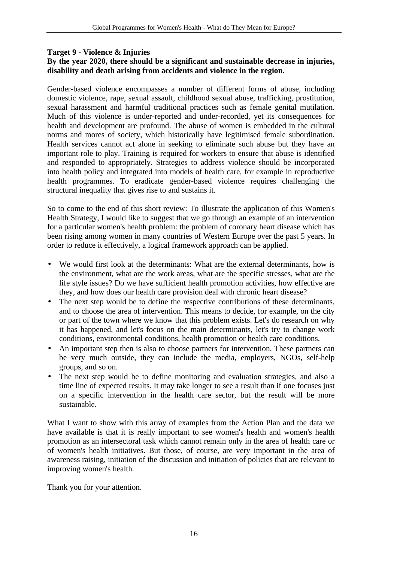#### **Target 9 - Violence & Injuries**

#### **By the year 2020, there should be a significant and sustainable decrease in injuries, disability and death arising from accidents and violence in the region.**

Gender-based violence encompasses a number of different forms of abuse, including domestic violence, rape, sexual assault, childhood sexual abuse, trafficking, prostitution, sexual harassment and harmful traditional practices such as female genital mutilation. Much of this violence is under-reported and under-recorded, yet its consequences for health and development are profound. The abuse of women is embedded in the cultural norms and mores of society, which historically have legitimised female subordination. Health services cannot act alone in seeking to eliminate such abuse but they have an important role to play. Training is required for workers to ensure that abuse is identified and responded to appropriately. Strategies to address violence should be incorporated into health policy and integrated into models of health care, for example in reproductive health programmes. To eradicate gender-based violence requires challenging the structural inequality that gives rise to and sustains it.

So to come to the end of this short review: To illustrate the application of this Women's Health Strategy, I would like to suggest that we go through an example of an intervention for a particular women's health problem: the problem of coronary heart disease which has been rising among women in many countries of Western Europe over the past 5 years. In order to reduce it effectively, a logical framework approach can be applied.

- We would first look at the determinants: What are the external determinants, how is the environment, what are the work areas, what are the specific stresses, what are the life style issues? Do we have sufficient health promotion activities, how effective are they, and how does our health care provision deal with chronic heart disease?
- The next step would be to define the respective contributions of these determinants, and to choose the area of intervention. This means to decide, for example, on the city or part of the town where we know that this problem exists. Let's do research on why it has happened, and let's focus on the main determinants, let's try to change work conditions, environmental conditions, health promotion or health care conditions.
- An important step then is also to choose partners for intervention. These partners can be very much outside, they can include the media, employers, NGOs, self-help groups, and so on.
- The next step would be to define monitoring and evaluation strategies, and also a time line of expected results. It may take longer to see a result than if one focuses just on a specific intervention in the health care sector, but the result will be more sustainable.

What I want to show with this array of examples from the Action Plan and the data we have available is that it is really important to see women's health and women's health promotion as an intersectoral task which cannot remain only in the area of health care or of women's health initiatives. But those, of course, are very important in the area of awareness raising, initiation of the discussion and initiation of policies that are relevant to improving women's health.

Thank you for your attention.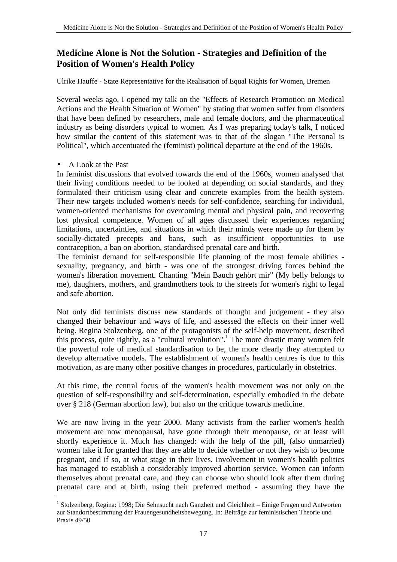## **Medicine Alone is Not the Solution - Strategies and Definition of the Position of Women's Health Policy**

Ulrike Hauffe - State Representative for the Realisation of Equal Rights for Women, Bremen

Several weeks ago, I opened my talk on the "Effects of Research Promotion on Medical Actions and the Health Situation of Women" by stating that women suffer from disorders that have been defined by researchers, male and female doctors, and the pharmaceutical industry as being disorders typical to women. As I was preparing today's talk, I noticed how similar the content of this statement was to that of the slogan "The Personal is Political", which accentuated the (feminist) political departure at the end of the 1960s.

#### • A Look at the Past

 $\overline{a}$ 

In feminist discussions that evolved towards the end of the 1960s, women analysed that their living conditions needed to be looked at depending on social standards, and they formulated their criticism using clear and concrete examples from the health system. Their new targets included women's needs for self-confidence, searching for individual, women-oriented mechanisms for overcoming mental and physical pain, and recovering lost physical competence. Women of all ages discussed their experiences regarding limitations, uncertainties, and situations in which their minds were made up for them by socially-dictated precepts and bans, such as insufficient opportunities to use contraception, a ban on abortion, standardised prenatal care and birth.

The feminist demand for self-responsible life planning of the most female abilities sexuality, pregnancy, and birth - was one of the strongest driving forces behind the women's liberation movement. Chanting "Mein Bauch gehört mir" (My belly belongs to me), daughters, mothers, and grandmothers took to the streets for women's right to legal and safe abortion.

Not only did feminists discuss new standards of thought and judgement - they also changed their behaviour and ways of life, and assessed the effects on their inner well being. Regina Stolzenberg, one of the protagonists of the self-help movement, described this process, quite rightly, as a "cultural revolution".<sup>1</sup> The more drastic many women felt the powerful role of medical standardisation to be, the more clearly they attempted to develop alternative models. The establishment of women's health centres is due to this motivation, as are many other positive changes in procedures, particularly in obstetrics.

At this time, the central focus of the women's health movement was not only on the question of self-responsibility and self-determination, especially embodied in the debate over § 218 (German abortion law), but also on the critique towards medicine.

We are now living in the year 2000. Many activists from the earlier women's health movement are now menopausal, have gone through their menopause, or at least will shortly experience it. Much has changed: with the help of the pill, (also unmarried) women take it for granted that they are able to decide whether or not they wish to become pregnant, and if so, at what stage in their lives. Involvement in women's health politics has managed to establish a considerably improved abortion service. Women can inform themselves about prenatal care, and they can choose who should look after them during prenatal care and at birth, using their preferred method - assuming they have the

<sup>&</sup>lt;sup>1</sup> Stolzenberg, Regina: 1998; Die Sehnsucht nach Ganzheit und Gleichheit – Einige Fragen und Antworten zur Standortbestimmung der Frauengesundheitsbewegung. In: Beiträge zur feministischen Theorie und Praxis 49/50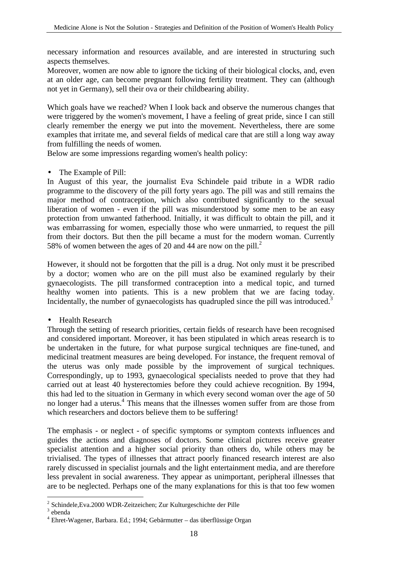necessary information and resources available, and are interested in structuring such aspects themselves.

Moreover, women are now able to ignore the ticking of their biological clocks, and, even at an older age, can become pregnant following fertility treatment. They can (although not yet in Germany), sell their ova or their childbearing ability.

Which goals have we reached? When I look back and observe the numerous changes that were triggered by the women's movement, I have a feeling of great pride, since I can still clearly remember the energy we put into the movement. Nevertheless, there are some examples that irritate me, and several fields of medical care that are still a long way away from fulfilling the needs of women.

Below are some impressions regarding women's health policy:

• The Example of Pill:

In August of this year, the journalist Eva Schindele paid tribute in a WDR radio programme to the discovery of the pill forty years ago. The pill was and still remains the major method of contraception, which also contributed significantly to the sexual liberation of women - even if the pill was misunderstood by some men to be an easy protection from unwanted fatherhood. Initially, it was difficult to obtain the pill, and it was embarrassing for women, especially those who were unmarried, to request the pill from their doctors. But then the pill became a must for the modern woman. Currently 58% of women between the ages of 20 and 44 are now on the pill.<sup>2</sup>

However, it should not be forgotten that the pill is a drug. Not only must it be prescribed by a doctor; women who are on the pill must also be examined regularly by their gynaecologists. The pill transformed contraception into a medical topic, and turned healthy women into patients. This is a new problem that we are facing today. Incidentally, the number of gynaecologists has quadrupled since the pill was introduced.<sup>3</sup>

• Health Research

Through the setting of research priorities, certain fields of research have been recognised and considered important. Moreover, it has been stipulated in which areas research is to be undertaken in the future, for what purpose surgical techniques are fine-tuned, and medicinal treatment measures are being developed. For instance, the frequent removal of the uterus was only made possible by the improvement of surgical techniques. Correspondingly, up to 1993, gynaecological specialists needed to prove that they had carried out at least 40 hysterectomies before they could achieve recognition. By 1994, this had led to the situation in Germany in which every second woman over the age of 50 no longer had a uterus.<sup>4</sup> This means that the illnesses women suffer from are those from which researchers and doctors believe them to be suffering!

The emphasis - or neglect - of specific symptoms or symptom contexts influences and guides the actions and diagnoses of doctors. Some clinical pictures receive greater specialist attention and a higher social priority than others do, while others may be trivialised. The types of illnesses that attract poorly financed research interest are also rarely discussed in specialist journals and the light entertainment media, and are therefore less prevalent in social awareness. They appear as unimportant, peripheral illnesses that are to be neglected. Perhaps one of the many explanations for this is that too few women

 $\overline{a}$ <sup>2</sup> Schindele, Eva. 2000 WDR-Zeitzeichen; Zur Kulturgeschichte der Pille

<sup>3</sup> ebenda

<sup>4</sup> Ehret-Wagener, Barbara. Ed.; 1994; Gebärmutter – das überflüssige Organ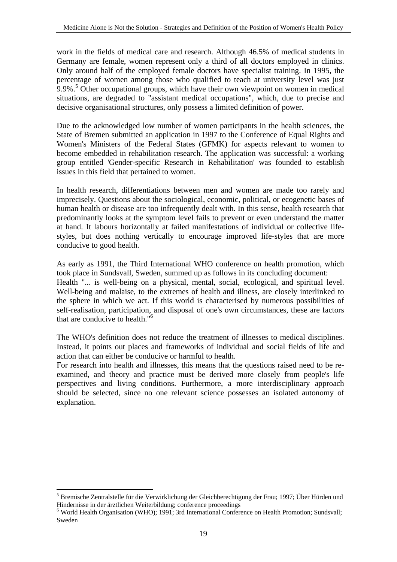work in the fields of medical care and research. Although 46.5% of medical students in Germany are female, women represent only a third of all doctors employed in clinics. Only around half of the employed female doctors have specialist training. In 1995, the percentage of women among those who qualified to teach at university level was just 9.9%.<sup>5</sup> Other occupational groups, which have their own viewpoint on women in medical situations, are degraded to "assistant medical occupations", which, due to precise and decisive organisational structures, only possess a limited definition of power.

Due to the acknowledged low number of women participants in the health sciences, the State of Bremen submitted an application in 1997 to the Conference of Equal Rights and Women's Ministers of the Federal States (GFMK) for aspects relevant to women to become embedded in rehabilitation research. The application was successful: a working group entitled 'Gender-specific Research in Rehabilitation' was founded to establish issues in this field that pertained to women.

In health research, differentiations between men and women are made too rarely and imprecisely. Questions about the sociological, economic, political, or ecogenetic bases of human health or disease are too infrequently dealt with. In this sense, health research that predominantly looks at the symptom level fails to prevent or even understand the matter at hand. It labours horizontally at failed manifestations of individual or collective lifestyles, but does nothing vertically to encourage improved life-styles that are more conducive to good health.

As early as 1991, the Third International WHO conference on health promotion, which took place in Sundsvall, Sweden, summed up as follows in its concluding document: Health "... is well-being on a physical, mental, social, ecological, and spiritual level. Well-being and malaise, to the extremes of health and illness, are closely interlinked to the sphere in which we act. If this world is characterised by numerous possibilities of self-realisation, participation, and disposal of one's own circumstances, these are factors that are conducive to health."<sup>6</sup>

The WHO's definition does not reduce the treatment of illnesses to medical disciplines. Instead, it points out places and frameworks of individual and social fields of life and action that can either be conducive or harmful to health.

For research into health and illnesses, this means that the questions raised need to be reexamined, and theory and practice must be derived more closely from people's life perspectives and living conditions. Furthermore, a more interdisciplinary approach should be selected, since no one relevant science possesses an isolated autonomy of explanation.

 $\overline{a}$ 

<sup>&</sup>lt;sup>5</sup> Bremische Zentralstelle für die Verwirklichung der Gleichberechtigung der Frau; 1997; Über Hürden und Hindernisse in der ärztlichen Weiterbildung; conference proceedings

<sup>&</sup>lt;sup>6</sup> World Health Organisation (WHO); 1991; 3rd International Conference on Health Promotion; Sundsvall; Sweden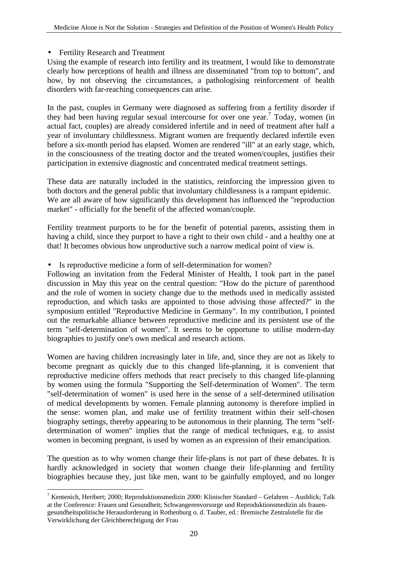#### • Fertility Research and Treatment

Using the example of research into fertility and its treatment, I would like to demonstrate clearly how perceptions of health and illness are disseminated "from top to bottom", and how, by not observing the circumstances, a pathologising reinforcement of health disorders with far-reaching consequences can arise.

In the past, couples in Germany were diagnosed as suffering from a fertility disorder if they had been having regular sexual intercourse for over one year.<sup>7</sup> Today, women (in actual fact, couples) are already considered infertile and in need of treatment after half a year of involuntary childlessness. Migrant women are frequently declared infertile even before a six-month period has elapsed. Women are rendered "ill" at an early stage, which, in the consciousness of the treating doctor and the treated women/couples, justifies their participation in extensive diagnostic and concentrated medical treatment settings.

These data are naturally included in the statistics, reinforcing the impression given to both doctors and the general public that involuntary childlessness is a rampant epidemic. We are all aware of how significantly this development has influenced the "reproduction market" - officially for the benefit of the affected woman/couple.

Fertility treatment purports to be for the benefit of potential parents, assisting them in having a child, since they purport to have a right to their own child - and a healthy one at that! It becomes obvious how unproductive such a narrow medical point of view is.

• Is reproductive medicine a form of self-determination for women?

Following an invitation from the Federal Minister of Health, I took part in the panel discussion in May this year on the central question: "How do the picture of parenthood and the role of women in society change due to the methods used in medically assisted reproduction, and which tasks are appointed to those advising those affected?" in the symposium entitled "Reproductive Medicine in Germany". In my contribution, I pointed out the remarkable alliance between reproductive medicine and its persistent use of the term "self-determination of women". It seems to be opportune to utilise modern-day biographies to justify one's own medical and research actions.

Women are having children increasingly later in life, and, since they are not as likely to become pregnant as quickly due to this changed life-planning, it is convenient that reproductive medicine offers methods that react precisely to this changed life-planning by women using the formula "Supporting the Self-determination of Women". The term "self-determination of women" is used here in the sense of a self-determined utilisation of medical developments by women. Female planning autonomy is therefore implied in the sense: women plan, and make use of fertility treatment within their self-chosen biography settings, thereby appearing to be autonomous in their planning. The term "selfdetermination of women" implies that the range of medical techniques, e.g. to assist women in becoming pregnant, is used by women as an expression of their emancipation.

The question as to why women change their life-plans is not part of these debates. It is hardly acknowledged in society that women change their life-planning and fertility biographies because they, just like men, want to be gainfully employed, and no longer

 $\overline{a}$ <sup>7</sup> Kentenich, Heribert; 2000; Reproduktionsmedizin 2000: Klinischer Standard – Gefahren – Ausblick; Talk at the Conference: Frauen und Gesundheit; Schwangerenvorsorge und Reproduktionsmedizin als frauengesundheitspolitische Herausforderung in Rothenburg o. d. Tauber, ed.: Bremische Zentralstelle für die Verwirklichung der Gleichberechtigung der Frau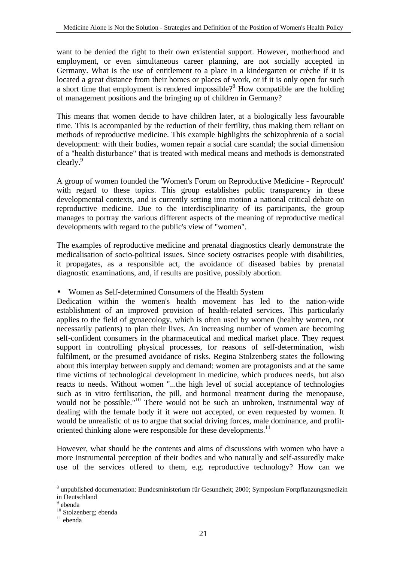want to be denied the right to their own existential support. However, motherhood and employment, or even simultaneous career planning, are not socially accepted in Germany. What is the use of entitlement to a place in a kindergarten or crèche if it is located a great distance from their homes or places of work, or if it is only open for such a short time that employment is rendered impossible? $8$  How compatible are the holding of management positions and the bringing up of children in Germany?

This means that women decide to have children later, at a biologically less favourable time. This is accompanied by the reduction of their fertility, thus making them reliant on methods of reproductive medicine. This example highlights the schizophrenia of a social development: with their bodies, women repair a social care scandal; the social dimension of a "health disturbance" that is treated with medical means and methods is demonstrated clearly.<sup>9</sup>

A group of women founded the 'Women's Forum on Reproductive Medicine - Reprocult' with regard to these topics. This group establishes public transparency in these developmental contexts, and is currently setting into motion a national critical debate on reproductive medicine. Due to the interdisciplinarity of its participants, the group manages to portray the various different aspects of the meaning of reproductive medical developments with regard to the public's view of "women".

The examples of reproductive medicine and prenatal diagnostics clearly demonstrate the medicalisation of socio-political issues. Since society ostracises people with disabilities, it propagates, as a responsible act, the avoidance of diseased babies by prenatal diagnostic examinations, and, if results are positive, possibly abortion.

#### • Women as Self-determined Consumers of the Health System

Dedication within the women's health movement has led to the nation-wide establishment of an improved provision of health-related services. This particularly applies to the field of gynaecology, which is often used by women (healthy women, not necessarily patients) to plan their lives. An increasing number of women are becoming self-confident consumers in the pharmaceutical and medical market place. They request support in controlling physical processes, for reasons of self-determination, wish fulfilment, or the presumed avoidance of risks. Regina Stolzenberg states the following about this interplay between supply and demand: women are protagonists and at the same time victims of technological development in medicine, which produces needs, but also reacts to needs. Without women "...the high level of social acceptance of technologies such as in vitro fertilisation, the pill, and hormonal treatment during the menopause. would not be possible."<sup>10</sup> There would not be such an unbroken, instrumental way of dealing with the female body if it were not accepted, or even requested by women. It would be unrealistic of us to argue that social driving forces, male dominance, and profitoriented thinking alone were responsible for these developments.<sup>11</sup>

However, what should be the contents and aims of discussions with women who have a more instrumental perception of their bodies and who naturally and self-assuredly make use of the services offered to them, e.g. reproductive technology? How can we

 $\overline{a}$ <sup>8</sup> unpublished documentation: Bundesministerium für Gesundheit; 2000; Symposium Fortpflanzungsmedizin in Deutschland

<sup>&</sup>lt;sup>9</sup> ebenda

<sup>&</sup>lt;sup>10</sup> Stolzenberg; ebenda

<sup>11</sup> ebenda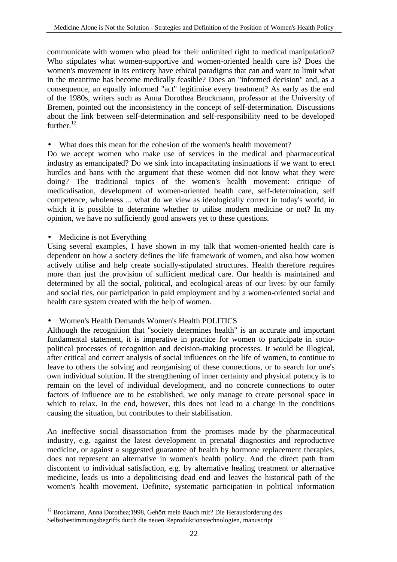communicate with women who plead for their unlimited right to medical manipulation? Who stipulates what women-supportive and women-oriented health care is? Does the women's movement in its entirety have ethical paradigms that can and want to limit what in the meantime has become medically feasible? Does an "informed decision" and, as a consequence, an equally informed "act" legitimise every treatment? As early as the end of the 1980s, writers such as Anna Dorothea Brockmann, professor at the University of Bremen, pointed out the inconsistency in the concept of self-determination. Discussions about the link between self-determination and self-responsibility need to be developed further. $12$ 

#### • What does this mean for the cohesion of the women's health movement?

Do we accept women who make use of services in the medical and pharmaceutical industry as emancipated? Do we sink into incapacitating insinuations if we want to erect hurdles and bans with the argument that these women did not know what they were doing? The traditional topics of the women's health movement: critique of medicalisation, development of women-oriented health care, self-determination, self competence, wholeness ... what do we view as ideologically correct in today's world, in which it is possible to determine whether to utilise modern medicine or not? In my opinion, we have no sufficiently good answers yet to these questions.

Medicine is not Everything

Using several examples, I have shown in my talk that women-oriented health care is dependent on how a society defines the life framework of women, and also how women actively utilise and help create socially-stipulated structures. Health therefore requires more than just the provision of sufficient medical care. Our health is maintained and determined by all the social, political, and ecological areas of our lives: by our family and social ties, our participation in paid employment and by a women-oriented social and health care system created with the help of women.

#### • Women's Health Demands Women's Health POLITICS

Although the recognition that "society determines health" is an accurate and important fundamental statement, it is imperative in practice for women to participate in sociopolitical processes of recognition and decision-making processes. It would be illogical, after critical and correct analysis of social influences on the life of women, to continue to leave to others the solving and reorganising of these connections, or to search for one's own individual solution. If the strengthening of inner certainty and physical potency is to remain on the level of individual development, and no concrete connections to outer factors of influence are to be established, we only manage to create personal space in which to relax. In the end, however, this does not lead to a change in the conditions causing the situation, but contributes to their stabilisation.

An ineffective social disassociation from the promises made by the pharmaceutical industry, e.g. against the latest development in prenatal diagnostics and reproductive medicine, or against a suggested guarantee of health by hormone replacement therapies, does not represent an alternative in women's health policy. And the direct path from discontent to individual satisfaction, e.g. by alternative healing treatment or alternative medicine, leads us into a depoliticising dead end and leaves the historical path of the women's health movement. Definite, systematic participation in political information

 $\overline{a}$ <sup>12</sup> Brockmann, Anna Dorothea;1998, Gehört mein Bauch mir? Die Herausforderung des Selbstbestimmungsbegriffs durch die neuen Reproduktionstechnologien, manuscript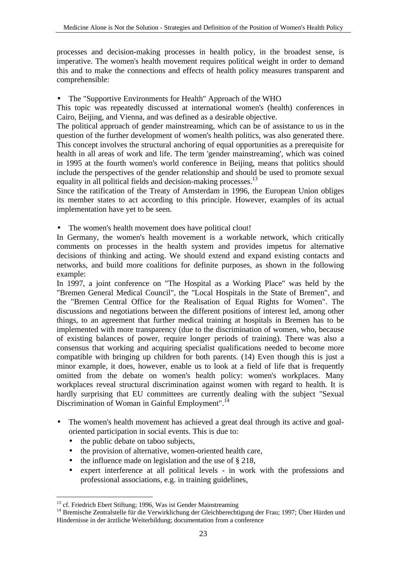processes and decision-making processes in health policy, in the broadest sense, is imperative. The women's health movement requires political weight in order to demand this and to make the connections and effects of health policy measures transparent and comprehensible:

• The "Supportive Environments for Health" Approach of the WHO

This topic was repeatedly discussed at international women's (health) conferences in Cairo, Beijing, and Vienna, and was defined as a desirable objective.

The political approach of gender mainstreaming, which can be of assistance to us in the question of the further development of women's health politics, was also generated there. This concept involves the structural anchoring of equal opportunities as a prerequisite for health in all areas of work and life. The term 'gender mainstreaming', which was coined in 1995 at the fourth women's world conference in Beijing, means that politics should include the perspectives of the gender relationship and should be used to promote sexual equality in all political fields and decision-making processes.<sup>13</sup>

Since the ratification of the Treaty of Amsterdam in 1996, the European Union obliges its member states to act according to this principle. However, examples of its actual implementation have yet to be seen.

• The women's health movement does have political clout!

In Germany, the women's health movement is a workable network, which critically comments on processes in the health system and provides impetus for alternative decisions of thinking and acting. We should extend and expand existing contacts and networks, and build more coalitions for definite purposes, as shown in the following example:

In 1997, a joint conference on "The Hospital as a Working Place" was held by the "Bremen General Medical Council", the "Local Hospitals in the State of Bremen", and the "Bremen Central Office for the Realisation of Equal Rights for Women". The discussions and negotiations between the different positions of interest led, among other things, to an agreement that further medical training at hospitals in Bremen has to be implemented with more transparency (due to the discrimination of women, who, because of existing balances of power, require longer periods of training). There was also a consensus that working and acquiring specialist qualifications needed to become more compatible with bringing up children for both parents. (14) Even though this is just a minor example, it does, however, enable us to look at a field of life that is frequently omitted from the debate on women's health policy: women's workplaces. Many workplaces reveal structural discrimination against women with regard to health. It is hardly surprising that EU committees are currently dealing with the subject "Sexual Discrimination of Woman in Gainful Employment".<sup>14</sup>

- The women's health movement has achieved a great deal through its active and goaloriented participation in social events. This is due to:
	- the public debate on taboo subjects,
	- the provision of alternative, women-oriented health care,
	- the influence made on legislation and the use of § 218,
	- expert interference at all political levels in work with the professions and professional associations, e.g. in training guidelines,

 $\overline{a}$ <sup>13</sup> cf. Friedrich Ebert Stiftung; 1996, Was ist Gender Mainstreaming

<sup>&</sup>lt;sup>14</sup> Bremische Zentralstelle für die Verwirklichung der Gleichberechtigung der Frau; 1997; Über Hürden und Hindernisse in der ärztliche Weiterbildung; documentation from a conference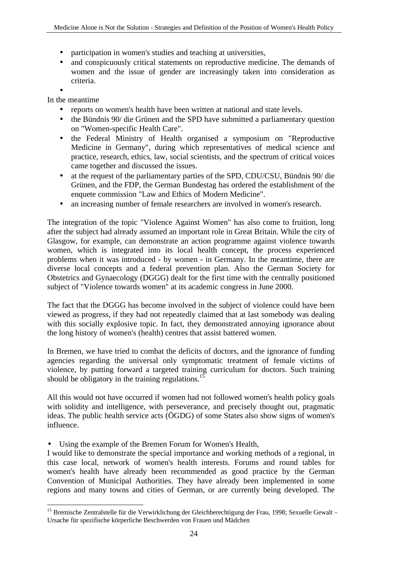- participation in women's studies and teaching at universities,
- and conspicuously critical statements on reproductive medicine. The demands of women and the issue of gender are increasingly taken into consideration as criteria.

•

 $\overline{a}$ 

In the meantime

- reports on women's health have been written at national and state levels.
- the Bündnis 90/ die Grünen and the SPD have submitted a parliamentary question on "Women-specific Health Care".
- the Federal Ministry of Health organised a symposium on "Reproductive Medicine in Germany", during which representatives of medical science and practice, research, ethics, law, social scientists, and the spectrum of critical voices came together and discussed the issues.
- at the request of the parliamentary parties of the SPD, CDU/CSU, Bündnis 90/die Grünen, and the FDP, the German Bundestag has ordered the establishment of the enquete commission "Law and Ethics of Modern Medicine".
- an increasing number of female researchers are involved in women's research.

The integration of the topic "Violence Against Women" has also come to fruition, long after the subject had already assumed an important role in Great Britain. While the city of Glasgow, for example, can demonstrate an action programme against violence towards women, which is integrated into its local health concept, the process experienced problems when it was introduced - by women - in Germany. In the meantime, there are diverse local concepts and a federal prevention plan. Also the German Society for Obstetrics and Gynaecology (DGGG) dealt for the first time with the centrally positioned subject of "Violence towards women" at its academic congress in June 2000.

The fact that the DGGG has become involved in the subject of violence could have been viewed as progress, if they had not repeatedly claimed that at last somebody was dealing with this socially explosive topic. In fact, they demonstrated annoying ignorance about the long history of women's (health) centres that assist battered women.

In Bremen, we have tried to combat the deficits of doctors, and the ignorance of funding agencies regarding the universal only symptomatic treatment of female victims of violence, by putting forward a targeted training curriculum for doctors. Such training should be obligatory in the training regulations.<sup>15</sup>

All this would not have occurred if women had not followed women's health policy goals with solidity and intelligence, with perseverance, and precisely thought out, pragmatic ideas. The public health service acts (ÖGDG) of some States also show signs of women's influence.

• Using the example of the Bremen Forum for Women's Health,

I would like to demonstrate the special importance and working methods of a regional, in this case local, network of women's health interests. Forums and round tables for women's health have already been recommended as good practice by the German Convention of Municipal Authorities. They have already been implemented in some regions and many towns and cities of German, or are currently being developed. The

<sup>&</sup>lt;sup>15</sup> Bremische Zentralstelle für die Verwirklichung der Gleichberechtigung der Frau, 1998; Sexuelle Gewalt – Ursache für spezifische körperliche Beschwerden von Frauen und Mädchen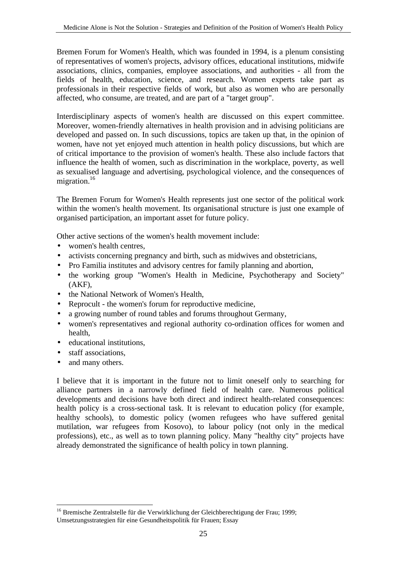Bremen Forum for Women's Health, which was founded in 1994, is a plenum consisting of representatives of women's projects, advisory offices, educational institutions, midwife associations, clinics, companies, employee associations, and authorities - all from the fields of health, education, science, and research. Women experts take part as professionals in their respective fields of work, but also as women who are personally affected, who consume, are treated, and are part of a "target group".

Interdisciplinary aspects of women's health are discussed on this expert committee. Moreover, women-friendly alternatives in health provision and in advising politicians are developed and passed on. In such discussions, topics are taken up that, in the opinion of women, have not yet enjoyed much attention in health policy discussions, but which are of critical importance to the provision of women's health. These also include factors that influence the health of women, such as discrimination in the workplace, poverty, as well as sexualised language and advertising, psychological violence, and the consequences of migration.<sup>16</sup>

The Bremen Forum for Women's Health represents just one sector of the political work within the women's health movement. Its organisational structure is just one example of organised participation, an important asset for future policy.

Other active sections of the women's health movement include:

- women's health centres.
- activists concerning pregnancy and birth, such as midwives and obstetricians,
- Pro Familia institutes and advisory centres for family planning and abortion,
- the working group "Women's Health in Medicine, Psychotherapy and Society" (AKF),
- the National Network of Women's Health,
- Reprocult the women's forum for reproductive medicine,
- a growing number of round tables and forums throughout Germany,
- women's representatives and regional authority co-ordination offices for women and health,
- educational institutions.
- staff associations,
- and many others.

 $\overline{a}$ 

I believe that it is important in the future not to limit oneself only to searching for alliance partners in a narrowly defined field of health care. Numerous political developments and decisions have both direct and indirect health-related consequences: health policy is a cross-sectional task. It is relevant to education policy (for example, healthy schools), to domestic policy (women refugees who have suffered genital mutilation, war refugees from Kosovo), to labour policy (not only in the medical professions), etc., as well as to town planning policy. Many "healthy city" projects have already demonstrated the significance of health policy in town planning.

<sup>&</sup>lt;sup>16</sup> Bremische Zentralstelle für die Verwirklichung der Gleichberechtigung der Frau; 1999; Umsetzungsstrategien für eine Gesundheitspolitik für Frauen; Essay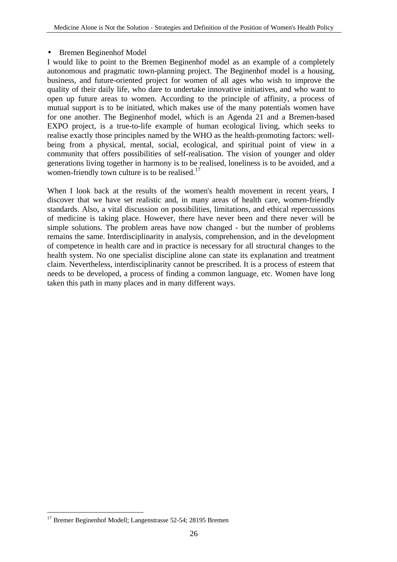#### • Bremen Beginenhof Model

I would like to point to the Bremen Beginenhof model as an example of a completely autonomous and pragmatic town-planning project. The Beginenhof model is a housing, business, and future-oriented project for women of all ages who wish to improve the quality of their daily life, who dare to undertake innovative initiatives, and who want to open up future areas to women. According to the principle of affinity, a process of mutual support is to be initiated, which makes use of the many potentials women have for one another. The Beginenhof model, which is an Agenda 21 and a Bremen-based EXPO project, is a true-to-life example of human ecological living, which seeks to realise exactly those principles named by the WHO as the health-promoting factors: wellbeing from a physical, mental, social, ecological, and spiritual point of view in a community that offers possibilities of self-realisation. The vision of younger and older generations living together in harmony is to be realised, loneliness is to be avoided, and a women-friendly town culture is to be realised. $17$ 

When I look back at the results of the women's health movement in recent years, I discover that we have set realistic and, in many areas of health care, women-friendly standards. Also, a vital discussion on possibilities, limitations, and ethical repercussions of medicine is taking place. However, there have never been and there never will be simple solutions. The problem areas have now changed - but the number of problems remains the same. Interdisciplinarity in analysis, comprehension, and in the development of competence in health care and in practice is necessary for all structural changes to the health system. No one specialist discipline alone can state its explanation and treatment claim. Nevertheless, interdisciplinarity cannot be prescribed. It is a process of esteem that needs to be developed, a process of finding a common language, etc. Women have long taken this path in many places and in many different ways.

 $\overline{a}$ <sup>17</sup> Bremer Beginenhof Modell; Langenstrasse 52-54; 28195 Bremen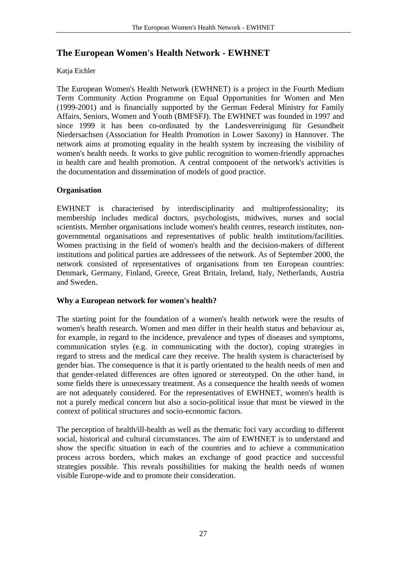## **The European Women's Health Network - EWHNET**

#### Katja Eichler

The European Women's Health Network (EWHNET) is a project in the Fourth Medium Term Community Action Programme on Equal Opportunities for Women and Men (1999-2001) and is financially supported by the German Federal Ministry for Family Affairs, Seniors, Women and Youth (BMFSFJ). The EWHNET was founded in 1997 and since 1999 it has been co-ordinated by the Landesvereinigung für Gesundheit Niedersachsen (Association for Health Promotion in Lower Saxony) in Hannover. The network aims at promoting equality in the health system by increasing the visibility of women's health needs. It works to give public recognition to women-friendly approaches in health care and health promotion. A central component of the network's activities is the documentation and dissemination of models of good practice.

#### **Organisation**

EWHNET is characterised by interdisciplinarity and multiprofessionality; its membership includes medical doctors, psychologists, midwives, nurses and social scientists. Member organisations include women's health centres, research institutes, nongovernmental organisations and representatives of public health institutions/facilities. Women practising in the field of women's health and the decision-makers of different institutions and political parties are addressees of the network. As of September 2000, the network consisted of representatives of organisations from ten European countries: Denmark, Germany, Finland, Greece, Great Britain, Ireland, Italy, Netherlands, Austria and Sweden.

#### **Why a European network for women's health?**

The starting point for the foundation of a women's health network were the results of women's health research. Women and men differ in their health status and behaviour as, for example, in regard to the incidence, prevalence and types of diseases and symptoms, communication styles (e.g. in communicating with the doctor), coping strategies in regard to stress and the medical care they receive. The health system is characterised by gender bias. The consequence is that it is partly orientated to the health needs of men and that gender-related differences are often ignored or stereotyped. On the other hand, in some fields there is unnecessary treatment. As a consequence the health needs of women are not adequately considered. For the representatives of EWHNET, women's health is not a purely medical concern but also a socio-political issue that must be viewed in the context of political structures and socio-economic factors.

The perception of health/ill-health as well as the thematic foci vary according to different social, historical and cultural circumstances. The aim of EWHNET is to understand and show the specific situation in each of the countries and to achieve a communication process across borders, which makes an exchange of good practice and successful strategies possible. This reveals possibilities for making the health needs of women visible Europe-wide and to promote their consideration.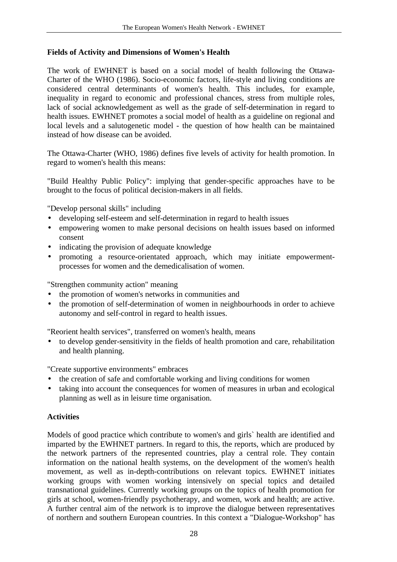#### **Fields of Activity and Dimensions of Women's Health**

The work of EWHNET is based on a social model of health following the Ottawa-Charter of the WHO (1986). Socio-economic factors, life-style and living conditions are considered central determinants of women's health. This includes, for example, inequality in regard to economic and professional chances, stress from multiple roles, lack of social acknowledgement as well as the grade of self-determination in regard to health issues. EWHNET promotes a social model of health as a guideline on regional and local levels and a salutogenetic model - the question of how health can be maintained instead of how disease can be avoided.

The Ottawa-Charter (WHO, 1986) defines five levels of activity for health promotion. In regard to women's health this means:

"Build Healthy Public Policy": implying that gender-specific approaches have to be brought to the focus of political decision-makers in all fields.

"Develop personal skills" including

- developing self-esteem and self-determination in regard to health issues
- empowering women to make personal decisions on health issues based on informed consent
- indicating the provision of adequate knowledge
- promoting a resource-orientated approach, which may initiate empowermentprocesses for women and the demedicalisation of women.

"Strengthen community action" meaning

- the promotion of women's networks in communities and
- the promotion of self-determination of women in neighbourhoods in order to achieve autonomy and self-control in regard to health issues.

"Reorient health services", transferred on women's health, means

• to develop gender-sensitivity in the fields of health promotion and care, rehabilitation and health planning.

"Create supportive environments" embraces

- the creation of safe and comfortable working and living conditions for women
- taking into account the consequences for women of measures in urban and ecological planning as well as in leisure time organisation.

#### **Activities**

Models of good practice which contribute to women's and girls` health are identified and imparted by the EWHNET partners. In regard to this, the reports, which are produced by the network partners of the represented countries, play a central role. They contain information on the national health systems, on the development of the women's health movement, as well as in-depth-contributions on relevant topics. EWHNET initiates working groups with women working intensively on special topics and detailed transnational guidelines. Currently working groups on the topics of health promotion for girls at school, women-friendly psychotherapy, and women, work and health; are active. A further central aim of the network is to improve the dialogue between representatives of northern and southern European countries. In this context a "Dialogue-Workshop" has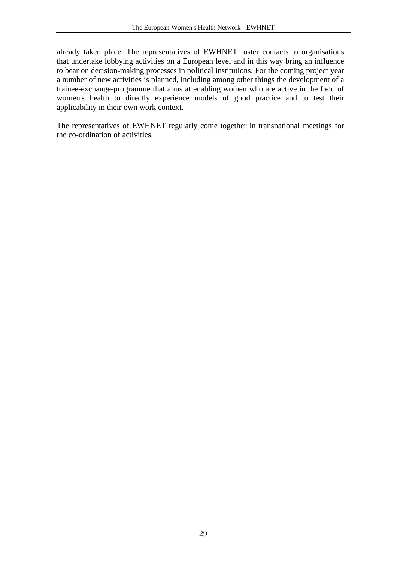already taken place. The representatives of EWHNET foster contacts to organisations that undertake lobbying activities on a European level and in this way bring an influence to bear on decision-making processes in political institutions. For the coming project year a number of new activities is planned, including among other things the development of a trainee-exchange-programme that aims at enabling women who are active in the field of women's health to directly experience models of good practice and to test their applicability in their own work context.

The representatives of EWHNET regularly come together in transnational meetings for the co-ordination of activities.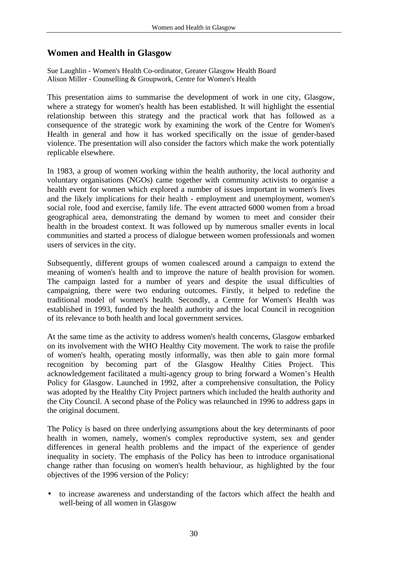## **Women and Health in Glasgow**

Sue Laughlin - Women's Health Co-ordinator, Greater Glasgow Health Board Alison Miller - Counselling & Groupwork, Centre for Women's Health

This presentation aims to summarise the development of work in one city, Glasgow, where a strategy for women's health has been established. It will highlight the essential relationship between this strategy and the practical work that has followed as a consequence of the strategic work by examining the work of the Centre for Women's Health in general and how it has worked specifically on the issue of gender-based violence. The presentation will also consider the factors which make the work potentially replicable elsewhere.

In 1983, a group of women working within the health authority, the local authority and voluntary organisations (NGOs) came together with community activists to organise a health event for women which explored a number of issues important in women's lives and the likely implications for their health - employment and unemployment, women's social role, food and exercise, family life. The event attracted 6000 women from a broad geographical area, demonstrating the demand by women to meet and consider their health in the broadest context. It was followed up by numerous smaller events in local communities and started a process of dialogue between women professionals and women users of services in the city.

Subsequently, different groups of women coalesced around a campaign to extend the meaning of women's health and to improve the nature of health provision for women. The campaign lasted for a number of years and despite the usual difficulties of campaigning, there were two enduring outcomes. Firstly, it helped to redefine the traditional model of women's health. Secondly, a Centre for Women's Health was established in 1993, funded by the health authority and the local Council in recognition of its relevance to both health and local government services.

At the same time as the activity to address women's health concerns, Glasgow embarked on its involvement with the WHO Healthy City movement. The work to raise the profile of women's health, operating mostly informally, was then able to gain more formal recognition by becoming part of the Glasgow Healthy Cities Project. This acknowledgement facilitated a multi-agency group to bring forward a Women's Health Policy for Glasgow. Launched in 1992, after a comprehensive consultation, the Policy was adopted by the Healthy City Project partners which included the health authority and the City Council. A second phase of the Policy was relaunched in 1996 to address gaps in the original document.

The Policy is based on three underlying assumptions about the key determinants of poor health in women, namely, women's complex reproductive system, sex and gender differences in general health problems and the impact of the experience of gender inequality in society. The emphasis of the Policy has been to introduce organisational change rather than focusing on women's health behaviour, as highlighted by the four objectives of the 1996 version of the Policy:

• to increase awareness and understanding of the factors which affect the health and well-being of all women in Glasgow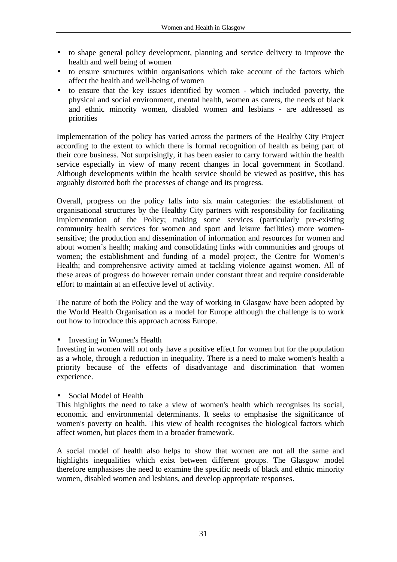- to shape general policy development, planning and service delivery to improve the health and well being of women
- to ensure structures within organisations which take account of the factors which affect the health and well-being of women
- to ensure that the key issues identified by women which included poverty, the physical and social environment, mental health, women as carers, the needs of black and ethnic minority women, disabled women and lesbians - are addressed as priorities

Implementation of the policy has varied across the partners of the Healthy City Project according to the extent to which there is formal recognition of health as being part of their core business. Not surprisingly, it has been easier to carry forward within the health service especially in view of many recent changes in local government in Scotland. Although developments within the health service should be viewed as positive, this has arguably distorted both the processes of change and its progress.

Overall, progress on the policy falls into six main categories: the establishment of organisational structures by the Healthy City partners with responsibility for facilitating implementation of the Policy; making some services (particularly pre-existing community health services for women and sport and leisure facilities) more womensensitive; the production and dissemination of information and resources for women and about women's health; making and consolidating links with communities and groups of women; the establishment and funding of a model project, the Centre for Women's Health; and comprehensive activity aimed at tackling violence against women. All of these areas of progress do however remain under constant threat and require considerable effort to maintain at an effective level of activity.

The nature of both the Policy and the way of working in Glasgow have been adopted by the World Health Organisation as a model for Europe although the challenge is to work out how to introduce this approach across Europe.

• Investing in Women's Health

Investing in women will not only have a positive effect for women but for the population as a whole, through a reduction in inequality. There is a need to make women's health a priority because of the effects of disadvantage and discrimination that women experience.

Social Model of Health

This highlights the need to take a view of women's health which recognises its social, economic and environmental determinants. It seeks to emphasise the significance of women's poverty on health. This view of health recognises the biological factors which affect women, but places them in a broader framework.

A social model of health also helps to show that women are not all the same and highlights inequalities which exist between different groups. The Glasgow model therefore emphasises the need to examine the specific needs of black and ethnic minority women, disabled women and lesbians, and develop appropriate responses.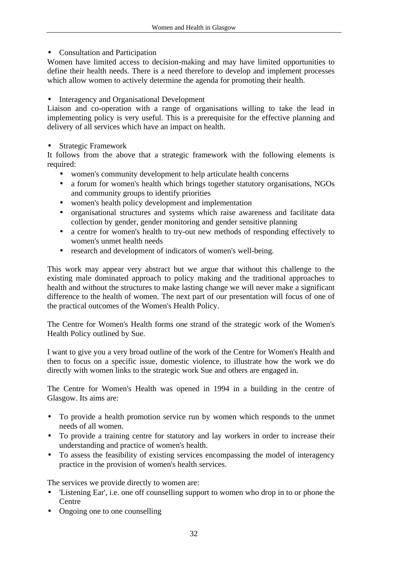#### • Consultation and Participation

Women have limited access to decision-making and may have limited opportunities to define their health needs. There is a need therefore to develop and implement processes which allow women to actively determine the agenda for promoting their health.

• Interagency and Organisational Development

Liaison and co-operation with a range of organisations willing to take the lead in implementing policy is very useful. This is a prerequisite for the effective planning and delivery of all services which have an impact on health.

#### • Strategic Framework

It follows from the above that a strategic framework with the following elements is required:

- women's community development to help articulate health concerns
- a forum for women's health which brings together statutory organisations, NGOs and community groups to identify priorities
- women's health policy development and implementation
- organisational structures and systems which raise awareness and facilitate data collection by gender, gender monitoring and gender sensitive planning
- a centre for women's health to try-out new methods of responding effectively to women's unmet health needs
- research and development of indicators of women's well-being.

This work may appear very abstract but we argue that without this challenge to the existing male dominated approach to policy making and the traditional approaches to health and without the structures to make lasting change we will never make a significant difference to the health of women. The next part of our presentation will focus of one of the practical outcomes of the Women's Health Policy.

The Centre for Women's Health forms one strand of the strategic work of the Women's Health Policy outlined by Sue.

I want to give you a very broad outline of the work of the Centre for Women's Health and then to focus on a specific issue, domestic violence, to illustrate how the work we do directly with women links to the strategic work Sue and others are engaged in.

The Centre for Women's Health was opened in 1994 in a building in the centre of Glasgow. Its aims are:

- To provide a health promotion service run by women which responds to the unmet needs of all women.
- To provide a training centre for statutory and lay workers in order to increase their understanding and practice of women's health.
- To assess the feasibility of existing services encompassing the model of interagency practice in the provision of women's health services.

The services we provide directly to women are:

- 'Listening Ear', i.e. one off counselling support to women who drop in to or phone the **Centre**
- Ongoing one to one counselling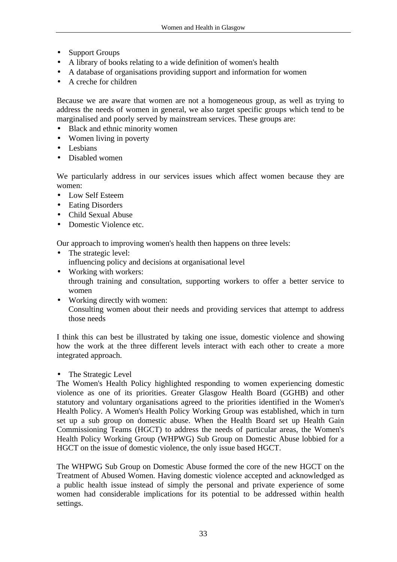- Support Groups
- A library of books relating to a wide definition of women's health
- A database of organisations providing support and information for women
- A creche for children

Because we are aware that women are not a homogeneous group, as well as trying to address the needs of women in general, we also target specific groups which tend to be marginalised and poorly served by mainstream services. These groups are:

- Black and ethnic minority women
- Women living in poverty
- Lesbians
- Disabled women

We particularly address in our services issues which affect women because they are women:

- Low Self Esteem
- Eating Disorders
- Child Sexual Abuse
- Domestic Violence etc.

Our approach to improving women's health then happens on three levels:

- The strategic level: influencing policy and decisions at organisational level
- Working with workers: through training and consultation, supporting workers to offer a better service to women
- Working directly with women: Consulting women about their needs and providing services that attempt to address those needs

I think this can best be illustrated by taking one issue, domestic violence and showing how the work at the three different levels interact with each other to create a more integrated approach.

The Strategic Level

The Women's Health Policy highlighted responding to women experiencing domestic violence as one of its priorities. Greater Glasgow Health Board (GGHB) and other statutory and voluntary organisations agreed to the priorities identified in the Women's Health Policy. A Women's Health Policy Working Group was established, which in turn set up a sub group on domestic abuse. When the Health Board set up Health Gain Commissioning Teams (HGCT) to address the needs of particular areas, the Women's Health Policy Working Group (WHPWG) Sub Group on Domestic Abuse lobbied for a HGCT on the issue of domestic violence, the only issue based HGCT.

The WHPWG Sub Group on Domestic Abuse formed the core of the new HGCT on the Treatment of Abused Women. Having domestic violence accepted and acknowledged as a public health issue instead of simply the personal and private experience of some women had considerable implications for its potential to be addressed within health settings.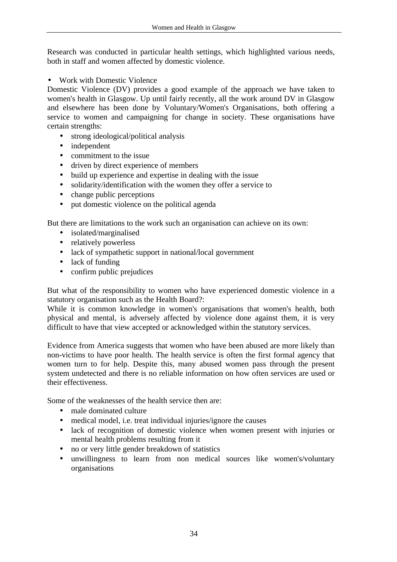Research was conducted in particular health settings, which highlighted various needs, both in staff and women affected by domestic violence.

• Work with Domestic Violence

Domestic Violence (DV) provides a good example of the approach we have taken to women's health in Glasgow. Up until fairly recently, all the work around DV in Glasgow and elsewhere has been done by Voluntary/Women's Organisations, both offering a service to women and campaigning for change in society. These organisations have certain strengths:

- strong ideological/political analysis
- independent
- commitment to the issue
- driven by direct experience of members
- build up experience and expertise in dealing with the issue
- solidarity/identification with the women they offer a service to
- change public perceptions
- put domestic violence on the political agenda

But there are limitations to the work such an organisation can achieve on its own:

- isolated/marginalised
- relatively powerless
- lack of sympathetic support in national/local government
- lack of funding
- confirm public prejudices

But what of the responsibility to women who have experienced domestic violence in a statutory organisation such as the Health Board?:

While it is common knowledge in women's organisations that women's health, both physical and mental, is adversely affected by violence done against them, it is very difficult to have that view accepted or acknowledged within the statutory services.

Evidence from America suggests that women who have been abused are more likely than non-victims to have poor health. The health service is often the first formal agency that women turn to for help. Despite this, many abused women pass through the present system undetected and there is no reliable information on how often services are used or their effectiveness.

Some of the weaknesses of the health service then are:

- male dominated culture
- medical model, i.e. treat individual injuries/ignore the causes
- lack of recognition of domestic violence when women present with injuries or mental health problems resulting from it
- no or very little gender breakdown of statistics
- unwillingness to learn from non medical sources like women's/voluntary organisations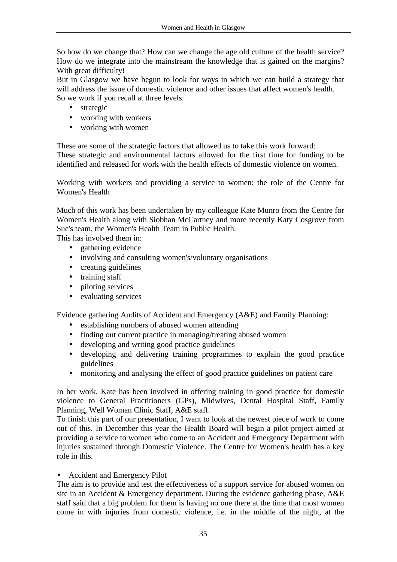So how do we change that? How can we change the age old culture of the health service? How do we integrate into the mainstream the knowledge that is gained on the margins? With great difficulty!

But in Glasgow we have begun to look for ways in which we can build a strategy that will address the issue of domestic violence and other issues that affect women's health. So we work if you recall at three levels:

- strategic
- working with workers
- working with women

These are some of the strategic factors that allowed us to take this work forward: These strategic and environmental factors allowed for the first time for funding to be identified and released for work with the health effects of domestic violence on women.

Working with workers and providing a service to women: the role of the Centre for Women's Health

Much of this work has been undertaken by my colleague Kate Munro from the Centre for Women's Health along with Siobhan McCartney and more recently Katy Cosgrove from Sue's team, the Women's Health Team in Public Health.

This has involved them in:

- gathering evidence
- involving and consulting women's/voluntary organisations
- creating guidelines
- training staff
- piloting services
- evaluating services

Evidence gathering Audits of Accident and Emergency (A&E) and Family Planning:

- establishing numbers of abused women attending
- finding out current practice in managing/treating abused women
- developing and writing good practice guidelines
- developing and delivering training programmes to explain the good practice guidelines
- monitoring and analysing the effect of good practice guidelines on patient care

In her work, Kate has been involved in offering training in good practice for domestic violence to General Practitioners (GPs), Midwives, Dental Hospital Staff, Family Planning, Well Woman Clinic Staff, A&E staff.

To finish this part of our presentation, I want to look at the newest piece of work to come out of this. In December this year the Health Board will begin a pilot project aimed at providing a service to women who come to an Accident and Emergency Department with injuries sustained through Domestic Violence. The Centre for Women's health has a key role in this.

#### • Accident and Emergency Pilot

The aim is to provide and test the effectiveness of a support service for abused women on site in an Accident & Emergency department. During the evidence gathering phase, A&E staff said that a big problem for them is having no one there at the time that most women come in with injuries from domestic violence, i.e. in the middle of the night, at the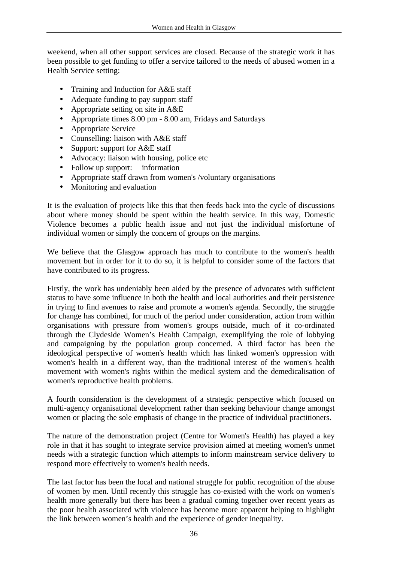weekend, when all other support services are closed. Because of the strategic work it has been possible to get funding to offer a service tailored to the needs of abused women in a Health Service setting:

- Training and Induction for A&E staff
- Adequate funding to pay support staff
- Appropriate setting on site in A&E
- Appropriate times 8.00 pm 8.00 am, Fridays and Saturdays
- Appropriate Service
- Counselling: liaison with A&E staff
- Support: support for A&E staff
- Advocacy: liaison with housing, police etc
- Follow up support: information
- Appropriate staff drawn from women's /voluntary organisations
- Monitoring and evaluation

It is the evaluation of projects like this that then feeds back into the cycle of discussions about where money should be spent within the health service. In this way, Domestic Violence becomes a public health issue and not just the individual misfortune of individual women or simply the concern of groups on the margins.

We believe that the Glasgow approach has much to contribute to the women's health movement but in order for it to do so, it is helpful to consider some of the factors that have contributed to its progress.

Firstly, the work has undeniably been aided by the presence of advocates with sufficient status to have some influence in both the health and local authorities and their persistence in trying to find avenues to raise and promote a women's agenda. Secondly, the struggle for change has combined, for much of the period under consideration, action from within organisations with pressure from women's groups outside, much of it co-ordinated through the Clydeside Women's Health Campaign, exemplifying the role of lobbying and campaigning by the population group concerned. A third factor has been the ideological perspective of women's health which has linked women's oppression with women's health in a different way, than the traditional interest of the women's health movement with women's rights within the medical system and the demedicalisation of women's reproductive health problems.

A fourth consideration is the development of a strategic perspective which focused on multi-agency organisational development rather than seeking behaviour change amongst women or placing the sole emphasis of change in the practice of individual practitioners.

The nature of the demonstration project (Centre for Women's Health) has played a key role in that it has sought to integrate service provision aimed at meeting women's unmet needs with a strategic function which attempts to inform mainstream service delivery to respond more effectively to women's health needs.

The last factor has been the local and national struggle for public recognition of the abuse of women by men. Until recently this struggle has co-existed with the work on women's health more generally but there has been a gradual coming together over recent years as the poor health associated with violence has become more apparent helping to highlight the link between women's health and the experience of gender inequality.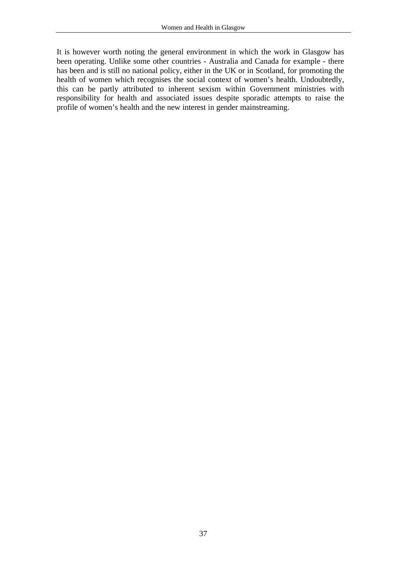It is however worth noting the general environment in which the work in Glasgow has been operating. Unlike some other countries - Australia and Canada for example - there has been and is still no national policy, either in the UK or in Scotland, for promoting the health of women which recognises the social context of women's health. Undoubtedly, this can be partly attributed to inherent sexism within Government ministries with responsibility for health and associated issues despite sporadic attempts to raise the profile of women's health and the new interest in gender mainstreaming.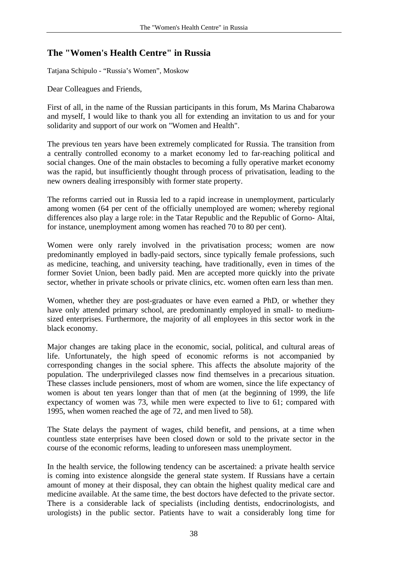# **The "Women's Health Centre" in Russia**

Tatjana Schipulo - "Russia's Women", Moskow

Dear Colleagues and Friends,

First of all, in the name of the Russian participants in this forum, Ms Marina Chabarowa and myself, I would like to thank you all for extending an invitation to us and for your solidarity and support of our work on "Women and Health".

The previous ten years have been extremely complicated for Russia. The transition from a centrally controlled economy to a market economy led to far-reaching political and social changes. One of the main obstacles to becoming a fully operative market economy was the rapid, but insufficiently thought through process of privatisation, leading to the new owners dealing irresponsibly with former state property.

The reforms carried out in Russia led to a rapid increase in unemployment, particularly among women (64 per cent of the officially unemployed are women; whereby regional differences also play a large role: in the Tatar Republic and the Republic of Gorno- Altai, for instance, unemployment among women has reached 70 to 80 per cent).

Women were only rarely involved in the privatisation process; women are now predominantly employed in badly-paid sectors, since typically female professions, such as medicine, teaching, and university teaching, have traditionally, even in times of the former Soviet Union, been badly paid. Men are accepted more quickly into the private sector, whether in private schools or private clinics, etc. women often earn less than men.

Women, whether they are post-graduates or have even earned a PhD, or whether they have only attended primary school, are predominantly employed in small- to mediumsized enterprises. Furthermore, the majority of all employees in this sector work in the black economy.

Major changes are taking place in the economic, social, political, and cultural areas of life. Unfortunately, the high speed of economic reforms is not accompanied by corresponding changes in the social sphere. This affects the absolute majority of the population. The underprivileged classes now find themselves in a precarious situation. These classes include pensioners, most of whom are women, since the life expectancy of women is about ten years longer than that of men (at the beginning of 1999, the life expectancy of women was 73, while men were expected to live to 61; compared with 1995, when women reached the age of 72, and men lived to 58).

The State delays the payment of wages, child benefit, and pensions, at a time when countless state enterprises have been closed down or sold to the private sector in the course of the economic reforms, leading to unforeseen mass unemployment.

In the health service, the following tendency can be ascertained: a private health service is coming into existence alongside the general state system. If Russians have a certain amount of money at their disposal, they can obtain the highest quality medical care and medicine available. At the same time, the best doctors have defected to the private sector. There is a considerable lack of specialists (including dentists, endocrinologists, and urologists) in the public sector. Patients have to wait a considerably long time for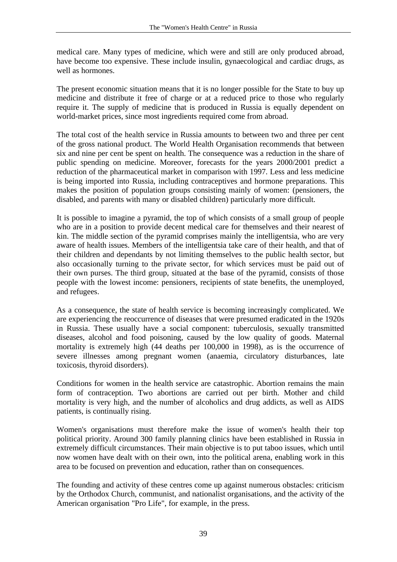medical care. Many types of medicine, which were and still are only produced abroad, have become too expensive. These include insulin, gynaecological and cardiac drugs, as well as hormones.

The present economic situation means that it is no longer possible for the State to buy up medicine and distribute it free of charge or at a reduced price to those who regularly require it. The supply of medicine that is produced in Russia is equally dependent on world-market prices, since most ingredients required come from abroad.

The total cost of the health service in Russia amounts to between two and three per cent of the gross national product. The World Health Organisation recommends that between six and nine per cent be spent on health. The consequence was a reduction in the share of public spending on medicine. Moreover, forecasts for the years 2000/2001 predict a reduction of the pharmaceutical market in comparison with 1997. Less and less medicine is being imported into Russia, including contraceptives and hormone preparations. This makes the position of population groups consisting mainly of women: (pensioners, the disabled, and parents with many or disabled children) particularly more difficult.

It is possible to imagine a pyramid, the top of which consists of a small group of people who are in a position to provide decent medical care for themselves and their nearest of kin. The middle section of the pyramid comprises mainly the intelligentsia, who are very aware of health issues. Members of the intelligentsia take care of their health, and that of their children and dependants by not limiting themselves to the public health sector, but also occasionally turning to the private sector, for which services must be paid out of their own purses. The third group, situated at the base of the pyramid, consists of those people with the lowest income: pensioners, recipients of state benefits, the unemployed, and refugees.

As a consequence, the state of health service is becoming increasingly complicated. We are experiencing the reoccurrence of diseases that were presumed eradicated in the 1920s in Russia. These usually have a social component: tuberculosis, sexually transmitted diseases, alcohol and food poisoning, caused by the low quality of goods. Maternal mortality is extremely high (44 deaths per 100,000 in 1998), as is the occurrence of severe illnesses among pregnant women (anaemia, circulatory disturbances, late toxicosis, thyroid disorders).

Conditions for women in the health service are catastrophic. Abortion remains the main form of contraception. Two abortions are carried out per birth. Mother and child mortality is very high, and the number of alcoholics and drug addicts, as well as AIDS patients, is continually rising.

Women's organisations must therefore make the issue of women's health their top political priority. Around 300 family planning clinics have been established in Russia in extremely difficult circumstances. Their main objective is to put taboo issues, which until now women have dealt with on their own, into the political arena, enabling work in this area to be focused on prevention and education, rather than on consequences.

The founding and activity of these centres come up against numerous obstacles: criticism by the Orthodox Church, communist, and nationalist organisations, and the activity of the American organisation "Pro Life", for example, in the press.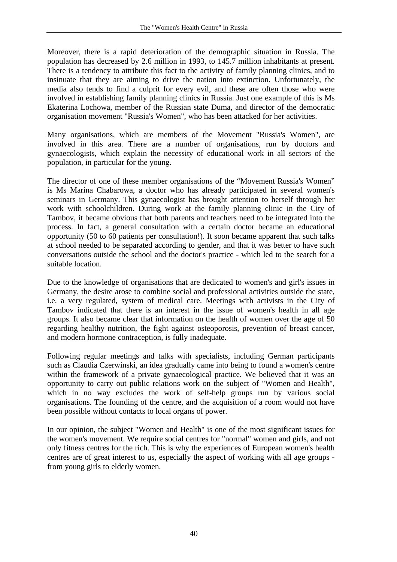Moreover, there is a rapid deterioration of the demographic situation in Russia. The population has decreased by 2.6 million in 1993, to 145.7 million inhabitants at present. There is a tendency to attribute this fact to the activity of family planning clinics, and to insinuate that they are aiming to drive the nation into extinction. Unfortunately, the media also tends to find a culprit for every evil, and these are often those who were involved in establishing family planning clinics in Russia. Just one example of this is Ms Ekaterina Lochowa, member of the Russian state Duma, and director of the democratic organisation movement "Russia's Women", who has been attacked for her activities.

Many organisations, which are members of the Movement "Russia's Women", are involved in this area. There are a number of organisations, run by doctors and gynaecologists, which explain the necessity of educational work in all sectors of the population, in particular for the young.

The director of one of these member organisations of the "Movement Russia's Women" is Ms Marina Chabarowa, a doctor who has already participated in several women's seminars in Germany. This gynaecologist has brought attention to herself through her work with schoolchildren. During work at the family planning clinic in the City of Tambov, it became obvious that both parents and teachers need to be integrated into the process. In fact, a general consultation with a certain doctor became an educational opportunity (50 to 60 patients per consultation!). It soon became apparent that such talks at school needed to be separated according to gender, and that it was better to have such conversations outside the school and the doctor's practice - which led to the search for a suitable location.

Due to the knowledge of organisations that are dedicated to women's and girl's issues in Germany, the desire arose to combine social and professional activities outside the state, i.e. a very regulated, system of medical care. Meetings with activists in the City of Tambov indicated that there is an interest in the issue of women's health in all age groups. It also became clear that information on the health of women over the age of 50 regarding healthy nutrition, the fight against osteoporosis, prevention of breast cancer, and modern hormone contraception, is fully inadequate.

Following regular meetings and talks with specialists, including German participants such as Claudia Czerwinski, an idea gradually came into being to found a women's centre within the framework of a private gynaecological practice. We believed that it was an opportunity to carry out public relations work on the subject of "Women and Health", which in no way excludes the work of self-help groups run by various social organisations. The founding of the centre, and the acquisition of a room would not have been possible without contacts to local organs of power.

In our opinion, the subject "Women and Health" is one of the most significant issues for the women's movement. We require social centres for "normal" women and girls, and not only fitness centres for the rich. This is why the experiences of European women's health centres are of great interest to us, especially the aspect of working with all age groups from young girls to elderly women.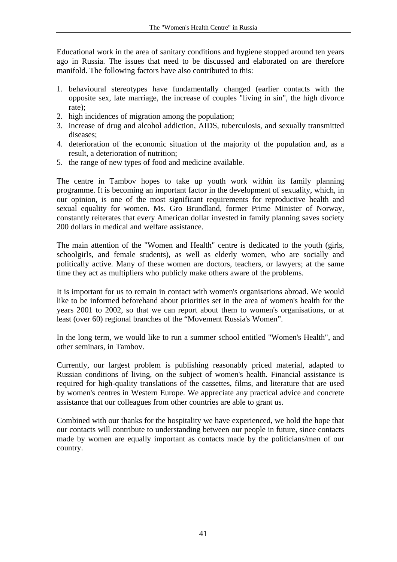Educational work in the area of sanitary conditions and hygiene stopped around ten years ago in Russia. The issues that need to be discussed and elaborated on are therefore manifold. The following factors have also contributed to this:

- 1. behavioural stereotypes have fundamentally changed (earlier contacts with the opposite sex, late marriage, the increase of couples "living in sin", the high divorce rate);
- 2. high incidences of migration among the population;
- 3. increase of drug and alcohol addiction, AIDS, tuberculosis, and sexually transmitted diseases;
- 4. deterioration of the economic situation of the majority of the population and, as a result, a deterioration of nutrition;
- 5. the range of new types of food and medicine available.

The centre in Tambov hopes to take up youth work within its family planning programme. It is becoming an important factor in the development of sexuality, which, in our opinion, is one of the most significant requirements for reproductive health and sexual equality for women. Ms. Gro Brundland, former Prime Minister of Norway, constantly reiterates that every American dollar invested in family planning saves society 200 dollars in medical and welfare assistance.

The main attention of the "Women and Health" centre is dedicated to the youth (girls, schoolgirls, and female students), as well as elderly women, who are socially and politically active. Many of these women are doctors, teachers, or lawyers; at the same time they act as multipliers who publicly make others aware of the problems.

It is important for us to remain in contact with women's organisations abroad. We would like to be informed beforehand about priorities set in the area of women's health for the years 2001 to 2002, so that we can report about them to women's organisations, or at least (over 60) regional branches of the "Movement Russia's Women".

In the long term, we would like to run a summer school entitled "Women's Health", and other seminars, in Tambov.

Currently, our largest problem is publishing reasonably priced material, adapted to Russian conditions of living, on the subject of women's health. Financial assistance is required for high-quality translations of the cassettes, films, and literature that are used by women's centres in Western Europe. We appreciate any practical advice and concrete assistance that our colleagues from other countries are able to grant us.

Combined with our thanks for the hospitality we have experienced, we hold the hope that our contacts will contribute to understanding between our people in future, since contacts made by women are equally important as contacts made by the politicians/men of our country.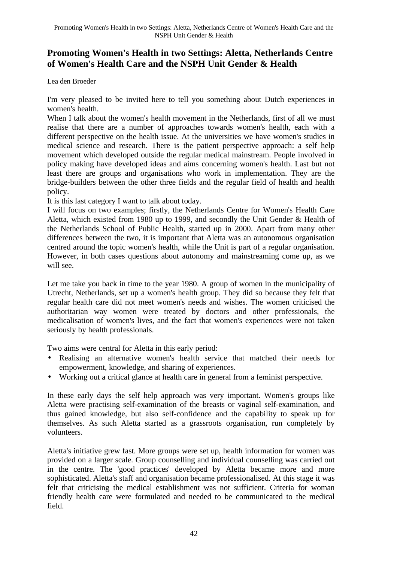# **Promoting Women's Health in two Settings: Aletta, Netherlands Centre of Women's Health Care and the NSPH Unit Gender & Health**

Lea den Broeder

I'm very pleased to be invited here to tell you something about Dutch experiences in women's health.

When I talk about the women's health movement in the Netherlands, first of all we must realise that there are a number of approaches towards women's health, each with a different perspective on the health issue. At the universities we have women's studies in medical science and research. There is the patient perspective approach: a self help movement which developed outside the regular medical mainstream. People involved in policy making have developed ideas and aims concerning women's health. Last but not least there are groups and organisations who work in implementation. They are the bridge-builders between the other three fields and the regular field of health and health policy.

It is this last category I want to talk about today.

I will focus on two examples; firstly, the Netherlands Centre for Women's Health Care Aletta, which existed from 1980 up to 1999, and secondly the Unit Gender & Health of the Netherlands School of Public Health, started up in 2000. Apart from many other differences between the two, it is important that Aletta was an autonomous organisation centred around the topic women's health, while the Unit is part of a regular organisation. However, in both cases questions about autonomy and mainstreaming come up, as we will see.

Let me take you back in time to the year 1980. A group of women in the municipality of Utrecht, Netherlands, set up a women's health group. They did so because they felt that regular health care did not meet women's needs and wishes. The women criticised the authoritarian way women were treated by doctors and other professionals, the medicalisation of women's lives, and the fact that women's experiences were not taken seriously by health professionals.

Two aims were central for Aletta in this early period:

- Realising an alternative women's health service that matched their needs for empowerment, knowledge, and sharing of experiences.
- Working out a critical glance at health care in general from a feminist perspective.

In these early days the self help approach was very important. Women's groups like Aletta were practising self-examination of the breasts or vaginal self-examination, and thus gained knowledge, but also self-confidence and the capability to speak up for themselves. As such Aletta started as a grassroots organisation, run completely by volunteers.

Aletta's initiative grew fast. More groups were set up, health information for women was provided on a larger scale. Group counselling and individual counselling was carried out in the centre. The 'good practices' developed by Aletta became more and more sophisticated. Aletta's staff and organisation became professionalised. At this stage it was felt that criticising the medical establishment was not sufficient. Criteria for woman friendly health care were formulated and needed to be communicated to the medical field.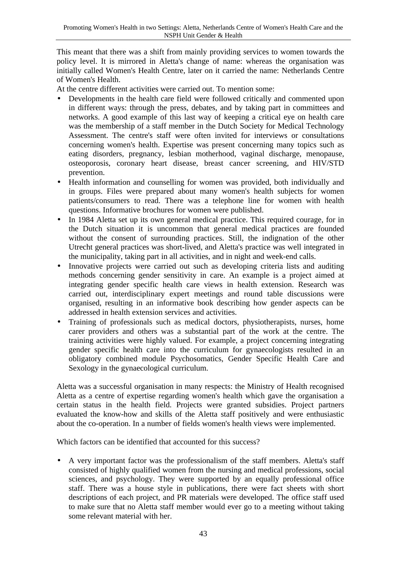This meant that there was a shift from mainly providing services to women towards the policy level. It is mirrored in Aletta's change of name: whereas the organisation was initially called Women's Health Centre, later on it carried the name: Netherlands Centre of Women's Health.

At the centre different activities were carried out. To mention some:

- Developments in the health care field were followed critically and commented upon in different ways: through the press, debates, and by taking part in committees and networks. A good example of this last way of keeping a critical eye on health care was the membership of a staff member in the Dutch Society for Medical Technology Assessment. The centre's staff were often invited for interviews or consultations concerning women's health. Expertise was present concerning many topics such as eating disorders, pregnancy, lesbian motherhood, vaginal discharge, menopause, osteoporosis, coronary heart disease, breast cancer screening, and HIV/STD prevention.
- Health information and counselling for women was provided, both individually and in groups. Files were prepared about many women's health subjects for women patients/consumers to read. There was a telephone line for women with health questions. Informative brochures for women were published.
- In 1984 Aletta set up its own general medical practice. This required courage, for in the Dutch situation it is uncommon that general medical practices are founded without the consent of surrounding practices. Still, the indignation of the other Utrecht general practices was short-lived, and Aletta's practice was well integrated in the municipality, taking part in all activities, and in night and week-end calls.
- Innovative projects were carried out such as developing criteria lists and auditing methods concerning gender sensitivity in care. An example is a project aimed at integrating gender specific health care views in health extension. Research was carried out, interdisciplinary expert meetings and round table discussions were organised, resulting in an informative book describing how gender aspects can be addressed in health extension services and activities.
- Training of professionals such as medical doctors, physiotherapists, nurses, home carer providers and others was a substantial part of the work at the centre. The training activities were highly valued. For example, a project concerning integrating gender specific health care into the curriculum for gynaecologists resulted in an obligatory combined module Psychosomatics, Gender Specific Health Care and Sexology in the gynaecological curriculum.

Aletta was a successful organisation in many respects: the Ministry of Health recognised Aletta as a centre of expertise regarding women's health which gave the organisation a certain status in the health field. Projects were granted subsidies. Project partners evaluated the know-how and skills of the Aletta staff positively and were enthusiastic about the co-operation. In a number of fields women's health views were implemented.

Which factors can be identified that accounted for this success?

• A very important factor was the professionalism of the staff members. Aletta's staff consisted of highly qualified women from the nursing and medical professions, social sciences, and psychology. They were supported by an equally professional office staff. There was a house style in publications, there were fact sheets with short descriptions of each project, and PR materials were developed. The office staff used to make sure that no Aletta staff member would ever go to a meeting without taking some relevant material with her.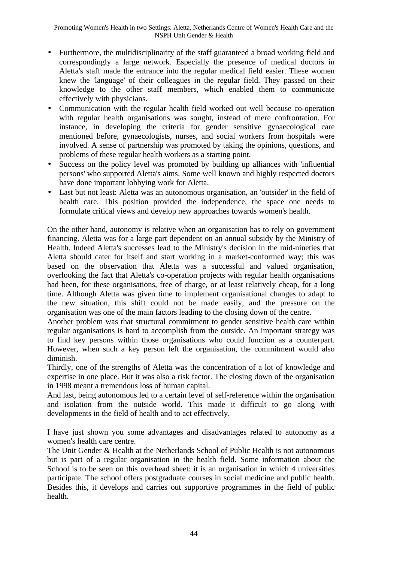- Furthermore, the multidisciplinarity of the staff guaranteed a broad working field and correspondingly a large network. Especially the presence of medical doctors in Aletta's staff made the entrance into the regular medical field easier. These women knew the 'language' of their colleagues in the regular field. They passed on their knowledge to the other staff members, which enabled them to communicate effectively with physicians.
- Communication with the regular health field worked out well because co-operation with regular health organisations was sought, instead of mere confrontation. For instance, in developing the criteria for gender sensitive gynaecological care mentioned before, gynaecologists, nurses, and social workers from hospitals were involved. A sense of partnership was promoted by taking the opinions, questions, and problems of these regular health workers as a starting point.
- Success on the policy level was promoted by building up alliances with 'influential persons' who supported Aletta's aims. Some well known and highly respected doctors have done important lobbying work for Aletta.
- Last but not least: Aletta was an autonomous organisation, an 'outsider' in the field of health care. This position provided the independence, the space one needs to formulate critical views and develop new approaches towards women's health.

On the other hand, autonomy is relative when an organisation has to rely on government financing. Aletta was for a large part dependent on an annual subsidy by the Ministry of Health. Indeed Aletta's successes lead to the Ministry's decision in the mid-nineties that Aletta should cater for itself and start working in a market-conformed way; this was based on the observation that Aletta was a successful and valued organisation, overlooking the fact that Aletta's co-operation projects with regular health organisations had been, for these organisations, free of charge, or at least relatively cheap, for a long time. Although Aletta was given time to implement organisational changes to adapt to the new situation, this shift could not be made easily, and the pressure on the organisation was one of the main factors leading to the closing down of the centre.

Another problem was that structural commitment to gender sensitive health care within regular organisations is hard to accomplish from the outside. An important strategy was to find key persons within those organisations who could function as a counterpart. However, when such a key person left the organisation, the commitment would also diminish.

Thirdly, one of the strengths of Aletta was the concentration of a lot of knowledge and expertise in one place. But it was also a risk factor. The closing down of the organisation in 1998 meant a tremendous loss of human capital.

And last, being autonomous led to a certain level of self-reference within the organisation and isolation from the outside world. This made it difficult to go along with developments in the field of health and to act effectively.

I have just shown you some advantages and disadvantages related to autonomy as a women's health care centre.

The Unit Gender & Health at the Netherlands School of Public Health is not autonomous but is part of a regular organisation in the health field. Some information about the School is to be seen on this overhead sheet: it is an organisation in which 4 universities participate. The school offers postgraduate courses in social medicine and public health. Besides this, it develops and carries out supportive programmes in the field of public health.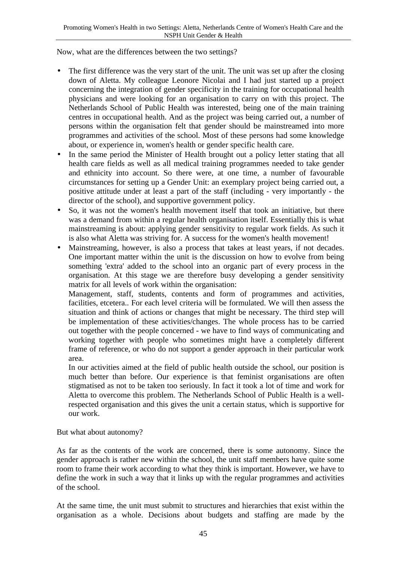Now, what are the differences between the two settings?

- The first difference was the very start of the unit. The unit was set up after the closing down of Aletta. My colleague Leonore Nicolai and I had just started up a project concerning the integration of gender specificity in the training for occupational health physicians and were looking for an organisation to carry on with this project. The Netherlands School of Public Health was interested, being one of the main training centres in occupational health. And as the project was being carried out, a number of persons within the organisation felt that gender should be mainstreamed into more programmes and activities of the school. Most of these persons had some knowledge about, or experience in, women's health or gender specific health care.
- In the same period the Minister of Health brought out a policy letter stating that all health care fields as well as all medical training programmes needed to take gender and ethnicity into account. So there were, at one time, a number of favourable circumstances for setting up a Gender Unit: an exemplary project being carried out, a positive attitude under at least a part of the staff (including - very importantly - the director of the school), and supportive government policy.
- So, it was not the women's health movement itself that took an initiative, but there was a demand from within a regular health organisation itself. Essentially this is what mainstreaming is about: applying gender sensitivity to regular work fields. As such it is also what Aletta was striving for. A success for the women's health movement!
- Mainstreaming, however, is also a process that takes at least years, if not decades. One important matter within the unit is the discussion on how to evolve from being something 'extra' added to the school into an organic part of every process in the organisation. At this stage we are therefore busy developing a gender sensitivity matrix for all levels of work within the organisation:

Management, staff, students, contents and form of programmes and activities, facilities, etcetera.. For each level criteria will be formulated. We will then assess the situation and think of actions or changes that might be necessary. The third step will be implementation of these activities/changes. The whole process has to be carried out together with the people concerned - we have to find ways of communicating and working together with people who sometimes might have a completely different frame of reference, or who do not support a gender approach in their particular work area.

In our activities aimed at the field of public health outside the school, our position is much better than before. Our experience is that feminist organisations are often stigmatised as not to be taken too seriously. In fact it took a lot of time and work for Aletta to overcome this problem. The Netherlands School of Public Health is a wellrespected organisation and this gives the unit a certain status, which is supportive for our work.

But what about autonomy?

As far as the contents of the work are concerned, there is some autonomy. Since the gender approach is rather new within the school, the unit staff members have quite some room to frame their work according to what they think is important. However, we have to define the work in such a way that it links up with the regular programmes and activities of the school.

At the same time, the unit must submit to structures and hierarchies that exist within the organisation as a whole. Decisions about budgets and staffing are made by the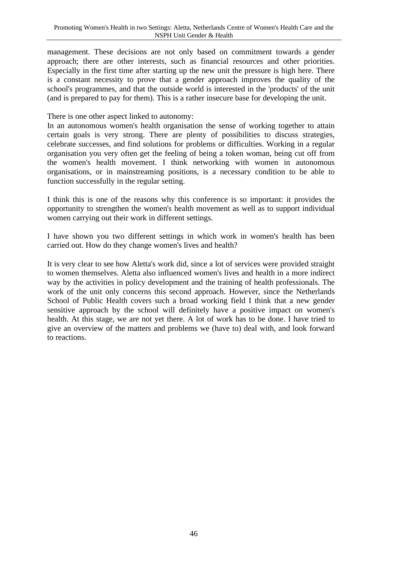management. These decisions are not only based on commitment towards a gender approach; there are other interests, such as financial resources and other priorities. Especially in the first time after starting up the new unit the pressure is high here. There is a constant necessity to prove that a gender approach improves the quality of the school's programmes, and that the outside world is interested in the 'products' of the unit (and is prepared to pay for them). This is a rather insecure base for developing the unit.

There is one other aspect linked to autonomy:

In an autonomous women's health organisation the sense of working together to attain certain goals is very strong. There are plenty of possibilities to discuss strategies, celebrate successes, and find solutions for problems or difficulties. Working in a regular organisation you very often get the feeling of being a token woman, being cut off from the women's health movement. I think networking with women in autonomous organisations, or in mainstreaming positions, is a necessary condition to be able to function successfully in the regular setting.

I think this is one of the reasons why this conference is so important: it provides the opportunity to strengthen the women's health movement as well as to support individual women carrying out their work in different settings.

I have shown you two different settings in which work in women's health has been carried out. How do they change women's lives and health?

It is very clear to see how Aletta's work did, since a lot of services were provided straight to women themselves. Aletta also influenced women's lives and health in a more indirect way by the activities in policy development and the training of health professionals. The work of the unit only concerns this second approach. However, since the Netherlands School of Public Health covers such a broad working field I think that a new gender sensitive approach by the school will definitely have a positive impact on women's health. At this stage, we are not yet there. A lot of work has to be done. I have tried to give an overview of the matters and problems we (have to) deal with, and look forward to reactions.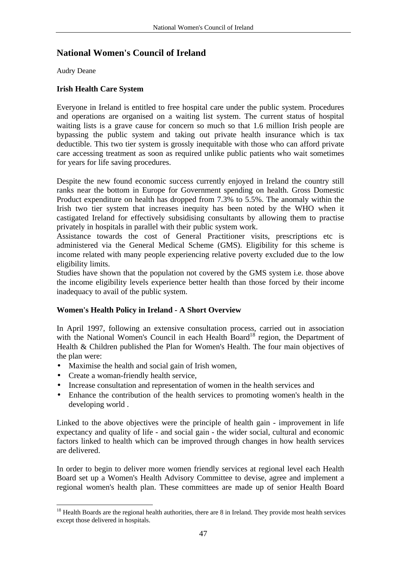# **National Women's Council of Ireland**

Audry Deane

# **Irish Health Care System**

Everyone in Ireland is entitled to free hospital care under the public system. Procedures and operations are organised on a waiting list system. The current status of hospital waiting lists is a grave cause for concern so much so that 1.6 million Irish people are bypassing the public system and taking out private health insurance which is tax deductible. This two tier system is grossly inequitable with those who can afford private care accessing treatment as soon as required unlike public patients who wait sometimes for years for life saving procedures.

Despite the new found economic success currently enjoyed in Ireland the country still ranks near the bottom in Europe for Government spending on health. Gross Domestic Product expenditure on health has dropped from 7.3% to 5.5%. The anomaly within the Irish two tier system that increases inequity has been noted by the WHO when it castigated Ireland for effectively subsidising consultants by allowing them to practise privately in hospitals in parallel with their public system work.

Assistance towards the cost of General Practitioner visits, prescriptions etc is administered via the General Medical Scheme (GMS). Eligibility for this scheme is income related with many people experiencing relative poverty excluded due to the low eligibility limits.

Studies have shown that the population not covered by the GMS system i.e. those above the income eligibility levels experience better health than those forced by their income inadequacy to avail of the public system.

# **Women's Health Policy in Ireland - A Short Overview**

In April 1997, following an extensive consultation process, carried out in association with the National Women's Council in each Health Board<sup>18</sup> region, the Department of Health & Children published the Plan for Women's Health. The four main objectives of the plan were:

- Maximise the health and social gain of Irish women,
- Create a woman-friendly health service,
- Increase consultation and representation of women in the health services and
- Enhance the contribution of the health services to promoting women's health in the developing world .

Linked to the above objectives were the principle of health gain - improvement in life expectancy and quality of life - and social gain - the wider social, cultural and economic factors linked to health which can be improved through changes in how health services are delivered.

In order to begin to deliver more women friendly services at regional level each Health Board set up a Women's Health Advisory Committee to devise, agree and implement a regional women's health plan. These committees are made up of senior Health Board

 $\overline{a}$ <sup>18</sup> Health Boards are the regional health authorities, there are 8 in Ireland. They provide most health services except those delivered in hospitals.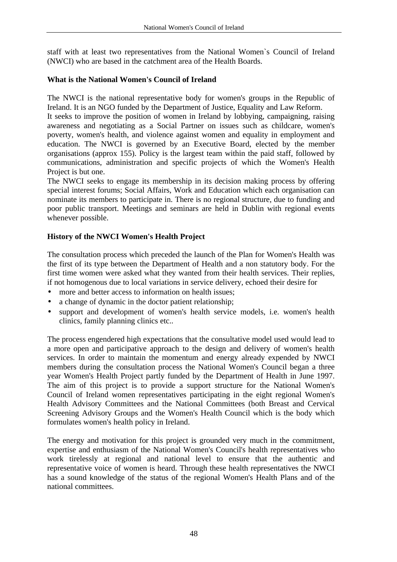staff with at least two representatives from the National Women`s Council of Ireland (NWCI) who are based in the catchment area of the Health Boards.

# **What is the National Women's Council of Ireland**

The NWCI is the national representative body for women's groups in the Republic of Ireland. It is an NGO funded by the Department of Justice, Equality and Law Reform.

It seeks to improve the position of women in Ireland by lobbying, campaigning, raising awareness and negotiating as a Social Partner on issues such as childcare, women's poverty, women's health, and violence against women and equality in employment and education. The NWCI is governed by an Executive Board, elected by the member organisations (approx 155). Policy is the largest team within the paid staff, followed by communications, administration and specific projects of which the Women's Health Project is but one.

The NWCI seeks to engage its membership in its decision making process by offering special interest forums; Social Affairs, Work and Education which each organisation can nominate its members to participate in. There is no regional structure, due to funding and poor public transport. Meetings and seminars are held in Dublin with regional events whenever possible.

# **History of the NWCI Women's Health Project**

The consultation process which preceded the launch of the Plan for Women's Health was the first of its type between the Department of Health and a non statutory body. For the first time women were asked what they wanted from their health services. Their replies, if not homogenous due to local variations in service delivery, echoed their desire for

- more and better access to information on health issues;
- a change of dynamic in the doctor patient relationship;
- support and development of women's health service models, i.e. women's health clinics, family planning clinics etc..

The process engendered high expectations that the consultative model used would lead to a more open and participative approach to the design and delivery of women's health services. In order to maintain the momentum and energy already expended by NWCI members during the consultation process the National Women's Council began a three year Women's Health Project partly funded by the Department of Health in June 1997. The aim of this project is to provide a support structure for the National Women's Council of Ireland women representatives participating in the eight regional Women's Health Advisory Committees and the National Committees (both Breast and Cervical Screening Advisory Groups and the Women's Health Council which is the body which formulates women's health policy in Ireland.

The energy and motivation for this project is grounded very much in the commitment, expertise and enthusiasm of the National Women's Council's health representatives who work tirelessly at regional and national level to ensure that the authentic and representative voice of women is heard. Through these health representatives the NWCI has a sound knowledge of the status of the regional Women's Health Plans and of the national committees.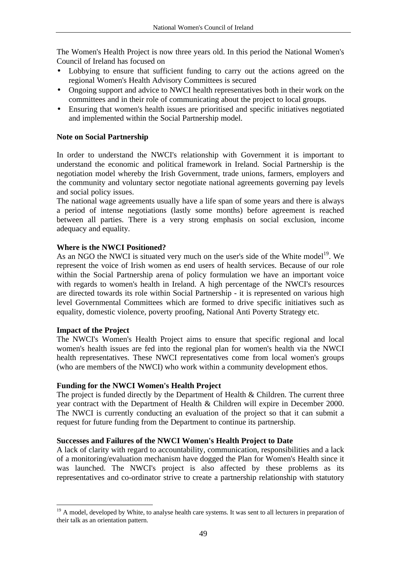The Women's Health Project is now three years old. In this period the National Women's Council of Ireland has focused on

- Lobbying to ensure that sufficient funding to carry out the actions agreed on the regional Women's Health Advisory Committees is secured
- Ongoing support and advice to NWCI health representatives both in their work on the committees and in their role of communicating about the project to local groups.
- Ensuring that women's health issues are prioritised and specific initiatives negotiated and implemented within the Social Partnership model.

## **Note on Social Partnership**

In order to understand the NWCI's relationship with Government it is important to understand the economic and political framework in Ireland. Social Partnership is the negotiation model whereby the Irish Government, trade unions, farmers, employers and the community and voluntary sector negotiate national agreements governing pay levels and social policy issues.

The national wage agreements usually have a life span of some years and there is always a period of intense negotiations (lastly some months) before agreement is reached between all parties. There is a very strong emphasis on social exclusion, income adequacy and equality.

### **Where is the NWCI Positioned?**

As an NGO the NWCI is situated very much on the user's side of the White model<sup>19</sup>. We represent the voice of Irish women as end users of health services. Because of our role within the Social Partnership arena of policy formulation we have an important voice with regards to women's health in Ireland. A high percentage of the NWCI's resources are directed towards its role within Social Partnership - it is represented on various high level Governmental Committees which are formed to drive specific initiatives such as equality, domestic violence, poverty proofing, National Anti Poverty Strategy etc.

### **Impact of the Project**

 $\overline{a}$ 

The NWCI's Women's Health Project aims to ensure that specific regional and local women's health issues are fed into the regional plan for women's health via the NWCI health representatives. These NWCI representatives come from local women's groups (who are members of the NWCI) who work within a community development ethos.

### **Funding for the NWCI Women's Health Project**

The project is funded directly by the Department of Health & Children. The current three year contract with the Department of Health & Children will expire in December 2000. The NWCI is currently conducting an evaluation of the project so that it can submit a request for future funding from the Department to continue its partnership.

### **Successes and Failures of the NWCI Women's Health Project to Date**

A lack of clarity with regard to accountability, communication, responsibilities and a lack of a monitoring/evaluation mechanism have dogged the Plan for Women's Health since it was launched. The NWCI's project is also affected by these problems as its representatives and co-ordinator strive to create a partnership relationship with statutory

<sup>&</sup>lt;sup>19</sup> A model, developed by White, to analyse health care systems. It was sent to all lecturers in preparation of their talk as an orientation pattern.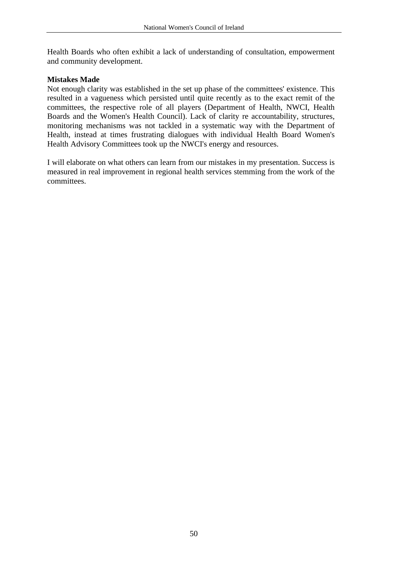Health Boards who often exhibit a lack of understanding of consultation, empowerment and community development.

## **Mistakes Made**

Not enough clarity was established in the set up phase of the committees' existence. This resulted in a vagueness which persisted until quite recently as to the exact remit of the committees, the respective role of all players (Department of Health, NWCI, Health Boards and the Women's Health Council). Lack of clarity re accountability, structures, monitoring mechanisms was not tackled in a systematic way with the Department of Health, instead at times frustrating dialogues with individual Health Board Women's Health Advisory Committees took up the NWCI's energy and resources.

I will elaborate on what others can learn from our mistakes in my presentation. Success is measured in real improvement in regional health services stemming from the work of the committees.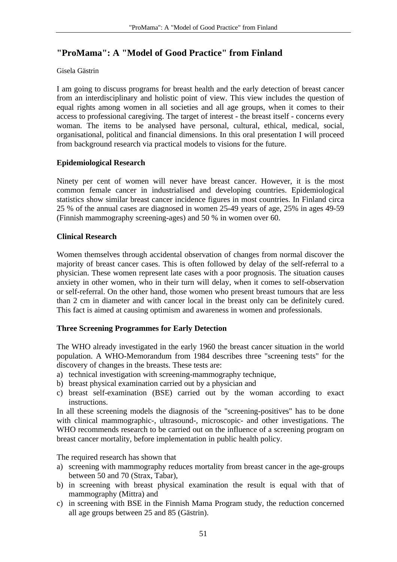# **"ProMama": A "Model of Good Practice" from Finland**

## Gisela Gästrin

I am going to discuss programs for breast health and the early detection of breast cancer from an interdisciplinary and holistic point of view. This view includes the question of equal rights among women in all societies and all age groups, when it comes to their access to professional caregiving. The target of interest - the breast itself - concerns every woman. The items to be analysed have personal, cultural, ethical, medical, social, organisational, political and financial dimensions. In this oral presentation I will proceed from background research via practical models to visions for the future.

# **Epidemiological Research**

Ninety per cent of women will never have breast cancer. However, it is the most common female cancer in industrialised and developing countries. Epidemiological statistics show similar breast cancer incidence figures in most countries. In Finland circa 25 % of the annual cases are diagnosed in women 25-49 years of age, 25% in ages 49-59 (Finnish mammography screening-ages) and 50 % in women over 60.

# **Clinical Research**

Women themselves through accidental observation of changes from normal discover the majority of breast cancer cases. This is often followed by delay of the self-referral to a physician. These women represent late cases with a poor prognosis. The situation causes anxiety in other women, who in their turn will delay, when it comes to self-observation or self-referral. On the other hand, those women who present breast tumours that are less than 2 cm in diameter and with cancer local in the breast only can be definitely cured. This fact is aimed at causing optimism and awareness in women and professionals.

# **Three Screening Programmes for Early Detection**

The WHO already investigated in the early 1960 the breast cancer situation in the world population. A WHO-Memorandum from 1984 describes three "screening tests" for the discovery of changes in the breasts. These tests are:

- a) technical investigation with screening-mammography technique,
- b) breast physical examination carried out by a physician and
- c) breast self-examination (BSE) carried out by the woman according to exact instructions.

In all these screening models the diagnosis of the "screening-positives" has to be done with clinical mammographic-, ultrasound-, microscopic- and other investigations. The WHO recommends research to be carried out on the influence of a screening program on breast cancer mortality, before implementation in public health policy.

The required research has shown that

- a) screening with mammography reduces mortality from breast cancer in the age-groups between 50 and 70 (Strax, Tabar),
- b) in screening with breast physical examination the result is equal with that of mammography (Mittra) and
- c) in screening with BSE in the Finnish Mama Program study, the reduction concerned all age groups between 25 and 85 (Gästrin).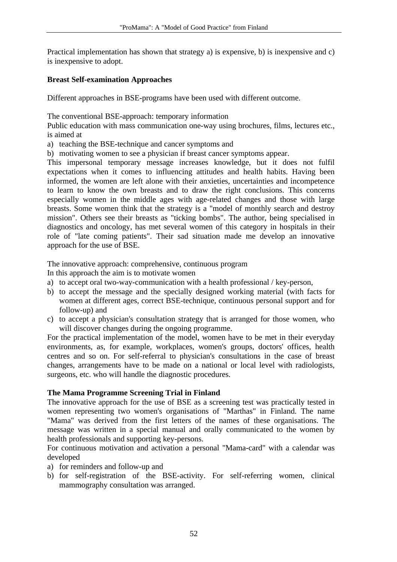Practical implementation has shown that strategy a) is expensive, b) is inexpensive and c) is inexpensive to adopt.

# **Breast Self-examination Approaches**

Different approaches in BSE-programs have been used with different outcome.

The conventional BSE-approach: temporary information

Public education with mass communication one-way using brochures, films, lectures etc., is aimed at

- a) teaching the BSE-technique and cancer symptoms and
- b) motivating women to see a physician if breast cancer symptoms appear.

This impersonal temporary message increases knowledge, but it does not fulfil expectations when it comes to influencing attitudes and health habits. Having been informed, the women are left alone with their anxieties, uncertainties and incompetence to learn to know the own breasts and to draw the right conclusions. This concerns especially women in the middle ages with age-related changes and those with large breasts. Some women think that the strategy is a "model of monthly search and destroy mission". Others see their breasts as "ticking bombs". The author, being specialised in diagnostics and oncology, has met several women of this category in hospitals in their role of "late coming patients". Their sad situation made me develop an innovative approach for the use of BSE.

The innovative approach: comprehensive, continuous program

In this approach the aim is to motivate women

- a) to accept oral two-way-communication with a health professional / key-person,
- b) to accept the message and the specially designed working material (with facts for women at different ages, correct BSE-technique, continuous personal support and for follow-up) and
- c) to accept a physician's consultation strategy that is arranged for those women, who will discover changes during the ongoing programme.

For the practical implementation of the model, women have to be met in their everyday environments, as, for example, workplaces, women's groups, doctors' offices, health centres and so on. For self-referral to physician's consultations in the case of breast changes, arrangements have to be made on a national or local level with radiologists, surgeons, etc. who will handle the diagnostic procedures.

# **The Mama Programme Screening Trial in Finland**

The innovative approach for the use of BSE as a screening test was practically tested in women representing two women's organisations of "Marthas" in Finland. The name "Mama" was derived from the first letters of the names of these organisations. The message was written in a special manual and orally communicated to the women by health professionals and supporting key-persons.

For continuous motivation and activation a personal "Mama-card" with a calendar was developed

- a) for reminders and follow-up and
- b) for self-registration of the BSE-activity. For self-referring women, clinical mammography consultation was arranged.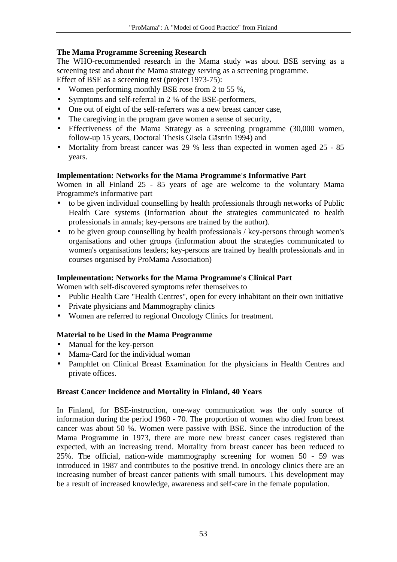# **The Mama Programme Screening Research**

The WHO-recommended research in the Mama study was about BSE serving as a screening test and about the Mama strategy serving as a screening programme. Effect of BSE as a screening test (project 1973-75):

- Women performing monthly BSE rose from 2 to 55 %,
- Symptoms and self-referral in 2 % of the BSE-performers,
- One out of eight of the self-referrers was a new breast cancer case,
- The caregiving in the program gave women a sense of security,
- Effectiveness of the Mama Strategy as a screening programme (30,000 women, follow-up 15 years, Doctoral Thesis Gisela Gästrin 1994) and
- Mortality from breast cancer was 29 % less than expected in women aged 25 85 years.

## **Implementation: Networks for the Mama Programme's Informative Part**

Women in all Finland 25 - 85 years of age are welcome to the voluntary Mama Programme's informative part

- to be given individual counselling by health professionals through networks of Public Health Care systems (Information about the strategies communicated to health professionals in annals; key-persons are trained by the author).
- to be given group counselling by health professionals / key-persons through women's organisations and other groups (information about the strategies communicated to women's organisations leaders; key-persons are trained by health professionals and in courses organised by ProMama Association)

## **Implementation: Networks for the Mama Programme's Clinical Part**

Women with self-discovered symptoms refer themselves to

- Public Health Care "Health Centres", open for every inhabitant on their own initiative
- Private physicians and Mammography clinics
- Women are referred to regional Oncology Clinics for treatment.

# **Material to be Used in the Mama Programme**

- Manual for the key-person
- Mama-Card for the individual woman
- Pamphlet on Clinical Breast Examination for the physicians in Health Centres and private offices.

### **Breast Cancer Incidence and Mortality in Finland, 40 Years**

In Finland, for BSE-instruction, one-way communication was the only source of information during the period 1960 - 70. The proportion of women who died from breast cancer was about 50 %. Women were passive with BSE. Since the introduction of the Mama Programme in 1973, there are more new breast cancer cases registered than expected, with an increasing trend. Mortality from breast cancer has been reduced to 25%. The official, nation-wide mammography screening for women 50 - 59 was introduced in 1987 and contributes to the positive trend. In oncology clinics there are an increasing number of breast cancer patients with small tumours. This development may be a result of increased knowledge, awareness and self-care in the female population.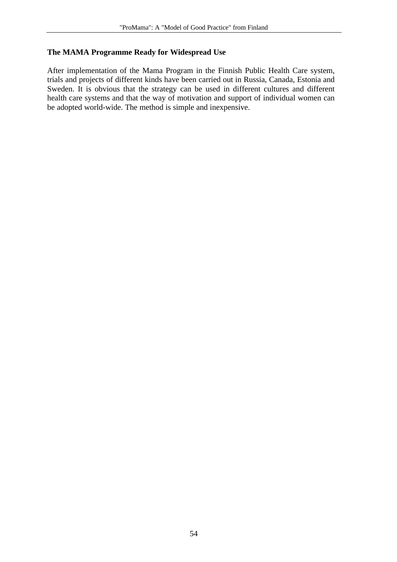### **The MAMA Programme Ready for Widespread Use**

After implementation of the Mama Program in the Finnish Public Health Care system, trials and projects of different kinds have been carried out in Russia, Canada, Estonia and Sweden. It is obvious that the strategy can be used in different cultures and different health care systems and that the way of motivation and support of individual women can be adopted world-wide. The method is simple and inexpensive.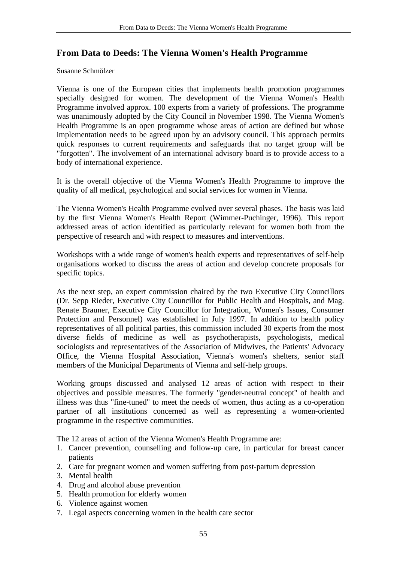# **From Data to Deeds: The Vienna Women's Health Programme**

#### Susanne Schmölzer

Vienna is one of the European cities that implements health promotion programmes specially designed for women. The development of the Vienna Women's Health Programme involved approx. 100 experts from a variety of professions. The programme was unanimously adopted by the City Council in November 1998. The Vienna Women's Health Programme is an open programme whose areas of action are defined but whose implementation needs to be agreed upon by an advisory council. This approach permits quick responses to current requirements and safeguards that no target group will be "forgotten". The involvement of an international advisory board is to provide access to a body of international experience.

It is the overall objective of the Vienna Women's Health Programme to improve the quality of all medical, psychological and social services for women in Vienna.

The Vienna Women's Health Programme evolved over several phases. The basis was laid by the first Vienna Women's Health Report (Wimmer-Puchinger, 1996). This report addressed areas of action identified as particularly relevant for women both from the perspective of research and with respect to measures and interventions.

Workshops with a wide range of women's health experts and representatives of self-help organisations worked to discuss the areas of action and develop concrete proposals for specific topics.

As the next step, an expert commission chaired by the two Executive City Councillors (Dr. Sepp Rieder, Executive City Councillor for Public Health and Hospitals, and Mag. Renate Brauner, Executive City Councillor for Integration, Women's Issues, Consumer Protection and Personnel) was established in July 1997. In addition to health policy representatives of all political parties, this commission included 30 experts from the most diverse fields of medicine as well as psychotherapists, psychologists, medical sociologists and representatives of the Association of Midwives, the Patients' Advocacy Office, the Vienna Hospital Association, Vienna's women's shelters, senior staff members of the Municipal Departments of Vienna and self-help groups.

Working groups discussed and analysed 12 areas of action with respect to their objectives and possible measures. The formerly "gender-neutral concept" of health and illness was thus "fine-tuned" to meet the needs of women, thus acting as a co-operation partner of all institutions concerned as well as representing a women-oriented programme in the respective communities.

The 12 areas of action of the Vienna Women's Health Programme are:

- 1. Cancer prevention, counselling and follow-up care, in particular for breast cancer patients
- 2. Care for pregnant women and women suffering from post-partum depression
- 3. Mental health
- 4. Drug and alcohol abuse prevention
- 5. Health promotion for elderly women
- 6. Violence against women
- 7. Legal aspects concerning women in the health care sector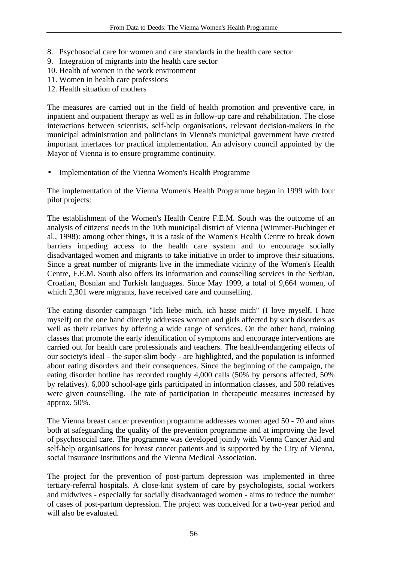- 8. Psychosocial care for women and care standards in the health care sector
- 9. Integration of migrants into the health care sector
- 10. Health of women in the work environment
- 11. Women in health care professions
- 12. Health situation of mothers

The measures are carried out in the field of health promotion and preventive care, in inpatient and outpatient therapy as well as in follow-up care and rehabilitation. The close interactions between scientists, self-help organisations, relevant decision-makers in the municipal administration and politicians in Vienna's municipal government have created important interfaces for practical implementation. An advisory council appointed by the Mayor of Vienna is to ensure programme continuity.

• Implementation of the Vienna Women's Health Programme

The implementation of the Vienna Women's Health Programme began in 1999 with four pilot projects:

The establishment of the Women's Health Centre F.E.M. South was the outcome of an analysis of citizens' needs in the 10th municipal district of Vienna (Wimmer-Puchinger et al., 1998): among other things, it is a task of the Women's Health Centre to break down barriers impeding access to the health care system and to encourage socially disadvantaged women and migrants to take initiative in order to improve their situations. Since a great number of migrants live in the immediate vicinity of the Women's Health Centre, F.E.M. South also offers its information and counselling services in the Serbian, Croatian, Bosnian and Turkish languages. Since May 1999, a total of 9,664 women, of which 2,301 were migrants, have received care and counselling.

The eating disorder campaign "Ich liebe mich, ich hasse mich" (I love myself, I hate myself) on the one hand directly addresses women and girls affected by such disorders as well as their relatives by offering a wide range of services. On the other hand, training classes that promote the early identification of symptoms and encourage interventions are carried out for health care professionals and teachers. The health-endangering effects of our society's ideal - the super-slim body - are highlighted, and the population is informed about eating disorders and their consequences. Since the beginning of the campaign, the eating disorder hotline has recorded roughly 4,000 calls (50% by persons affected, 50% by relatives). 6,000 school-age girls participated in information classes, and 500 relatives were given counselling. The rate of participation in therapeutic measures increased by approx. 50%.

The Vienna breast cancer prevention programme addresses women aged 50 - 70 and aims both at safeguarding the quality of the prevention programme and at improving the level of psychosocial care. The programme was developed jointly with Vienna Cancer Aid and self-help organisations for breast cancer patients and is supported by the City of Vienna, social insurance institutions and the Vienna Medical Association.

The project for the prevention of post-partum depression was implemented in three tertiary-referral hospitals. A close-knit system of care by psychologists, social workers and midwives - especially for socially disadvantaged women - aims to reduce the number of cases of post-partum depression. The project was conceived for a two-year period and will also be evaluated.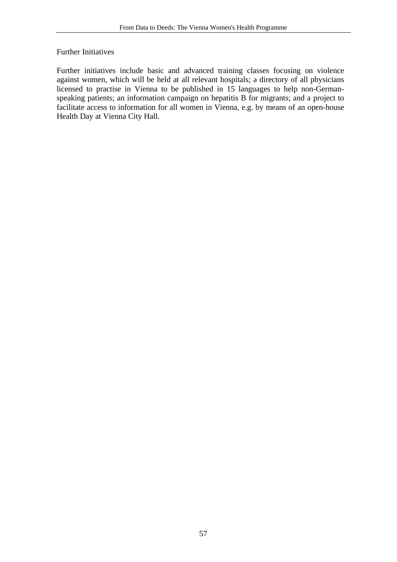### Further Initiatives

Further initiatives include basic and advanced training classes focusing on violence against women, which will be held at all relevant hospitals; a directory of all physicians licensed to practise in Vienna to be published in 15 languages to help non-Germanspeaking patients; an information campaign on hepatitis B for migrants; and a project to facilitate access to information for all women in Vienna, e.g. by means of an open-house Health Day at Vienna City Hall.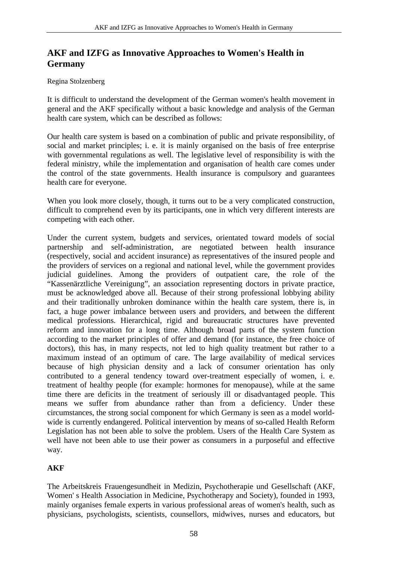# **AKF and IZFG as Innovative Approaches to Women's Health in Germany**

# Regina Stolzenberg

It is difficult to understand the development of the German women's health movement in general and the AKF specifically without a basic knowledge and analysis of the German health care system, which can be described as follows:

Our health care system is based on a combination of public and private responsibility, of social and market principles; i. e. it is mainly organised on the basis of free enterprise with governmental regulations as well. The legislative level of responsibility is with the federal ministry, while the implementation and organisation of health care comes under the control of the state governments. Health insurance is compulsory and guarantees health care for everyone.

When you look more closely, though, it turns out to be a very complicated construction, difficult to comprehend even by its participants, one in which very different interests are competing with each other.

Under the current system, budgets and services, orientated toward models of social partnership and self-administration, are negotiated between health insurance (respectively, social and accident insurance) as representatives of the insured people and the providers of services on a regional and national level, while the government provides judicial guidelines. Among the providers of outpatient care, the role of the "Kassenärztliche Vereinigung", an association representing doctors in private practice, must be acknowledged above all. Because of their strong professional lobbying ability and their traditionally unbroken dominance within the health care system, there is, in fact, a huge power imbalance between users and providers, and between the different medical professions. Hierarchical, rigid and bureaucratic structures have prevented reform and innovation for a long time. Although broad parts of the system function according to the market principles of offer and demand (for instance, the free choice of doctors), this has, in many respects, not led to high quality treatment but rather to a maximum instead of an optimum of care. The large availability of medical services because of high physician density and a lack of consumer orientation has only contributed to a general tendency toward over-treatment especially of women, i. e. treatment of healthy people (for example: hormones for menopause), while at the same time there are deficits in the treatment of seriously ill or disadvantaged people. This means we suffer from abundance rather than from a deficiency. Under these circumstances, the strong social component for which Germany is seen as a model worldwide is currently endangered. Political intervention by means of so-called Health Reform Legislation has not been able to solve the problem. Users of the Health Care System as well have not been able to use their power as consumers in a purposeful and effective way.

# **AKF**

The Arbeitskreis Frauengesundheit in Medizin, Psychotherapie und Gesellschaft (AKF, Women' s Health Association in Medicine, Psychotherapy and Society), founded in 1993, mainly organises female experts in various professional areas of women's health, such as physicians, psychologists, scientists, counsellors, midwives, nurses and educators, but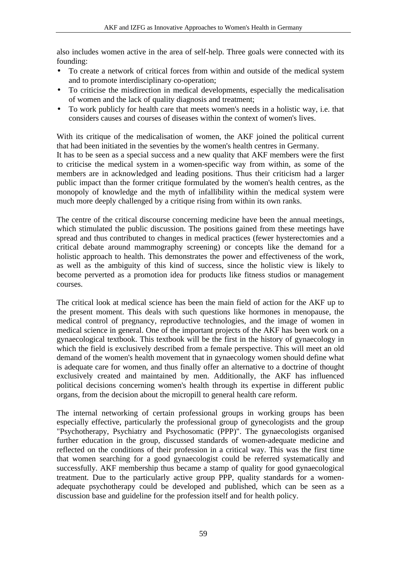also includes women active in the area of self-help. Three goals were connected with its founding:

- To create a network of critical forces from within and outside of the medical system and to promote interdisciplinary co-operation;
- To criticise the misdirection in medical developments, especially the medicalisation of women and the lack of quality diagnosis and treatment;
- To work publicly for health care that meets women's needs in a holistic way, i.e. that considers causes and courses of diseases within the context of women's lives.

With its critique of the medicalisation of women, the AKF joined the political current that had been initiated in the seventies by the women's health centres in Germany.

It has to be seen as a special success and a new quality that AKF members were the first to criticise the medical system in a women-specific way from within, as some of the members are in acknowledged and leading positions. Thus their criticism had a larger public impact than the former critique formulated by the women's health centres, as the monopoly of knowledge and the myth of infallibility within the medical system were much more deeply challenged by a critique rising from within its own ranks.

The centre of the critical discourse concerning medicine have been the annual meetings, which stimulated the public discussion. The positions gained from these meetings have spread and thus contributed to changes in medical practices (fewer hysterectomies and a critical debate around mammography screening) or concepts like the demand for a holistic approach to health. This demonstrates the power and effectiveness of the work, as well as the ambiguity of this kind of success, since the holistic view is likely to become perverted as a promotion idea for products like fitness studios or management courses.

The critical look at medical science has been the main field of action for the AKF up to the present moment. This deals with such questions like hormones in menopause, the medical control of pregnancy, reproductive technologies, and the image of women in medical science in general. One of the important projects of the AKF has been work on a gynaecological textbook. This textbook will be the first in the history of gynaecology in which the field is exclusively described from a female perspective. This will meet an old demand of the women's health movement that in gynaecology women should define what is adequate care for women, and thus finally offer an alternative to a doctrine of thought exclusively created and maintained by men. Additionally, the AKF has influenced political decisions concerning women's health through its expertise in different public organs, from the decision about the micropill to general health care reform.

The internal networking of certain professional groups in working groups has been especially effective, particularly the professional group of gynecologists and the group "Psychotherapy, Psychiatry and Psychosomatic (PPP)". The gynaecologists organised further education in the group, discussed standards of women-adequate medicine and reflected on the conditions of their profession in a critical way. This was the first time that women searching for a good gynaecologist could be referred systematically and successfully. AKF membership thus became a stamp of quality for good gynaecological treatment. Due to the particularly active group PPP, quality standards for a womenadequate psychotherapy could be developed and published, which can be seen as a discussion base and guideline for the profession itself and for health policy.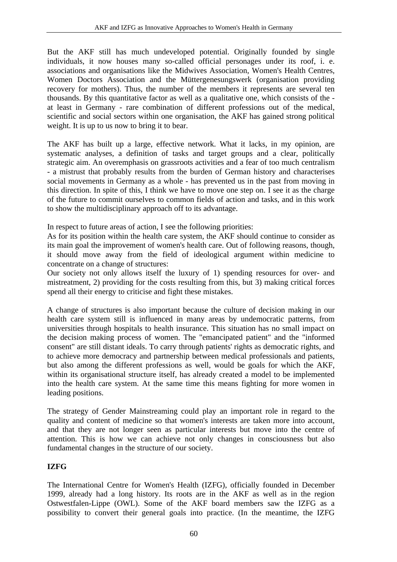But the AKF still has much undeveloped potential. Originally founded by single individuals, it now houses many so-called official personages under its roof, i. e. associations and organisations like the Midwives Association, Women's Health Centres, Women Doctors Association and the Müttergenesungswerk (organisation providing recovery for mothers). Thus, the number of the members it represents are several ten thousands. By this quantitative factor as well as a qualitative one, which consists of the at least in Germany - rare combination of different professions out of the medical, scientific and social sectors within one organisation, the AKF has gained strong political weight. It is up to us now to bring it to bear.

The AKF has built up a large, effective network. What it lacks, in my opinion, are systematic analyses, a definition of tasks and target groups and a clear, politically strategic aim. An overemphasis on grassroots activities and a fear of too much centralism - a mistrust that probably results from the burden of German history and characterises social movements in Germany as a whole - has prevented us in the past from moving in this direction. In spite of this, I think we have to move one step on. I see it as the charge of the future to commit ourselves to common fields of action and tasks, and in this work to show the multidisciplinary approach off to its advantage.

In respect to future areas of action, I see the following priorities:

As for its position within the health care system, the AKF should continue to consider as its main goal the improvement of women's health care. Out of following reasons, though, it should move away from the field of ideological argument within medicine to concentrate on a change of structures:

Our society not only allows itself the luxury of 1) spending resources for over- and mistreatment, 2) providing for the costs resulting from this, but 3) making critical forces spend all their energy to criticise and fight these mistakes.

A change of structures is also important because the culture of decision making in our health care system still is influenced in many areas by undemocratic patterns, from universities through hospitals to health insurance. This situation has no small impact on the decision making process of women. The "emancipated patient" and the "informed consent" are still distant ideals. To carry through patients' rights as democratic rights, and to achieve more democracy and partnership between medical professionals and patients, but also among the different professions as well, would be goals for which the AKF, within its organisational structure itself, has already created a model to be implemented into the health care system. At the same time this means fighting for more women in leading positions.

The strategy of Gender Mainstreaming could play an important role in regard to the quality and content of medicine so that women's interests are taken more into account. and that they are not longer seen as particular interests but move into the centre of attention. This is how we can achieve not only changes in consciousness but also fundamental changes in the structure of our society.

# **IZFG**

The International Centre for Women's Health (IZFG), officially founded in December 1999, already had a long history. Its roots are in the AKF as well as in the region Ostwestfalen-Lippe (OWL). Some of the AKF board members saw the IZFG as a possibility to convert their general goals into practice. (In the meantime, the IZFG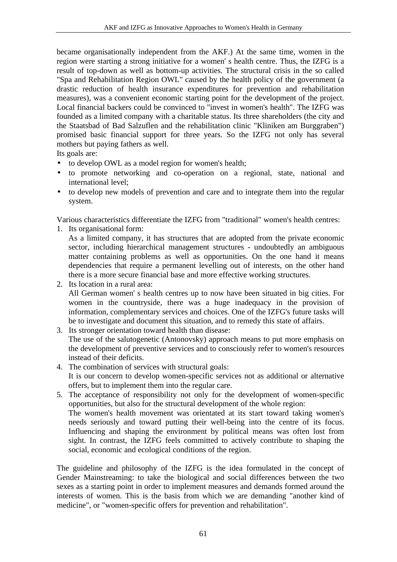became organisationally independent from the AKF.) At the same time, women in the region were starting a strong initiative for a women' s health centre. Thus, the IZFG is a result of top-down as well as bottom-up activities. The structural crisis in the so called "Spa and Rehabilitation Region OWL" caused by the health policy of the government (a drastic reduction of health insurance expenditures for prevention and rehabilitation measures), was a convenient economic starting point for the development of the project. Local financial backers could be convinced to "invest in women's health". The IZFG was founded as a limited company with a charitable status. Its three shareholders (the city and the Staatsbad of Bad Salzuflen and the rehabilitation clinic "Kliniken am Burggraben") promised basic financial support for three years. So the IZFG not only has several mothers but paying fathers as well.

Its goals are:

- to develop OWL as a model region for women's health;
- to promote networking and co-operation on a regional, state, national and international level;
- to develop new models of prevention and care and to integrate them into the regular system.

Various characteristics differentiate the IZFG from "traditional" women's health centres:

1. Its organisational form:

As a limited company, it has structures that are adopted from the private economic sector, including hierarchical management structures - undoubtedly an ambiguous matter containing problems as well as opportunities. On the one hand it means dependencies that require a permanent levelling out of interests, on the other hand there is a more secure financial base and more effective working structures.

2. Its location in a rural area: All German women' s health centres up to now have been situated in big cities. For women in the countryside, there was a huge inadequacy in the provision of information, complementary services and choices. One of the IZFG's future tasks will be to investigate and document this situation, and to remedy this state of affairs.

- 3. Its stronger orientation toward health than disease: The use of the salutogenetic (Antonovsky) approach means to put more emphasis on the development of preventive services and to consciously refer to women's resources instead of their deficits.
- 4. The combination of services with structural goals: It is our concern to develop women-specific services not as additional or alternative offers, but to implement them into the regular care.
- 5. The acceptance of responsibility not only for the development of women-specific opportunities, but also for the structural development of the whole region: The women's health movement was orientated at its start toward taking women's needs seriously and toward putting their well-being into the centre of its focus. Influencing and shaping the environment by political means was often lost from sight. In contrast, the IZFG feels committed to actively contribute to shaping the social, economic and ecological conditions of the region.

The guideline and philosophy of the IZFG is the idea formulated in the concept of Gender Mainstreaming: to take the biological and social differences between the two sexes as a starting point in order to implement measures and demands formed around the interests of women. This is the basis from which we are demanding "another kind of medicine", or "women-specific offers for prevention and rehabilitation".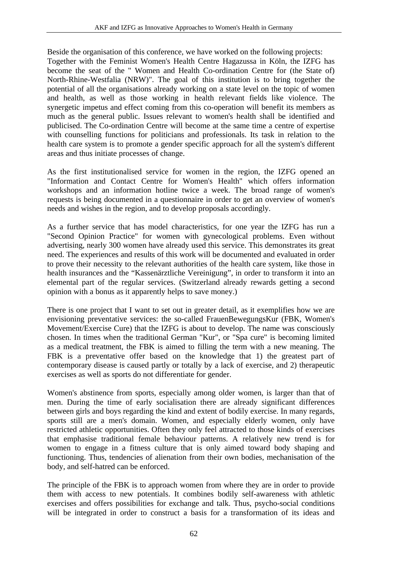Beside the organisation of this conference, we have worked on the following projects: Together with the Feminist Women's Health Centre Hagazussa in Köln, the IZFG has become the seat of the " Women and Health Co-ordination Centre for (the State of) North-Rhine-Westfalia (NRW)". The goal of this institution is to bring together the potential of all the organisations already working on a state level on the topic of women and health, as well as those working in health relevant fields like violence. The synergetic impetus and effect coming from this co-operation will benefit its members as much as the general public. Issues relevant to women's health shall be identified and publicised. The Co-ordination Centre will become at the same time a centre of expertise with counselling functions for politicians and professionals. Its task in relation to the health care system is to promote a gender specific approach for all the system's different areas and thus initiate processes of change.

As the first institutionalised service for women in the region, the IZFG opened an "Information and Contact Centre for Women's Health" which offers information workshops and an information hotline twice a week. The broad range of women's requests is being documented in a questionnaire in order to get an overview of women's needs and wishes in the region, and to develop proposals accordingly.

As a further service that has model characteristics, for one year the IZFG has run a "Second Opinion Practice" for women with gynecological problems. Even without advertising, nearly 300 women have already used this service. This demonstrates its great need. The experiences and results of this work will be documented and evaluated in order to prove their necessity to the relevant authorities of the health care system, like those in health insurances and the "Kassenärztliche Vereinigung", in order to transform it into an elemental part of the regular services. (Switzerland already rewards getting a second opinion with a bonus as it apparently helps to save money.)

There is one project that I want to set out in greater detail, as it exemplifies how we are envisioning preventative services: the so-called FrauenBewegungsKur (FBK, Women's Movement/Exercise Cure) that the IZFG is about to develop. The name was consciously chosen. In times when the traditional German "Kur", or "Spa cure" is becoming limited as a medical treatment, the FBK is aimed to filling the term with a new meaning. The FBK is a preventative offer based on the knowledge that 1) the greatest part of contemporary disease is caused partly or totally by a lack of exercise, and 2) therapeutic exercises as well as sports do not differentiate for gender.

Women's abstinence from sports, especially among older women, is larger than that of men. During the time of early socialisation there are already significant differences between girls and boys regarding the kind and extent of bodily exercise. In many regards, sports still are a men's domain. Women, and especially elderly women, only have restricted athletic opportunities. Often they only feel attracted to those kinds of exercises that emphasise traditional female behaviour patterns. A relatively new trend is for women to engage in a fitness culture that is only aimed toward body shaping and functioning. Thus, tendencies of alienation from their own bodies, mechanisation of the body, and self-hatred can be enforced.

The principle of the FBK is to approach women from where they are in order to provide them with access to new potentials. It combines bodily self-awareness with athletic exercises and offers possibilities for exchange and talk. Thus, psycho-social conditions will be integrated in order to construct a basis for a transformation of its ideas and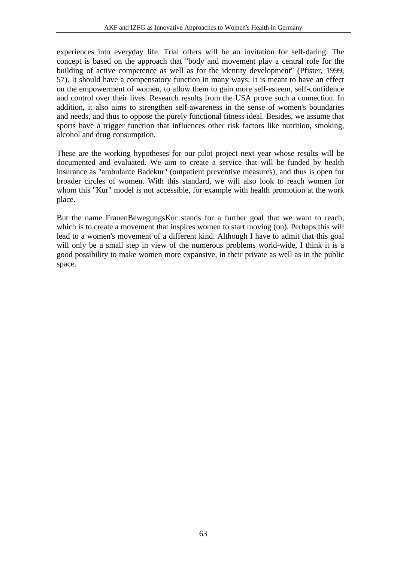experiences into everyday life. Trial offers will be an invitation for self-daring. The concept is based on the approach that "body and movement play a central role for the building of active competence as well as for the identity development" (Pfister, 1999, 57). It should have a compensatory function in many ways: It is meant to have an effect on the empowerment of women, to allow them to gain more self-esteem, self-confidence and control over their lives. Research results from the USA prove such a connection. In addition, it also aims to strengthen self-awareness in the sense of women's boundaries and needs, and thus to oppose the purely functional fitness ideal. Besides, we assume that sports have a trigger function that influences other risk factors like nutrition, smoking, alcohol and drug consumption.

These are the working hypotheses for our pilot project next year whose results will be documented and evaluated. We aim to create a service that will be funded by health insurance as "ambulante Badekur" (outpatient preventive measures), and thus is open for broader circles of women. With this standard, we will also look to reach women for whom this "Kur" model is not accessible, for example with health promotion at the work place.

But the name FrauenBewegungsKur stands for a further goal that we want to reach, which is to create a movement that inspires women to start moving (on). Perhaps this will lead to a women's movement of a different kind. Although I have to admit that this goal will only be a small step in view of the numerous problems world-wide, I think it is a good possibility to make women more expansive, in their private as well as in the public space.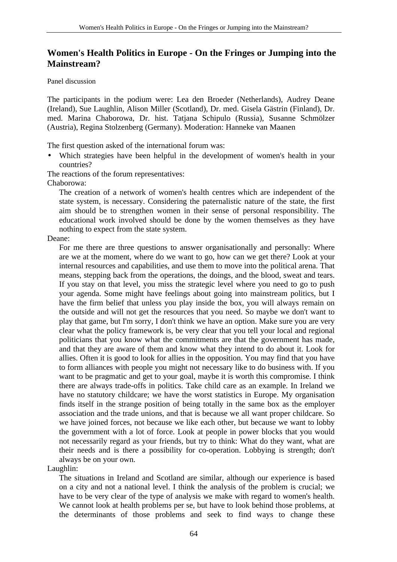# **Women's Health Politics in Europe - On the Fringes or Jumping into the Mainstream?**

#### Panel discussion

The participants in the podium were: Lea den Broeder (Netherlands), Audrey Deane (Ireland), Sue Laughlin, Alison Miller (Scotland), Dr. med. Gisela Gästrin (Finland), Dr. med. Marina Chaborowa, Dr. hist. Tatjana Schipulo (Russia), Susanne Schmölzer (Austria), Regina Stolzenberg (Germany). Moderation: Hanneke van Maanen

The first question asked of the international forum was:

• Which strategies have been helpful in the development of women's health in your countries?

The reactions of the forum representatives:

Chaborowa:

The creation of a network of women's health centres which are independent of the state system, is necessary. Considering the paternalistic nature of the state, the first aim should be to strengthen women in their sense of personal responsibility. The educational work involved should be done by the women themselves as they have nothing to expect from the state system.

Deane:

For me there are three questions to answer organisationally and personally: Where are we at the moment, where do we want to go, how can we get there? Look at your internal resources and capabilities, and use them to move into the political arena. That means, stepping back from the operations, the doings, and the blood, sweat and tears. If you stay on that level, you miss the strategic level where you need to go to push your agenda. Some might have feelings about going into mainstream politics, but I have the firm belief that unless you play inside the box, you will always remain on the outside and will not get the resources that you need. So maybe we don't want to play that game, but I'm sorry, I don't think we have an option. Make sure you are very clear what the policy framework is, be very clear that you tell your local and regional politicians that you know what the commitments are that the government has made, and that they are aware of them and know what they intend to do about it. Look for allies. Often it is good to look for allies in the opposition. You may find that you have to form alliances with people you might not necessary like to do business with. If you want to be pragmatic and get to your goal, maybe it is worth this compromise. I think there are always trade-offs in politics. Take child care as an example. In Ireland we have no statutory childcare; we have the worst statistics in Europe. My organisation finds itself in the strange position of being totally in the same box as the employer association and the trade unions, and that is because we all want proper childcare. So we have joined forces, not because we like each other, but because we want to lobby the government with a lot of force. Look at people in power blocks that you would not necessarily regard as your friends, but try to think: What do they want, what are their needs and is there a possibility for co-operation. Lobbying is strength; don't always be on your own.

Laughlin:

The situations in Ireland and Scotland are similar, although our experience is based on a city and not a national level. I think the analysis of the problem is crucial; we have to be very clear of the type of analysis we make with regard to women's health. We cannot look at health problems per se, but have to look behind those problems, at the determinants of those problems and seek to find ways to change these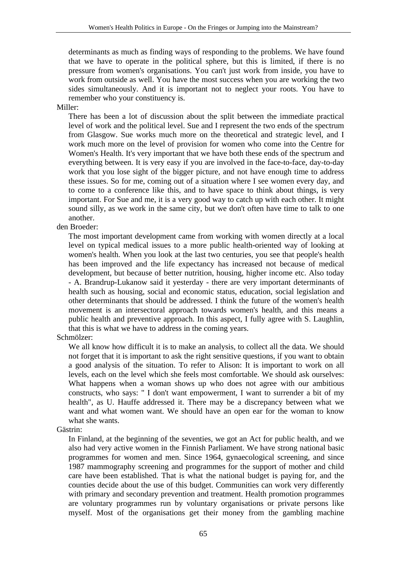determinants as much as finding ways of responding to the problems. We have found that we have to operate in the political sphere, but this is limited, if there is no pressure from women's organisations. You can't just work from inside, you have to work from outside as well. You have the most success when you are working the two sides simultaneously. And it is important not to neglect your roots. You have to remember who your constituency is.

#### Miller:

There has been a lot of discussion about the split between the immediate practical level of work and the political level. Sue and I represent the two ends of the spectrum from Glasgow. Sue works much more on the theoretical and strategic level, and I work much more on the level of provision for women who come into the Centre for Women's Health. It's very important that we have both these ends of the spectrum and everything between. It is very easy if you are involved in the face-to-face, day-to-day work that you lose sight of the bigger picture, and not have enough time to address these issues. So for me, coming out of a situation where I see women every day, and to come to a conference like this, and to have space to think about things, is very important. For Sue and me, it is a very good way to catch up with each other. It might sound silly, as we work in the same city, but we don't often have time to talk to one another.

### den Broeder:

The most important development came from working with women directly at a local level on typical medical issues to a more public health-oriented way of looking at women's health. When you look at the last two centuries, you see that people's health has been improved and the life expectancy has increased not because of medical development, but because of better nutrition, housing, higher income etc. Also today - A. Brandrup-Lukanow said it yesterday - there are very important determinants of health such as housing, social and economic status, education, social legislation and other determinants that should be addressed. I think the future of the women's health movement is an intersectoral approach towards women's health, and this means a public health and preventive approach. In this aspect, I fully agree with S. Laughlin, that this is what we have to address in the coming years.

### Schmölzer:

We all know how difficult it is to make an analysis, to collect all the data. We should not forget that it is important to ask the right sensitive questions, if you want to obtain a good analysis of the situation. To refer to Alison: It is important to work on all levels, each on the level which she feels most comfortable. We should ask ourselves: What happens when a woman shows up who does not agree with our ambitious constructs, who says: " I don't want empowerment, I want to surrender a bit of my health", as U. Hauffe addressed it. There may be a discrepancy between what we want and what women want. We should have an open ear for the woman to know what she wants.

### Gästrin:

In Finland, at the beginning of the seventies, we got an Act for public health, and we also had very active women in the Finnish Parliament. We have strong national basic programmes for women and men. Since 1964, gynaecological screening, and since 1987 mammography screening and programmes for the support of mother and child care have been established. That is what the national budget is paying for, and the counties decide about the use of this budget. Communities can work very differently with primary and secondary prevention and treatment. Health promotion programmes are voluntary programmes run by voluntary organisations or private persons like myself. Most of the organisations get their money from the gambling machine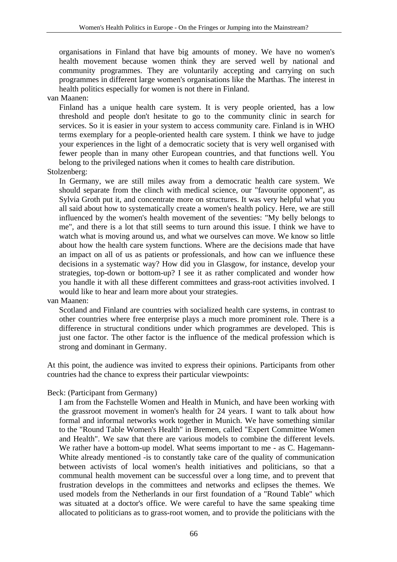organisations in Finland that have big amounts of money. We have no women's health movement because women think they are served well by national and community programmes. They are voluntarily accepting and carrying on such programmes in different large women's organisations like the Marthas. The interest in health politics especially for women is not there in Finland.

van Maanen:

Finland has a unique health care system. It is very people oriented, has a low threshold and people don't hesitate to go to the community clinic in search for services. So it is easier in your system to access community care. Finland is in WHO terms exemplary for a people-oriented health care system. I think we have to judge your experiences in the light of a democratic society that is very well organised with fewer people than in many other European countries, and that functions well. You belong to the privileged nations when it comes to health care distribution.

Stolzenberg:

In Germany, we are still miles away from a democratic health care system. We should separate from the clinch with medical science, our "favourite opponent", as Sylvia Groth put it, and concentrate more on structures. It was very helpful what you all said about how to systematically create a women's health policy. Here, we are still influenced by the women's health movement of the seventies: "My belly belongs to me", and there is a lot that still seems to turn around this issue. I think we have to watch what is moving around us, and what we ourselves can move. We know so little about how the health care system functions. Where are the decisions made that have an impact on all of us as patients or professionals, and how can we influence these decisions in a systematic way? How did you in Glasgow, for instance, develop your strategies, top-down or bottom-up? I see it as rather complicated and wonder how you handle it with all these different committees and grass-root activities involved. I would like to hear and learn more about your strategies.

van Maanen:

Scotland and Finland are countries with socialized health care systems, in contrast to other countries where free enterprise plays a much more prominent role. There is a difference in structural conditions under which programmes are developed. This is just one factor. The other factor is the influence of the medical profession which is strong and dominant in Germany.

At this point, the audience was invited to express their opinions. Participants from other countries had the chance to express their particular viewpoints:

#### Beck: (Participant from Germany)

I am from the Fachstelle Women and Health in Munich, and have been working with the grassroot movement in women's health for 24 years. I want to talk about how formal and informal networks work together in Munich. We have something similar to the "Round Table Women's Health" in Bremen, called "Expert Committee Women and Health". We saw that there are various models to combine the different levels. We rather have a bottom-up model. What seems important to me - as C. Hagemann-White already mentioned -is to constantly take care of the quality of communication between activists of local women's health initiatives and politicians, so that a communal health movement can be successful over a long time, and to prevent that frustration develops in the committees and networks and eclipses the themes. We used models from the Netherlands in our first foundation of a "Round Table" which was situated at a doctor's office. We were careful to have the same speaking time allocated to politicians as to grass-root women, and to provide the politicians with the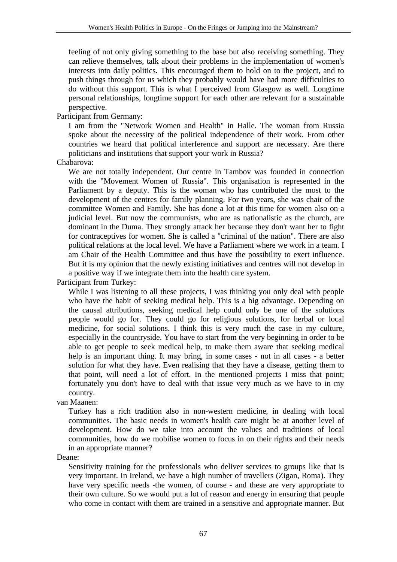feeling of not only giving something to the base but also receiving something. They can relieve themselves, talk about their problems in the implementation of women's interests into daily politics. This encouraged them to hold on to the project, and to push things through for us which they probably would have had more difficulties to do without this support. This is what I perceived from Glasgow as well. Longtime personal relationships, longtime support for each other are relevant for a sustainable perspective.

Participant from Germany:

I am from the "Network Women and Health" in Halle. The woman from Russia spoke about the necessity of the political independence of their work. From other countries we heard that political interference and support are necessary. Are there politicians and institutions that support your work in Russia?

# Chabarova:

We are not totally independent. Our centre in Tambov was founded in connection with the "Movement Women of Russia". This organisation is represented in the Parliament by a deputy. This is the woman who has contributed the most to the development of the centres for family planning. For two years, she was chair of the committee Women and Family. She has done a lot at this time for women also on a judicial level. But now the communists, who are as nationalistic as the church, are dominant in the Duma. They strongly attack her because they don't want her to fight for contraceptives for women. She is called a "criminal of the nation". There are also political relations at the local level. We have a Parliament where we work in a team. I am Chair of the Health Committee and thus have the possibility to exert influence. But it is my opinion that the newly existing initiatives and centres will not develop in a positive way if we integrate them into the health care system.

Participant from Turkey:

While I was listening to all these projects, I was thinking you only deal with people who have the habit of seeking medical help. This is a big advantage. Depending on the causal attributions, seeking medical help could only be one of the solutions people would go for. They could go for religious solutions, for herbal or local medicine, for social solutions. I think this is very much the case in my culture, especially in the countryside. You have to start from the very beginning in order to be able to get people to seek medical help, to make them aware that seeking medical help is an important thing. It may bring, in some cases - not in all cases - a better solution for what they have. Even realising that they have a disease, getting them to that point, will need a lot of effort. In the mentioned projects I miss that point; fortunately you don't have to deal with that issue very much as we have to in my country.

van Maanen:

Turkey has a rich tradition also in non-western medicine, in dealing with local communities. The basic needs in women's health care might be at another level of development. How do we take into account the values and traditions of local communities, how do we mobilise women to focus in on their rights and their needs in an appropriate manner?

Deane:

Sensitivity training for the professionals who deliver services to groups like that is very important. In Ireland, we have a high number of travellers (Zigan, Roma). They have very specific needs -the women, of course - and these are very appropriate to their own culture. So we would put a lot of reason and energy in ensuring that people who come in contact with them are trained in a sensitive and appropriate manner. But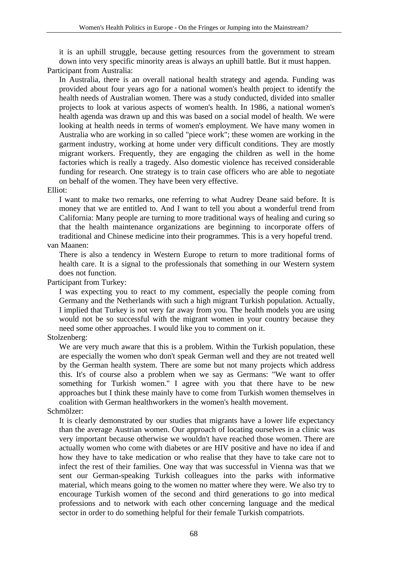it is an uphill struggle, because getting resources from the government to stream down into very specific minority areas is always an uphill battle. But it must happen. Participant from Australia:

In Australia, there is an overall national health strategy and agenda. Funding was provided about four years ago for a national women's health project to identify the health needs of Australian women. There was a study conducted, divided into smaller projects to look at various aspects of women's health. In 1986, a national women's health agenda was drawn up and this was based on a social model of health. We were looking at health needs in terms of women's employment. We have many women in Australia who are working in so called "piece work"; these women are working in the garment industry, working at home under very difficult conditions. They are mostly migrant workers. Frequently, they are engaging the children as well in the home factories which is really a tragedy. Also domestic violence has received considerable funding for research. One strategy is to train case officers who are able to negotiate on behalf of the women. They have been very effective.

#### Elliot:

I want to make two remarks, one referring to what Audrey Deane said before. It is money that we are entitled to. And I want to tell you about a wonderful trend from California: Many people are turning to more traditional ways of healing and curing so that the health maintenance organizations are beginning to incorporate offers of traditional and Chinese medicine into their programmes. This is a very hopeful trend.

## van Maanen:

There is also a tendency in Western Europe to return to more traditional forms of health care. It is a signal to the professionals that something in our Western system does not function.

Participant from Turkey:

I was expecting you to react to my comment, especially the people coming from Germany and the Netherlands with such a high migrant Turkish population. Actually, I implied that Turkey is not very far away from you. The health models you are using would not be so successful with the migrant women in your country because they need some other approaches. I would like you to comment on it.

#### Stolzenberg:

We are very much aware that this is a problem. Within the Turkish population, these are especially the women who don't speak German well and they are not treated well by the German health system. There are some but not many projects which address this. It's of course also a problem when we say as Germans: "We want to offer something for Turkish women." I agree with you that there have to be new approaches but I think these mainly have to come from Turkish women themselves in coalition with German healthworkers in the women's health movement.

#### Schmölzer:

It is clearly demonstrated by our studies that migrants have a lower life expectancy than the average Austrian women. Our approach of locating ourselves in a clinic was very important because otherwise we wouldn't have reached those women. There are actually women who come with diabetes or are HIV positive and have no idea if and how they have to take medication or who realise that they have to take care not to infect the rest of their families. One way that was successful in Vienna was that we sent our German-speaking Turkish colleagues into the parks with informative material, which means going to the women no matter where they were. We also try to encourage Turkish women of the second and third generations to go into medical professions and to network with each other concerning language and the medical sector in order to do something helpful for their female Turkish compatriots.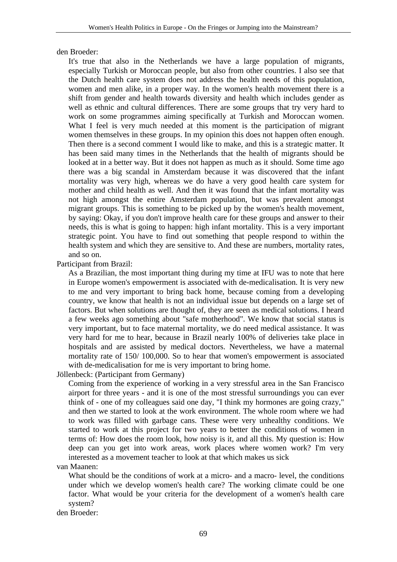den Broeder:

It's true that also in the Netherlands we have a large population of migrants, especially Turkish or Moroccan people, but also from other countries. I also see that the Dutch health care system does not address the health needs of this population, women and men alike, in a proper way. In the women's health movement there is a shift from gender and health towards diversity and health which includes gender as well as ethnic and cultural differences. There are some groups that try very hard to work on some programmes aiming specifically at Turkish and Moroccan women. What I feel is very much needed at this moment is the participation of migrant women themselves in these groups. In my opinion this does not happen often enough. Then there is a second comment I would like to make, and this is a strategic matter. It has been said many times in the Netherlands that the health of migrants should be looked at in a better way. But it does not happen as much as it should. Some time ago there was a big scandal in Amsterdam because it was discovered that the infant mortality was very high, whereas we do have a very good health care system for mother and child health as well. And then it was found that the infant mortality was not high amongst the entire Amsterdam population, but was prevalent amongst migrant groups. This is something to be picked up by the women's health movement, by saying: Okay, if you don't improve health care for these groups and answer to their needs, this is what is going to happen: high infant mortality. This is a very important strategic point. You have to find out something that people respond to within the health system and which they are sensitive to. And these are numbers, mortality rates, and so on.

Participant from Brazil:

As a Brazilian, the most important thing during my time at IFU was to note that here in Europe women's empowerment is associated with de-medicalisation. It is very new to me and very important to bring back home, because coming from a developing country, we know that health is not an individual issue but depends on a large set of factors. But when solutions are thought of, they are seen as medical solutions. I heard a few weeks ago something about "safe motherhood". We know that social status is very important, but to face maternal mortality, we do need medical assistance. It was very hard for me to hear, because in Brazil nearly 100% of deliveries take place in hospitals and are assisted by medical doctors. Nevertheless, we have a maternal mortality rate of 150/ 100,000. So to hear that women's empowerment is associated with de-medicalisation for me is very important to bring home.

Jöllenbeck: (Participant from Germany)

Coming from the experience of working in a very stressful area in the San Francisco airport for three years - and it is one of the most stressful surroundings you can ever think of - one of my colleagues said one day, "I think my hormones are going crazy," and then we started to look at the work environment. The whole room where we had to work was filled with garbage cans. These were very unhealthy conditions. We started to work at this project for two years to better the conditions of women in terms of: How does the room look, how noisy is it, and all this. My question is: How deep can you get into work areas, work places where women work? I'm very interested as a movement teacher to look at that which makes us sick

van Maanen:

What should be the conditions of work at a micro- and a macro- level, the conditions under which we develop women's health care? The working climate could be one factor. What would be your criteria for the development of a women's health care system?

den Broeder: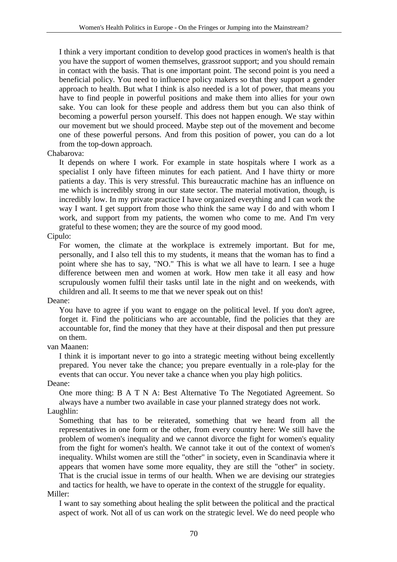I think a very important condition to develop good practices in women's health is that you have the support of women themselves, grassroot support; and you should remain in contact with the basis. That is one important point. The second point is you need a beneficial policy. You need to influence policy makers so that they support a gender approach to health. But what I think is also needed is a lot of power, that means you have to find people in powerful positions and make them into allies for your own sake. You can look for these people and address them but you can also think of becoming a powerful person yourself. This does not happen enough. We stay within our movement but we should proceed. Maybe step out of the movement and become one of these powerful persons. And from this position of power, you can do a lot from the top-down approach.

#### Chabarova:

It depends on where I work. For example in state hospitals where I work as a specialist I only have fifteen minutes for each patient. And I have thirty or more patients a day. This is very stressful. This bureaucratic machine has an influence on me which is incredibly strong in our state sector. The material motivation, though, is incredibly low. In my private practice I have organized everything and I can work the way I want. I get support from those who think the same way I do and with whom I work, and support from my patients, the women who come to me. And I'm very grateful to these women; they are the source of my good mood.

#### Cipulo:

For women, the climate at the workplace is extremely important. But for me, personally, and I also tell this to my students, it means that the woman has to find a point where she has to say, "NO." This is what we all have to learn. I see a huge difference between men and women at work. How men take it all easy and how scrupulously women fulfil their tasks until late in the night and on weekends, with children and all. It seems to me that we never speak out on this!

#### Deane:

You have to agree if you want to engage on the political level. If you don't agree, forget it. Find the politicians who are accountable, find the policies that they are accountable for, find the money that they have at their disposal and then put pressure on them.

#### van Maanen:

I think it is important never to go into a strategic meeting without being excellently prepared. You never take the chance; you prepare eventually in a role-play for the events that can occur. You never take a chance when you play high politics.

#### Deane:

One more thing: B A T N A: Best Alternative To The Negotiated Agreement. So always have a number two available in case your planned strategy does not work.

# Laughlin:

Something that has to be reiterated, something that we heard from all the representatives in one form or the other, from every country here: We still have the problem of women's inequality and we cannot divorce the fight for women's equality from the fight for women's health. We cannot take it out of the context of women's inequality. Whilst women are still the "other" in society, even in Scandinavia where it appears that women have some more equality, they are still the "other" in society. That is the crucial issue in terms of our health. When we are devising our strategies and tactics for health, we have to operate in the context of the struggle for equality.

#### Miller:

I want to say something about healing the split between the political and the practical aspect of work. Not all of us can work on the strategic level. We do need people who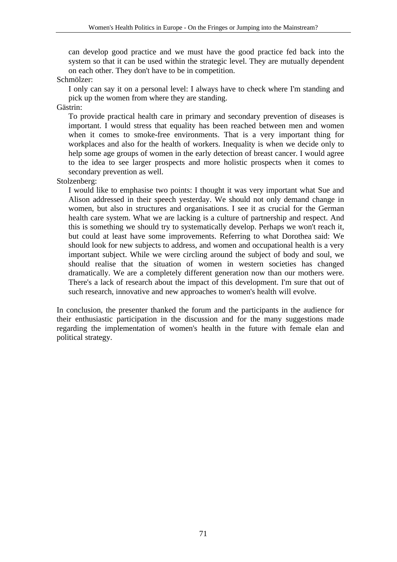can develop good practice and we must have the good practice fed back into the system so that it can be used within the strategic level. They are mutually dependent on each other. They don't have to be in competition.

Schmölzer:

I only can say it on a personal level: I always have to check where I'm standing and pick up the women from where they are standing.

Gästrin:

To provide practical health care in primary and secondary prevention of diseases is important. I would stress that equality has been reached between men and women when it comes to smoke-free environments. That is a very important thing for workplaces and also for the health of workers. Inequality is when we decide only to help some age groups of women in the early detection of breast cancer. I would agree to the idea to see larger prospects and more holistic prospects when it comes to secondary prevention as well.

## Stolzenberg:

I would like to emphasise two points: I thought it was very important what Sue and Alison addressed in their speech yesterday. We should not only demand change in women, but also in structures and organisations. I see it as crucial for the German health care system. What we are lacking is a culture of partnership and respect. And this is something we should try to systematically develop. Perhaps we won't reach it, but could at least have some improvements. Referring to what Dorothea said: We should look for new subjects to address, and women and occupational health is a very important subject. While we were circling around the subject of body and soul, we should realise that the situation of women in western societies has changed dramatically. We are a completely different generation now than our mothers were. There's a lack of research about the impact of this development. I'm sure that out of such research, innovative and new approaches to women's health will evolve.

In conclusion, the presenter thanked the forum and the participants in the audience for their enthusiastic participation in the discussion and for the many suggestions made regarding the implementation of women's health in the future with female elan and political strategy.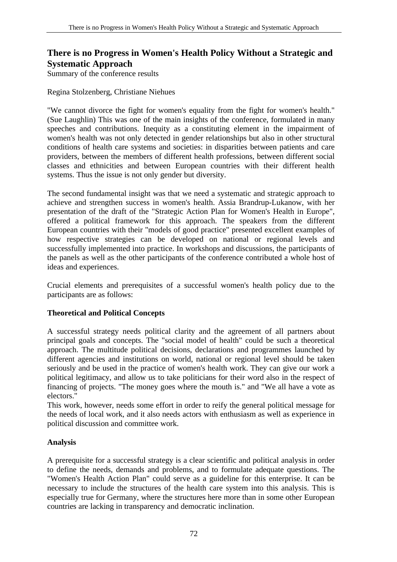# **There is no Progress in Women's Health Policy Without a Strategic and Systematic Approach**

Summary of the conference results

Regina Stolzenberg, Christiane Niehues

"We cannot divorce the fight for women's equality from the fight for women's health." (Sue Laughlin) This was one of the main insights of the conference, formulated in many speeches and contributions. Inequity as a constituting element in the impairment of women's health was not only detected in gender relationships but also in other structural conditions of health care systems and societies: in disparities between patients and care providers, between the members of different health professions, between different social classes and ethnicities and between European countries with their different health systems. Thus the issue is not only gender but diversity.

The second fundamental insight was that we need a systematic and strategic approach to achieve and strengthen success in women's health. Assia Brandrup-Lukanow, with her presentation of the draft of the "Strategic Action Plan for Women's Health in Europe", offered a political framework for this approach. The speakers from the different European countries with their "models of good practice" presented excellent examples of how respective strategies can be developed on national or regional levels and successfully implemented into practice. In workshops and discussions, the participants of the panels as well as the other participants of the conference contributed a whole host of ideas and experiences.

Crucial elements and prerequisites of a successful women's health policy due to the participants are as follows:

# **Theoretical and Political Concepts**

A successful strategy needs political clarity and the agreement of all partners about principal goals and concepts. The "social model of health" could be such a theoretical approach. The multitude political decisions, declarations and programmes launched by different agencies and institutions on world, national or regional level should be taken seriously and be used in the practice of women's health work. They can give our work a political legitimacy, and allow us to take politicians for their word also in the respect of financing of projects. "The money goes where the mouth is." and "We all have a vote as electors."

This work, however, needs some effort in order to reify the general political message for the needs of local work, and it also needs actors with enthusiasm as well as experience in political discussion and committee work.

# **Analysis**

A prerequisite for a successful strategy is a clear scientific and political analysis in order to define the needs, demands and problems, and to formulate adequate questions. The "Women's Health Action Plan" could serve as a guideline for this enterprise. It can be necessary to include the structures of the health care system into this analysis. This is especially true for Germany, where the structures here more than in some other European countries are lacking in transparency and democratic inclination.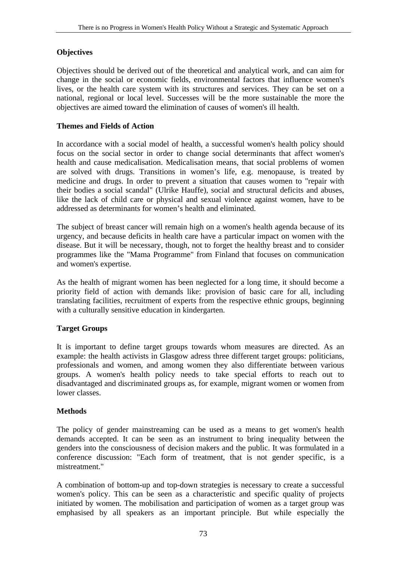### **Objectives**

Objectives should be derived out of the theoretical and analytical work, and can aim for change in the social or economic fields, environmental factors that influence women's lives, or the health care system with its structures and services. They can be set on a national, regional or local level. Successes will be the more sustainable the more the objectives are aimed toward the elimination of causes of women's ill health.

## **Themes and Fields of Action**

In accordance with a social model of health, a successful women's health policy should focus on the social sector in order to change social determinants that affect women's health and cause medicalisation. Medicalisation means, that social problems of women are solved with drugs. Transitions in women's life, e.g. menopause, is treated by medicine and drugs. In order to prevent a situation that causes women to "repair with their bodies a social scandal" (Ulrike Hauffe), social and structural deficits and abuses, like the lack of child care or physical and sexual violence against women, have to be addressed as determinants for women's health and eliminated.

The subject of breast cancer will remain high on a women's health agenda because of its urgency, and because deficits in health care have a particular impact on women with the disease. But it will be necessary, though, not to forget the healthy breast and to consider programmes like the "Mama Programme" from Finland that focuses on communication and women's expertise.

As the health of migrant women has been neglected for a long time, it should become a priority field of action with demands like: provision of basic care for all, including translating facilities, recruitment of experts from the respective ethnic groups, beginning with a culturally sensitive education in kindergarten.

# **Target Groups**

It is important to define target groups towards whom measures are directed. As an example: the health activists in Glasgow adress three different target groups: politicians, professionals and women, and among women they also differentiate between various groups. A women's health policy needs to take special efforts to reach out to disadvantaged and discriminated groups as, for example, migrant women or women from lower classes.

### **Methods**

The policy of gender mainstreaming can be used as a means to get women's health demands accepted. It can be seen as an instrument to bring inequality between the genders into the consciousness of decision makers and the public. It was formulated in a conference discussion: "Each form of treatment, that is not gender specific, is a mistreatment."

A combination of bottom-up and top-down strategies is necessary to create a successful women's policy. This can be seen as a characteristic and specific quality of projects initiated by women. The mobilisation and participation of women as a target group was emphasised by all speakers as an important principle. But while especially the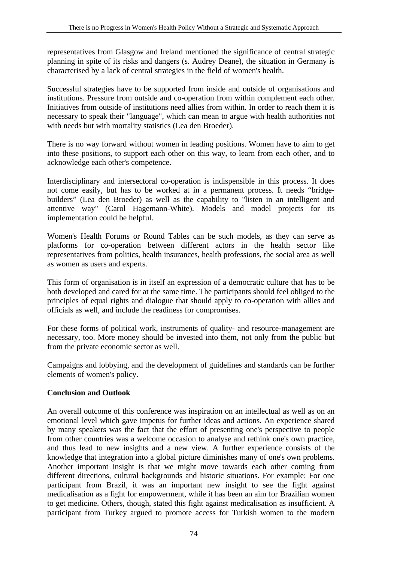representatives from Glasgow and Ireland mentioned the significance of central strategic planning in spite of its risks and dangers (s. Audrey Deane), the situation in Germany is characterised by a lack of central strategies in the field of women's health.

Successful strategies have to be supported from inside and outside of organisations and institutions. Pressure from outside and co-operation from within complement each other. Initiatives from outside of institutions need allies from within. In order to reach them it is necessary to speak their "language", which can mean to argue with health authorities not with needs but with mortality statistics (Lea den Broeder).

There is no way forward without women in leading positions. Women have to aim to get into these positions, to support each other on this way, to learn from each other, and to acknowledge each other's competence.

Interdisciplinary and intersectoral co-operation is indispensible in this process. It does not come easily, but has to be worked at in a permanent process. It needs "bridgebuilders" (Lea den Broeder) as well as the capability to "listen in an intelligent and attentive way" (Carol Hagemann-White). Models and model projects for its implementation could be helpful.

Women's Health Forums or Round Tables can be such models, as they can serve as platforms for co-operation between different actors in the health sector like representatives from politics, health insurances, health professions, the social area as well as women as users and experts.

This form of organisation is in itself an expression of a democratic culture that has to be both developed and cared for at the same time. The participants should feel obliged to the principles of equal rights and dialogue that should apply to co-operation with allies and officials as well, and include the readiness for compromises.

For these forms of political work, instruments of quality- and resource-management are necessary, too. More money should be invested into them, not only from the public but from the private economic sector as well.

Campaigns and lobbying, and the development of guidelines and standards can be further elements of women's policy.

### **Conclusion and Outlook**

An overall outcome of this conference was inspiration on an intellectual as well as on an emotional level which gave impetus for further ideas and actions. An experience shared by many speakers was the fact that the effort of presenting one's perspective to people from other countries was a welcome occasion to analyse and rethink one's own practice, and thus lead to new insights and a new view. A further experience consists of the knowledge that integration into a global picture diminishes many of one's own problems. Another important insight is that we might move towards each other coming from different directions, cultural backgrounds and historic situations. For example: For one participant from Brazil, it was an important new insight to see the fight against medicalisation as a fight for empowerment, while it has been an aim for Brazilian women to get medicine. Others, though, stated this fight against medicalisation as insufficient. A participant from Turkey argued to promote access for Turkish women to the modern